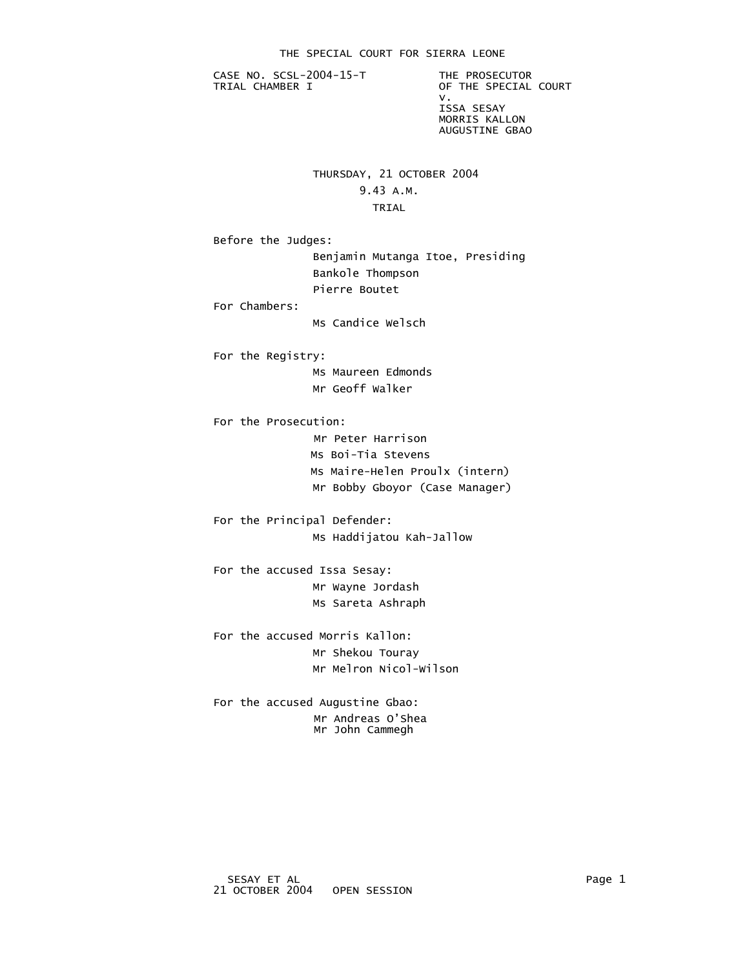CASE NO. SCSL-2004-15-T THE PROSECUTOR<br>TRIAL CHAMBER I OF THE SPECIAL

OF THE SPECIAL COURT v. ISSA SESAY MORRIS KALLON AUGUSTINE GBAO

# THURSDAY, 21 OCTOBER 2004

## 9.43 A.M.

#### **TRIAL**

Before the Judges:

 Benjamin Mutanga Itoe, Presiding Bankole Thompson Pierre Boutet

For Chambers:

Ms Candice Welsch

 For the Registry: Ms Maureen Edmonds

Mr Geoff Walker

For the Prosecution:

 Mr Peter Harrison Ms Boi-Tia Stevens Ms Maire-Helen Proulx (intern) Mr Bobby Gboyor (Case Manager)

 For the Principal Defender: Ms Haddijatou Kah-Jallow

 For the accused Issa Sesay: Mr Wayne Jordash Ms Sareta Ashraph

 For the accused Morris Kallon: Mr Shekou Touray Mr Melron Nicol-Wilson

 For the accused Augustine Gbao: Mr Andreas O'Shea Mr John Cammegh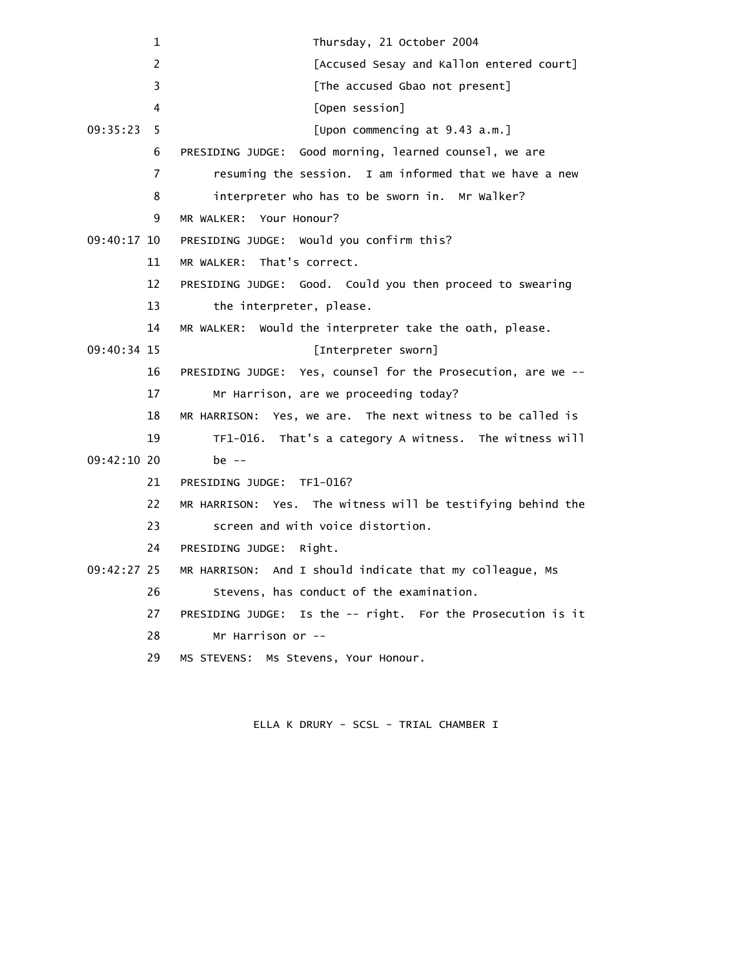| 1              | Thursday, 21 October 2004                                      |
|----------------|----------------------------------------------------------------|
| $\overline{2}$ | [Accused Sesay and Kallon entered court]                       |
| 3              | [The accused Gbao not present]                                 |
| 4              | [Open session]                                                 |
| 09:35:23<br>5  | [Upon commencing at 9.43 a.m.]                                 |
| 6              | Good morning, learned counsel, we are<br>PRESIDING JUDGE:      |
| 7              | resuming the session. I am informed that we have a new         |
| 8              | interpreter who has to be sworn in. Mr Walker?                 |
| 9              | MR WALKER: Your Honour?                                        |
| $09:40:17$ 10  | PRESIDING JUDGE: Would you confirm this?                       |
| 11             | MR WALKER: That's correct.                                     |
| 12             | PRESIDING JUDGE: Good. Could you then proceed to swearing      |
| 13             | the interpreter, please.                                       |
| 14             | MR WALKER: Would the interpreter take the oath, please.        |
| 09:40:34 15    | [Interpreter sworn]                                            |
| 16             | PRESIDING JUDGE: Yes, counsel for the Prosecution, are we --   |
| 17             | Mr Harrison, are we proceeding today?                          |
| 18             | MR HARRISON: Yes, we are. The next witness to be called is     |
| 19             | TF1-016. That's a category A witness. The witness will         |
| $09:42:10$ 20  | be $-$                                                         |
| 21             | PRESIDING JUDGE: TF1-016?                                      |
| 22             | MR HARRISON: Yes. The witness will be testifying behind the    |
| 23             | screen and with voice distortion.                              |
| 24             | PRESIDING JUDGE:<br>Right.                                     |
| 09:42:27 25    | MR HARRISON: And I should indicate that my colleague, Ms       |
| 26             | Stevens, has conduct of the examination.                       |
| 27             | Is the -- right. For the Prosecution is it<br>PRESIDING JUDGE: |
| 28             | Mr Harrison or $-$                                             |
| 29             | MS STEVENS: Ms Stevens, Your Honour.                           |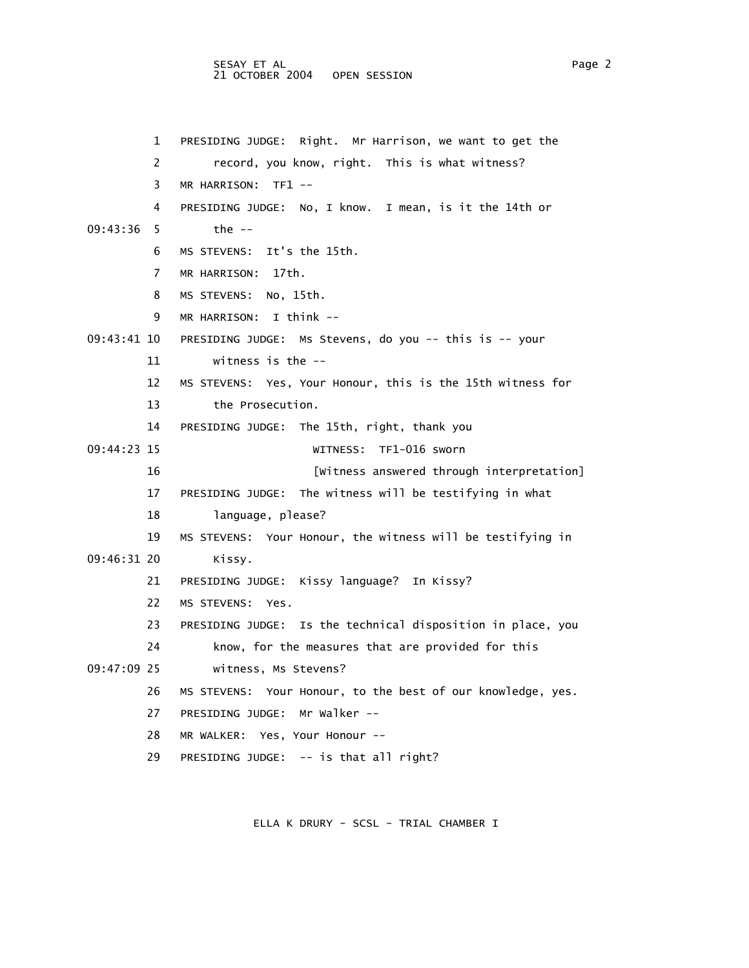### SESAY ET AL Page 2 21 OCTOBER 2004 OPEN SESSION

 1 PRESIDING JUDGE: Right. Mr Harrison, we want to get the 2 record, you know, right. This is what witness? 3 MR HARRISON: TF1 -- 4 PRESIDING JUDGE: No, I know. I mean, is it the 14th or 09:43:36 5 the -- 6 MS STEVENS: It's the 15th. 7 MR HARRISON: 17th. 8 MS STEVENS: No, 15th. 9 MR HARRISON: I think -- 09:43:41 10 PRESIDING JUDGE: Ms Stevens, do you -- this is -- your 11 witness is the -- 12 MS STEVENS: Yes, Your Honour, this is the 15th witness for 13 the Prosecution. 14 PRESIDING JUDGE: The 15th, right, thank you 09:44:23 15 WITNESS: TF1-016 sworn 16 [Witness answered through interpretation] 17 PRESIDING JUDGE: The witness will be testifying in what 18 language, please? 19 MS STEVENS: Your Honour, the witness will be testifying in 09:46:31 20 Kissy. 21 PRESIDING JUDGE: Kissy language? In Kissy? 22 MS STEVENS: Yes. 23 PRESIDING JUDGE: Is the technical disposition in place, you 24 know, for the measures that are provided for this 09:47:09 25 witness, Ms Stevens? 26 MS STEVENS: Your Honour, to the best of our knowledge, yes. 27 PRESIDING JUDGE: Mr Walker -- 28 MR WALKER: Yes, Your Honour -- 29 PRESIDING JUDGE: -- is that all right?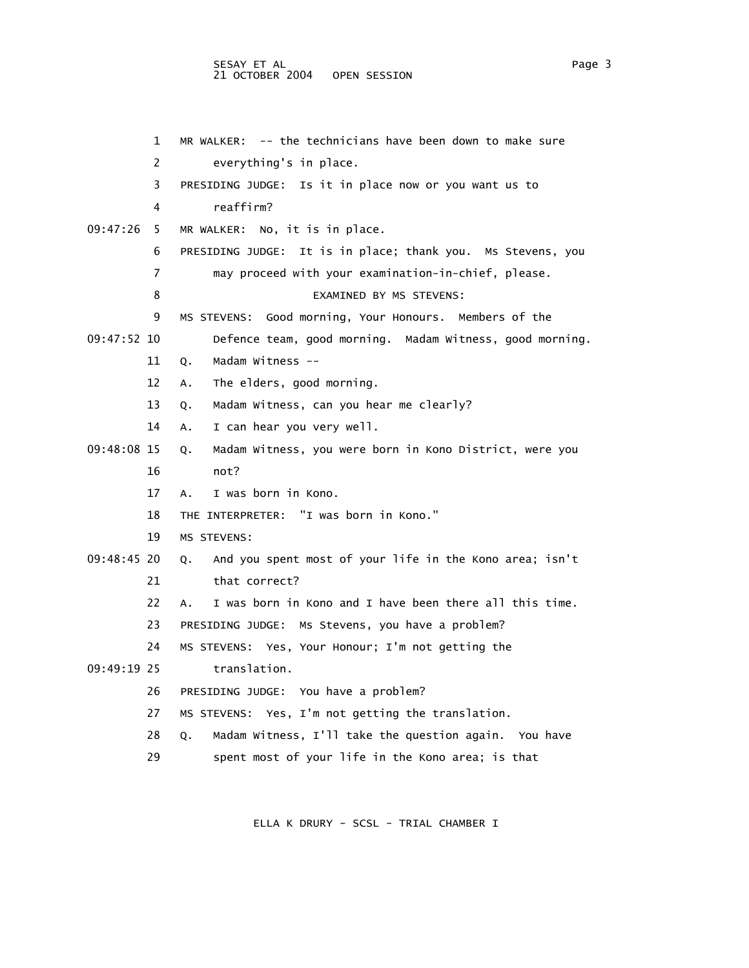#### SESAY ET AL PAGE 2012 AND RESERVE TO A LOCAL AND RESERVE TO A LOCAL AND RESERVE TO A LOCAL AND RESERVE TO A LO 21 OCTOBER 2004 OPEN SESSION

|               | 1                     | MR WALKER: -- the technicians have been down to make sure     |
|---------------|-----------------------|---------------------------------------------------------------|
|               | $\mathbf{2}^{\prime}$ | everything's in place.                                        |
|               | 3.                    | PRESIDING JUDGE: Is it in place now or you want us to         |
|               | 4                     | reaffirm?                                                     |
| 09:47:26      | 5.                    | MR WALKER: No, it is in place.                                |
|               | 6                     | PRESIDING JUDGE: It is in place; thank you. Ms Stevens, you   |
|               | 7                     | may proceed with your examination-in-chief, please.           |
|               | 8                     | EXAMINED BY MS STEVENS:                                       |
|               | 9                     | MS STEVENS: Good morning, Your Honours. Members of the        |
| $09:47:52$ 10 |                       | Defence team, good morning. Madam Witness, good morning.      |
|               | 11                    | Madam Witness --<br>Q.                                        |
|               | 12                    | The elders, good morning.<br>А.                               |
|               | 13                    | Madam Witness, can you hear me clearly?<br>Q.                 |
|               | 14                    | I can hear you very well.<br>А.                               |
| 09:48:08 15   |                       | Madam Witness, you were born in Kono District, were you<br>Q. |
|               | 16                    | not?                                                          |
|               | 17                    | I was born in Kono.<br>А.                                     |
|               | 18                    | THE INTERPRETER: "I was born in Kono."                        |
|               | 19                    | MS STEVENS:                                                   |
| 09:48:45 20   |                       | And you spent most of your life in the Kono area; isn't<br>Q. |
|               | 21                    | that correct?                                                 |
|               | 22                    | I was born in Kono and I have been there all this time.<br>А. |
|               | 23                    | PRESIDING JUDGE: Ms Stevens, you have a problem?              |
|               | 24                    | MS STEVENS: Yes, Your Honour; I'm not getting the             |
| 09:49:19 25   |                       | translation.                                                  |
|               | 26                    | You have a problem?<br>PRESIDING JUDGE:                       |
|               | 27                    | MS STEVENS: Yes, I'm not getting the translation.             |
|               | 28                    | Madam Witness, I'll take the question again. You have<br>Q.   |
|               | 29                    | spent most of your life in the Kono area; is that             |
|               |                       |                                                               |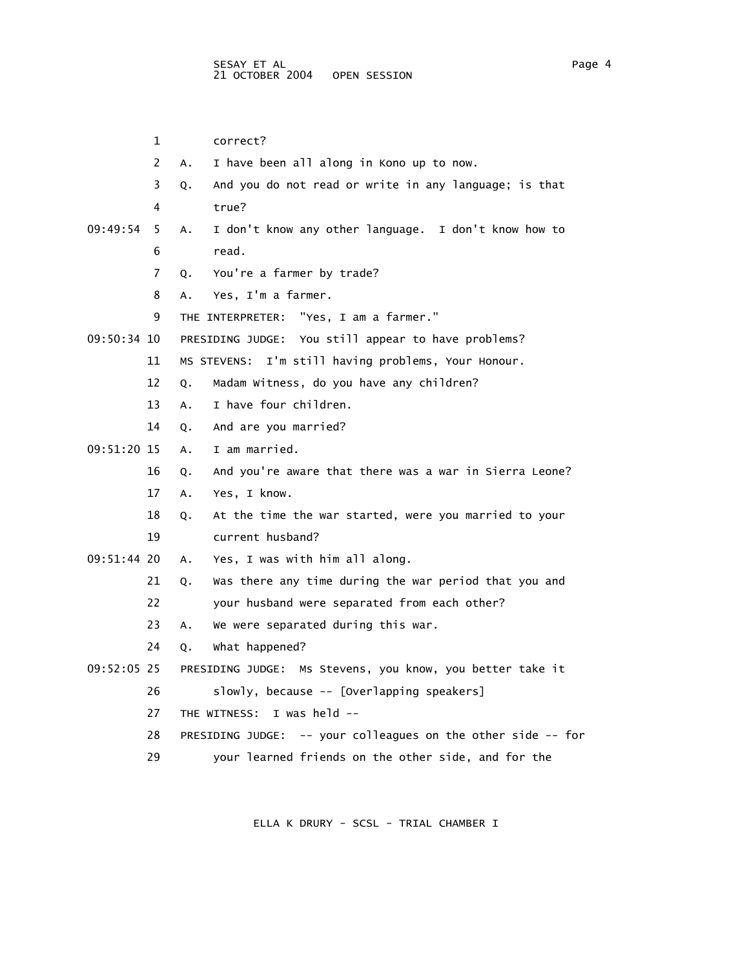1 correct? 2 A. I have been all along in Kono up to now. 3 Q. And you do not read or write in any language; is that 4 true? 09:49:54 5 A. I don't know any other language. I don't know how to 6 read. 7 Q. You're a farmer by trade? 8 A. Yes, I'm a farmer. 9 THE INTERPRETER: "Yes, I am a farmer." 09:50:34 10 PRESIDING JUDGE: You still appear to have problems? 11 MS STEVENS: I'm still having problems, Your Honour. 12 Q. Madam Witness, do you have any children? 13 A. I have four children. 14 Q. And are you married? 09:51:20 15 A. I am married. 16 Q. And you're aware that there was a war in Sierra Leone? 17 A. Yes, I know. 18 Q. At the time the war started, were you married to your 19 current husband? 09:51:44 20 A. Yes, I was with him all along. 21 Q. Was there any time during the war period that you and 22 your husband were separated from each other? 23 A. We were separated during this war. 24 Q. What happened? 09:52:05 25 PRESIDING JUDGE: Ms Stevens, you know, you better take it 26 slowly, because -- [Overlapping speakers] 27 THE WITNESS: I was held -- 28 PRESIDING JUDGE: -- your colleagues on the other side -- for 29 your learned friends on the other side, and for the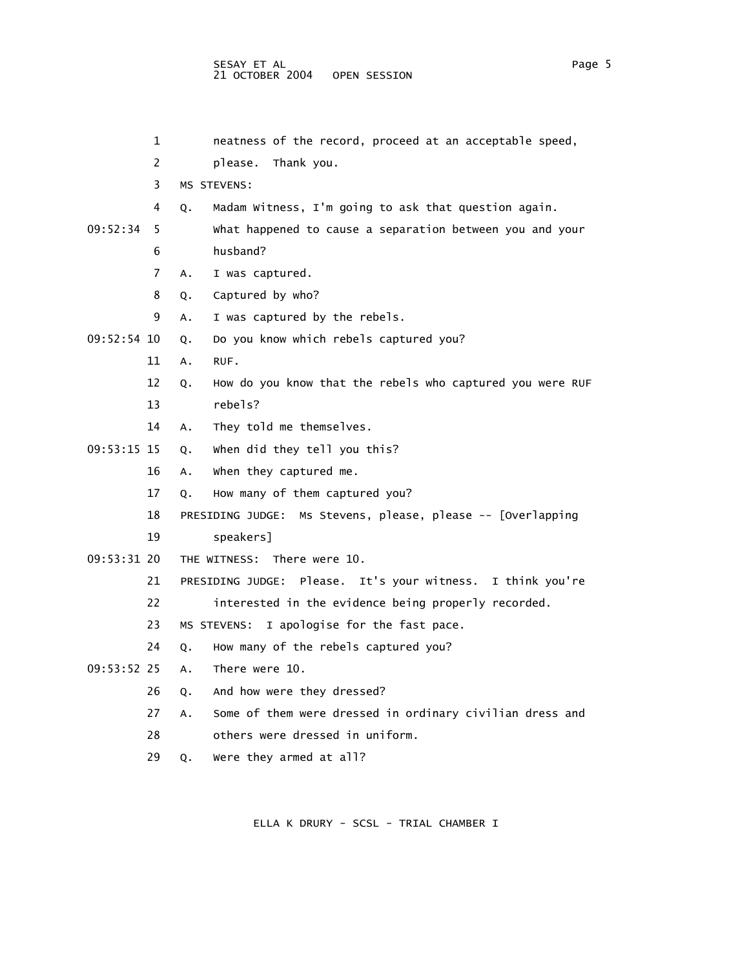|             | 1  | neatness of the record, proceed at an acceptable speed,         |
|-------------|----|-----------------------------------------------------------------|
|             | 2  | please.<br>Thank you.                                           |
|             | 3  | MS STEVENS:                                                     |
|             | 4  | Madam Witness, I'm going to ask that question again.<br>Q.      |
| 09:52:34    | 5  | what happened to cause a separation between you and your        |
|             | 6  | husband?                                                        |
|             | 7  | I was captured.<br>A.                                           |
|             | 8  | Captured by who?<br>Q.                                          |
|             | 9  | I was captured by the rebels.<br>Α.                             |
| 09:52:54 10 |    | Do you know which rebels captured you?<br>Q.                    |
|             | 11 | RUF.<br>Α.                                                      |
|             | 12 | How do you know that the rebels who captured you were RUF<br>Q. |
|             | 13 | rebels?                                                         |
|             | 14 | They told me themselves.<br>Α.                                  |
| 09:53:15 15 |    | when did they tell you this?<br>Q.                              |
|             | 16 | when they captured me.<br>Α.                                    |
|             | 17 | How many of them captured you?<br>Q.                            |
|             | 18 | Ms Stevens, please, please -- [Overlapping<br>PRESIDING JUDGE:  |
|             | 19 | speakers]                                                       |
| 09:53:31 20 |    | THE WITNESS: There were 10.                                     |
|             | 21 | PRESIDING JUDGE: Please. It's your witness. I think you're      |
|             | 22 | interested in the evidence being properly recorded.             |
|             | 23 | I apologise for the fast pace.<br>MS STEVENS:                   |
|             | 24 | How many of the rebels captured you?<br>Q.                      |
| 09:53:52 25 |    | There were 10.<br>Α.                                            |
|             | 26 | And how were they dressed?<br>Q.                                |
|             | 27 | Some of them were dressed in ordinary civilian dress and<br>A.  |
|             | 28 | others were dressed in uniform.                                 |
|             | 29 | Were they armed at all?<br>Q.                                   |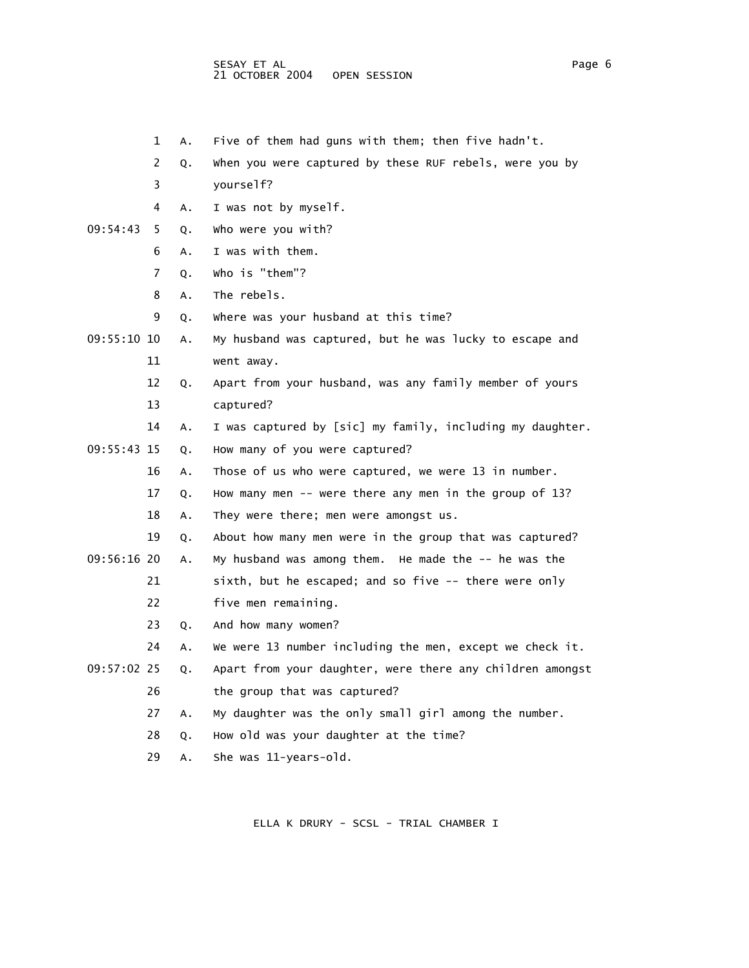- 1 A. Five of them had guns with them; then five hadn't.
- 2 Q. When you were captured by these RUF rebels, were you by
- 3 yourself?
- 4 A. I was not by myself.
- 09:54:43 5 Q. Who were you with?
	- 6 A. I was with them.
	- 7 Q. Who is "them"?
	- 8 A. The rebels.
	- 9 Q. Where was your husband at this time?
- 09:55:10 10 A. My husband was captured, but he was lucky to escape and 11 went away.
	- 12 Q. Apart from your husband, was any family member of yours 13 captured?
- 14 A. I was captured by [sic] my family, including my daughter.
- 09:55:43 15 Q. How many of you were captured?
	- 16 A. Those of us who were captured, we were 13 in number.
	- 17 Q. How many men -- were there any men in the group of 13?
	- 18 A. They were there; men were amongst us.
	- 19 Q. About how many men were in the group that was captured?

09:56:16 20 A. My husband was among them. He made the -- he was the

21 sixth, but he escaped; and so five -- there were only

- 22 five men remaining.
- 23 Q. And how many women?
- 24 A. We were 13 number including the men, except we check it.
- 09:57:02 25 Q. Apart from your daughter, were there any children amongst 26 the group that was captured?
	- 27 A. My daughter was the only small girl among the number.
	- 28 Q. How old was your daughter at the time?
	- 29 A. She was 11-years-old.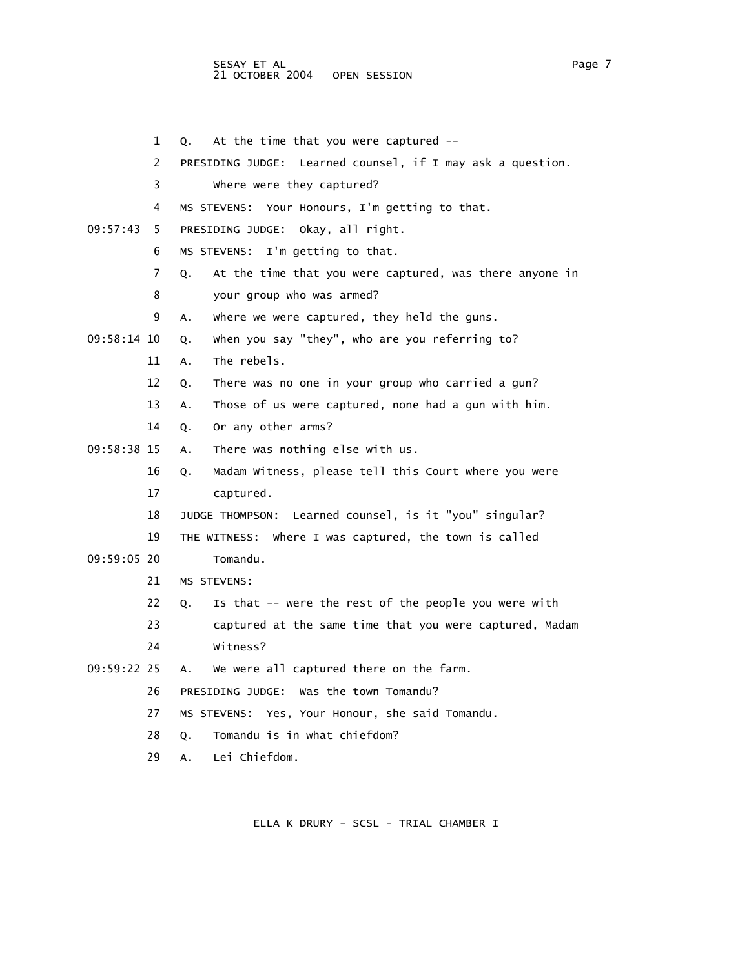- 2 PRESIDING JUDGE: Learned counsel, if I may ask a question. 3 Where were they captured? 4 MS STEVENS: Your Honours, I'm getting to that. 09:57:43 5 PRESIDING JUDGE: Okay, all right. 6 MS STEVENS: I'm getting to that. 8 your group who was armed? 9 A. Where we were captured, they held the guns. 09:58:14 10 Q. When you say "they", who are you referring to? 11 A. The rebels. 12 Q. There was no one in your group who carried a gun? 13 A. Those of us were captured, none had a gun with him. 14 Q. Or any other arms? 09:58:38 15 A. There was nothing else with us. 16 Q. Madam Witness, please tell this Court where you were 17 captured. 18 JUDGE THOMPSON: Learned counsel, is it "you" singular? 19 THE WITNESS: Where I was captured, the town is called 09:59:05 20 Tomandu. 21 MS STEVENS: 22 Q. Is that -- were the rest of the people you were with 23 captured at the same time that you were captured, Madam 24 Witness? 09:59:22 25 A. We were all captured there on the farm. 26 PRESIDING JUDGE: Was the town Tomandu? 27 MS STEVENS: Yes, Your Honour, she said Tomandu. 28 Q. Tomandu is in what chiefdom?
	-

- 1 Q. At the time that you were captured --
- 

7 Q. At the time that you were captured, was there anyone in

- 
- 
- 29 A. Lei Chiefdom.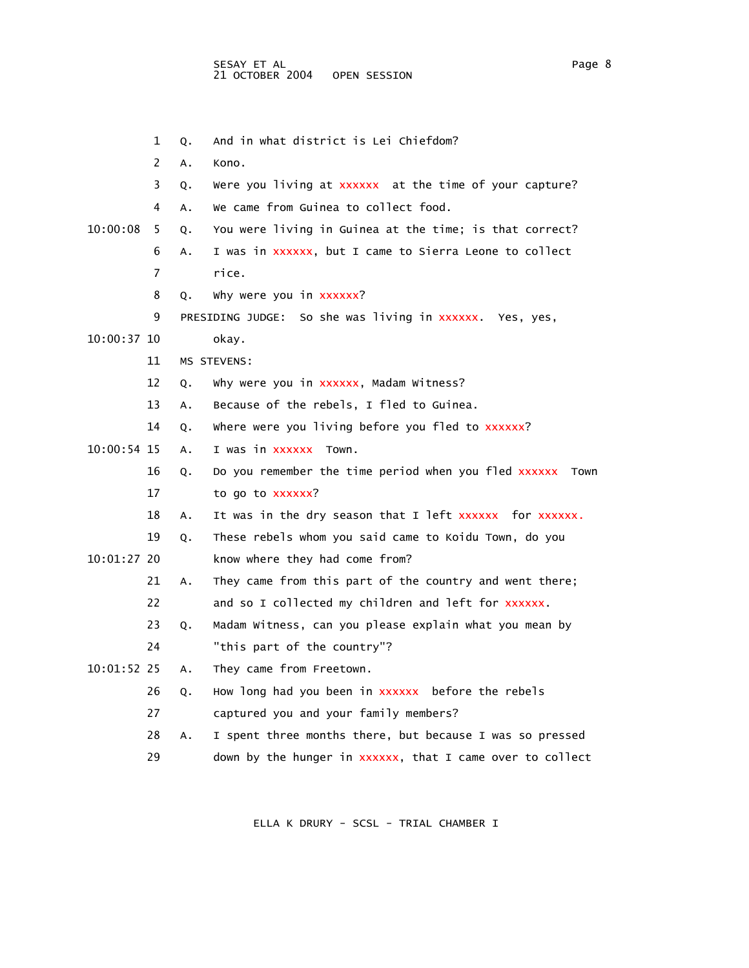|               | 1  | Q. | And in what district is Lei Chiefdom?                        |
|---------------|----|----|--------------------------------------------------------------|
|               | 2  | А. | Kono.                                                        |
|               | 3  | Q. | Were you living at xxxxxx at the time of your capture?       |
|               | 4  | Α. | We came from Guinea to collect food.                         |
| 10:00:08      | 5  | Q. | You were living in Guinea at the time; is that correct?      |
|               | 6  | Α. | I was in xxxxxx, but I came to Sierra Leone to collect       |
|               | 7  |    | rice.                                                        |
|               | 8  | Q. | why were you in xxxxxx?                                      |
|               | 9  |    | PRESIDING JUDGE: So she was living in xxxxxx. Yes, yes,      |
| 10:00:37 10   |    |    | okay.                                                        |
|               | 11 |    | MS STEVENS:                                                  |
|               | 12 | Q. | Why were you in xxxxxx, Madam Witness?                       |
|               | 13 | Α. | Because of the rebels, I fled to Guinea.                     |
|               | 14 | Q. | where were you living before you fled to xxxxxx?             |
| 10:00:54 15   |    | Α. | I was in xxxxxx Town.                                        |
|               | 16 | Q. | Do you remember the time period when you fled xxxxxx<br>Town |
|               | 17 |    | to go to xxxxxx?                                             |
|               | 18 | Α. | It was in the dry season that I left xxxxxx for xxxxxx.      |
|               | 19 | Q. | These rebels whom you said came to Koidu Town, do you        |
| 10:01:27 20   |    |    | know where they had come from?                               |
|               | 21 | Α. | They came from this part of the country and went there;      |
|               | 22 |    | and so I collected my children and left for xxxxxx.          |
|               | 23 | Q. | Madam Witness, can you please explain what you mean by       |
|               | 24 |    | "this part of the country"?                                  |
| $10:01:52$ 25 |    | Α. | They came from Freetown.                                     |
|               | 26 | Q. | How long had you been in xxxxxx before the rebels            |
|               | 27 |    | captured you and your family members?                        |
|               | 28 | А. | I spent three months there, but because I was so pressed     |
|               | 29 |    | down by the hunger in xxxxxx, that I came over to collect    |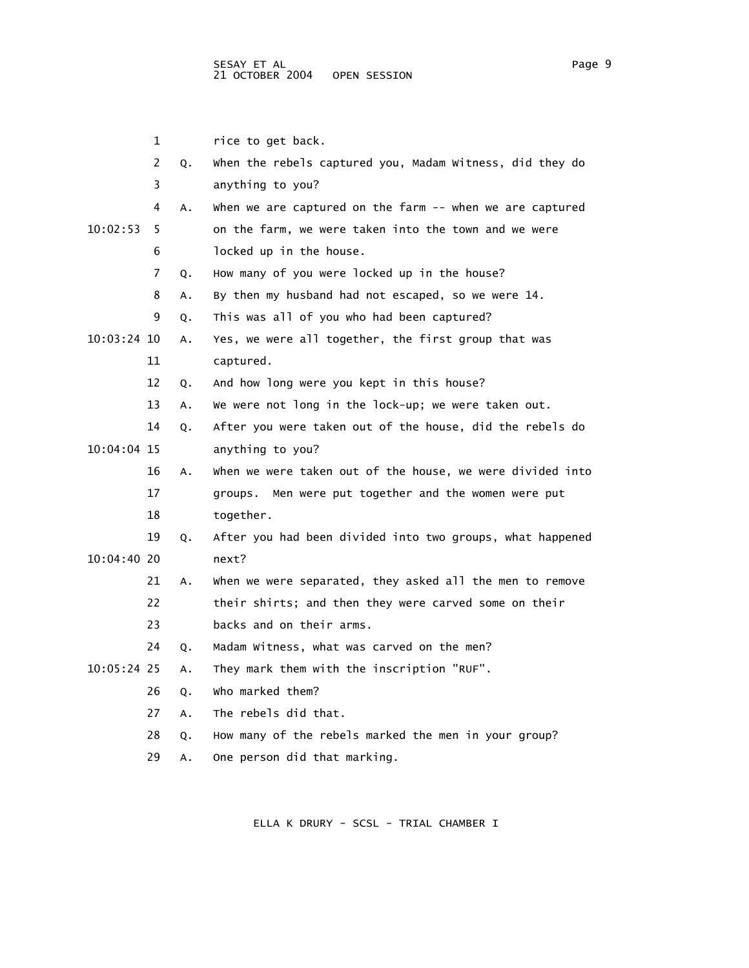|               | 1  |    | rice to get back.                                         |
|---------------|----|----|-----------------------------------------------------------|
|               | 2  | Q. | when the rebels captured you, Madam Witness, did they do  |
|               | 3  |    | anything to you?                                          |
|               | 4  | А. | when we are captured on the farm -- when we are captured  |
| 10:02:53      | 5  |    | on the farm, we were taken into the town and we were      |
|               | 6  |    | locked up in the house.                                   |
|               | 7  | Q. | How many of you were locked up in the house?              |
|               | 8  | Α. | By then my husband had not escaped, so we were 14.        |
|               | 9  | Q. | This was all of you who had been captured?                |
| $10:03:24$ 10 |    | Α. | Yes, we were all together, the first group that was       |
|               | 11 |    | captured.                                                 |
|               | 12 | Q. | And how long were you kept in this house?                 |
|               | 13 | Α. | We were not long in the lock-up; we were taken out.       |
|               | 14 | Q. | After you were taken out of the house, did the rebels do  |
| 10:04:04 15   |    |    | anything to you?                                          |
|               | 16 | Α. | when we were taken out of the house, we were divided into |
|               | 17 |    | groups. Men were put together and the women were put      |
|               | 18 |    | together.                                                 |
|               | 19 | Q. | After you had been divided into two groups, what happened |
| $10:04:40$ 20 |    |    | next?                                                     |
|               | 21 | Α. | when we were separated, they asked all the men to remove  |
|               | 22 |    | their shirts; and then they were carved some on their     |
|               | 23 |    | backs and on their arms.                                  |
|               | 24 | Q. | Madam Witness, what was carved on the men?                |
| 10:05:24 25   |    | Α. | They mark them with the inscription "RUF".                |
|               | 26 | Q. | who marked them?                                          |
|               | 27 | Α. | The rebels did that.                                      |
|               | 28 | Q. | How many of the rebels marked the men in your group?      |
|               | 29 | А. | One person did that marking.                              |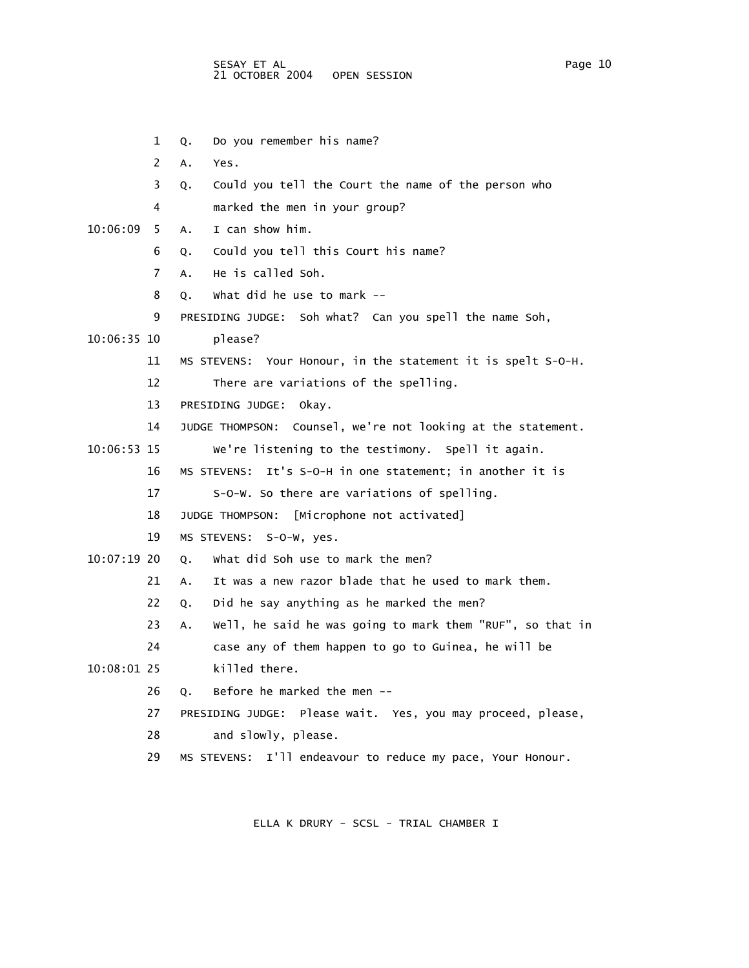1 Q. Do you remember his name? 2 A. Yes. 3 Q. Could you tell the Court the name of the person who 4 marked the men in your group? 10:06:09 5 A. I can show him. 6 Q. Could you tell this Court his name? 7 A. He is called Soh. 8 Q. What did he use to mark -- 9 PRESIDING JUDGE: Soh what? Can you spell the name Soh, 10:06:35 10 please? 11 MS STEVENS: Your Honour, in the statement it is spelt S-O-H. 12 There are variations of the spelling. 13 PRESIDING JUDGE: Okay. 14 JUDGE THOMPSON: Counsel, we're not looking at the statement. 10:06:53 15 We're listening to the testimony. Spell it again. 16 MS STEVENS: It's S-O-H in one statement; in another it is 17 S-O-W. So there are variations of spelling. 18 JUDGE THOMPSON: [Microphone not activated] 19 MS STEVENS: S-O-W, yes. 10:07:19 20 Q. What did Soh use to mark the men? 21 A. It was a new razor blade that he used to mark them. 22 Q. Did he say anything as he marked the men? 23 A. Well, he said he was going to mark them "RUF", so that in 24 case any of them happen to go to Guinea, he will be 10:08:01 25 killed there. 26 Q. Before he marked the men -- 27 PRESIDING JUDGE: Please wait. Yes, you may proceed, please, 28 and slowly, please. 29 MS STEVENS: I'll endeavour to reduce my pace, Your Honour.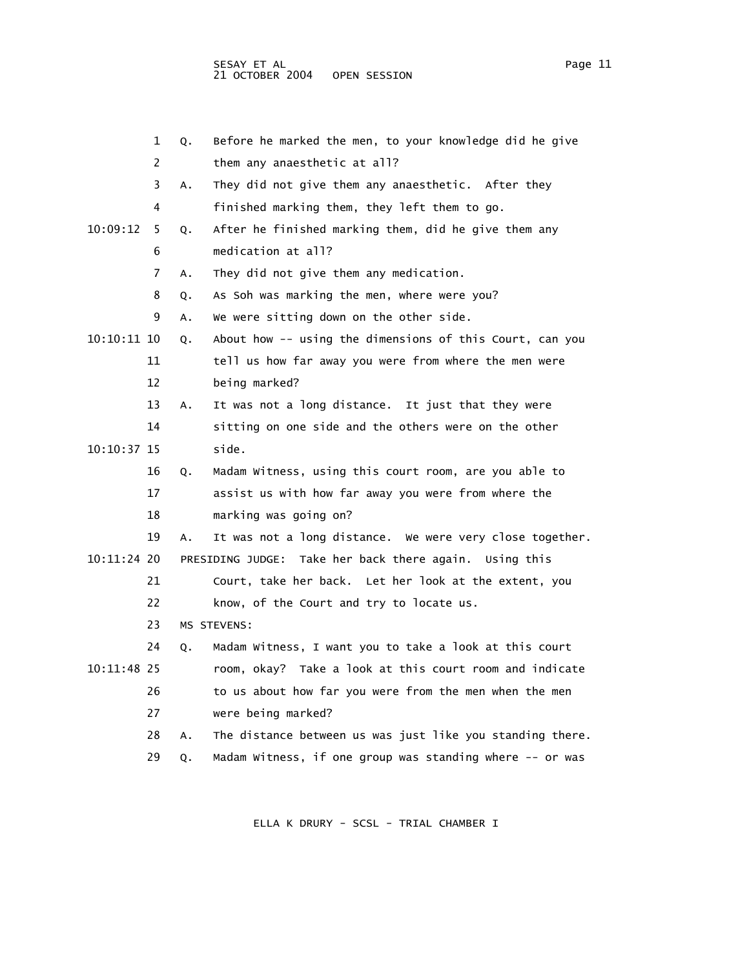1 Q. Before he marked the men, to your knowledge did he give 2 them any anaesthetic at all? 3 A. They did not give them any anaesthetic. After they 4 finished marking them, they left them to go. 10:09:12 5 Q. After he finished marking them, did he give them any 6 medication at all? 7 A. They did not give them any medication. 8 Q. As Soh was marking the men, where were you? 9 A. We were sitting down on the other side. 10:10:11 10 Q. About how -- using the dimensions of this Court, can you 11 tell us how far away you were from where the men were 12 being marked? 13 A. It was not a long distance. It just that they were 14 sitting on one side and the others were on the other 10:10:37 15 side. 16 Q. Madam Witness, using this court room, are you able to 17 assist us with how far away you were from where the 18 marking was going on? 19 A. It was not a long distance. We were very close together. 10:11:24 20 PRESIDING JUDGE: Take her back there again. Using this 21 Court, take her back. Let her look at the extent, you 22 know, of the Court and try to locate us. 23 MS STEVENS: 24 Q. Madam Witness, I want you to take a look at this court 10:11:48 25 room, okay? Take a look at this court room and indicate 26 to us about how far you were from the men when the men 27 were being marked? 28 A. The distance between us was just like you standing there. 29 Q. Madam Witness, if one group was standing where -- or was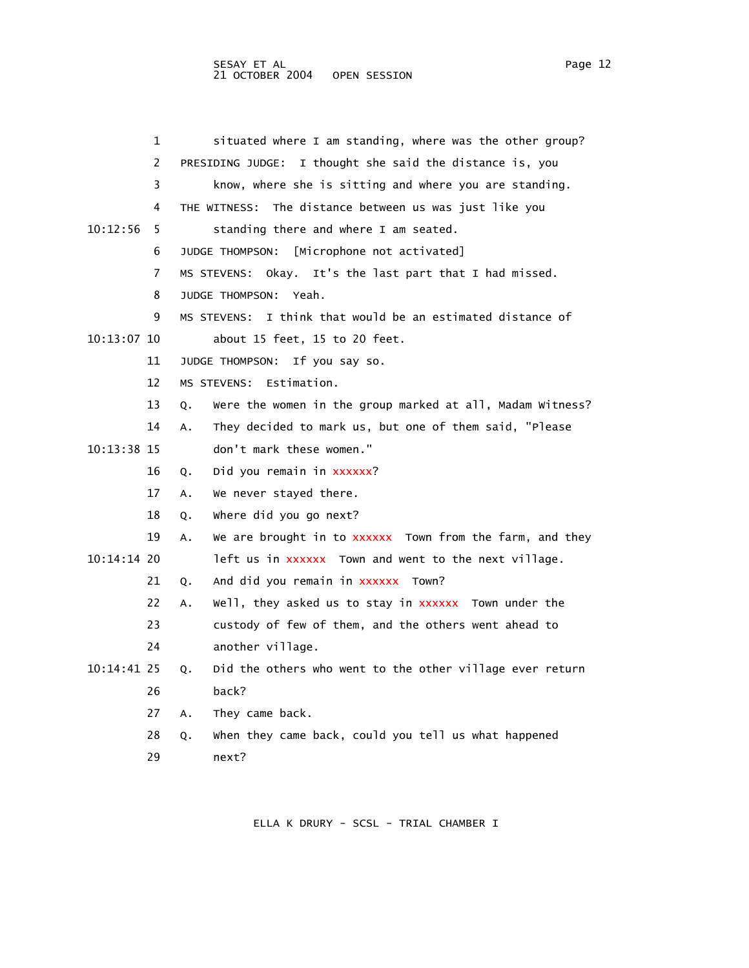|             | 1              | situated where I am standing, where was the other group?        |
|-------------|----------------|-----------------------------------------------------------------|
|             | $\overline{2}$ | PRESIDING JUDGE: I thought she said the distance is, you        |
|             | 3              | know, where she is sitting and where you are standing.          |
|             | 4              | THE WITNESS: The distance between us was just like you          |
| 10:12:56    | 5              | standing there and where I am seated.                           |
|             | 6              | [Microphone not activated]<br>JUDGE THOMPSON:                   |
|             | 7              | MS STEVENS: Okay. It's the last part that I had missed.         |
|             | 8              | JUDGE THOMPSON: Yeah.                                           |
|             | 9              | MS STEVENS: I think that would be an estimated distance of      |
| 10:13:07 10 |                | about 15 feet, 15 to 20 feet.                                   |
|             | 11             | JUDGE THOMPSON:<br>If you say so.                               |
|             | 12             | MS STEVENS: Estimation.                                         |
|             | 13             | Were the women in the group marked at all, Madam Witness?<br>Q. |
|             | 14             | They decided to mark us, but one of them said, "Please<br>A.    |
| 10:13:38 15 |                | don't mark these women."                                        |
|             | 16             | Did you remain in xxxxxx?<br>Q.                                 |
|             | 17             | We never stayed there.<br>А.                                    |
|             | 18             | where did you go next?<br>Q.                                    |
|             | 19             | We are brought in to XXXXXX Town from the farm, and they<br>Α.  |
| 10:14:14 20 |                | left us in xxxxxx Town and went to the next village.            |
|             | 21             | And did you remain in xxxxxx Town?<br>Q.                        |
|             | 22             | Well, they asked us to stay in XXXXXX Town under the<br>Α.      |
|             | 23             | custody of few of them, and the others went ahead to            |
|             | 24             | another village.                                                |
| 10:14:41 25 |                | Did the others who went to the other village ever return<br>Q.  |
|             | 26             | back?                                                           |
|             | 27             | They came back.<br>Α.                                           |
|             | 28             | when they came back, could you tell us what happened<br>Q.      |
|             | 29             | next?                                                           |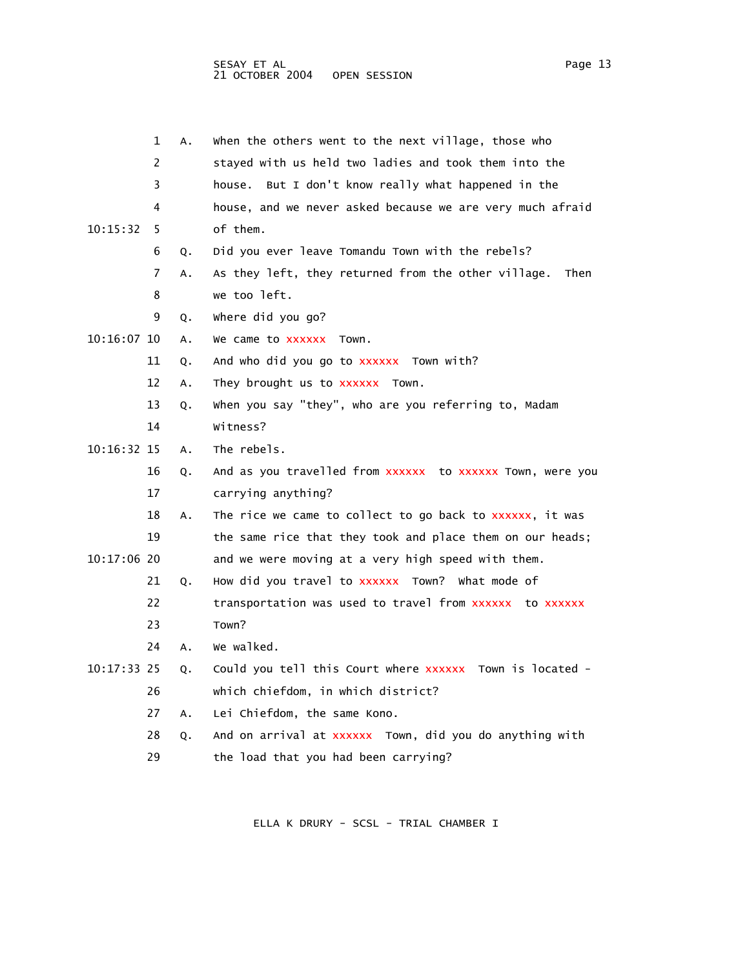|               | 1  | А. | when the others went to the next village, those who         |
|---------------|----|----|-------------------------------------------------------------|
|               | 2  |    | stayed with us held two ladies and took them into the       |
|               | 3  |    | house. But I don't know really what happened in the         |
|               | 4  |    | house, and we never asked because we are very much afraid   |
| 10:15:32      | 5  |    | of them.                                                    |
|               | 6  | Q. | Did you ever leave Tomandu Town with the rebels?            |
|               | 7  | А. | As they left, they returned from the other village.<br>Then |
|               | 8  |    | we too left.                                                |
|               | 9  | Q. | where did you go?                                           |
| $10:16:07$ 10 |    | Α. | We came to xxxxxx<br>Town.                                  |
|               | 11 | Q. | And who did you go to xxxxxx Town with?                     |
|               | 12 | А. | They brought us to XXXXXX Town.                             |
|               | 13 | Q. | when you say "they", who are you referring to, Madam        |
|               | 14 |    | Witness?                                                    |
| 10:16:32 15   |    | А. | The rebels.                                                 |
|               | 16 | Q. | And as you travelled from xxxxxx to xxxxxx Town, were you   |
|               | 17 |    | carrying anything?                                          |
|               | 18 | А. | The rice we came to collect to go back to xxxxxx, it was    |
|               | 19 |    | the same rice that they took and place them on our heads;   |
| $10:17:06$ 20 |    |    | and we were moving at a very high speed with them.          |
|               | 21 | Q. | How did you travel to xxxxxx Town? What mode of             |
|               | 22 |    | transportation was used to travel from xxxxxx to xxxxxx     |
|               | 23 |    | Town?                                                       |
|               | 24 | А. | we walked.                                                  |
| 10:17:33 25   |    | Q. | Could you tell this Court where XXXXXX Town is located -    |
|               | 26 |    | which chiefdom, in which district?                          |
|               | 27 | А. | Lei Chiefdom, the same Kono.                                |
|               | 28 | Q. | And on arrival at xxxxxx Town, did you do anything with     |
|               | 29 |    | the load that you had been carrying?                        |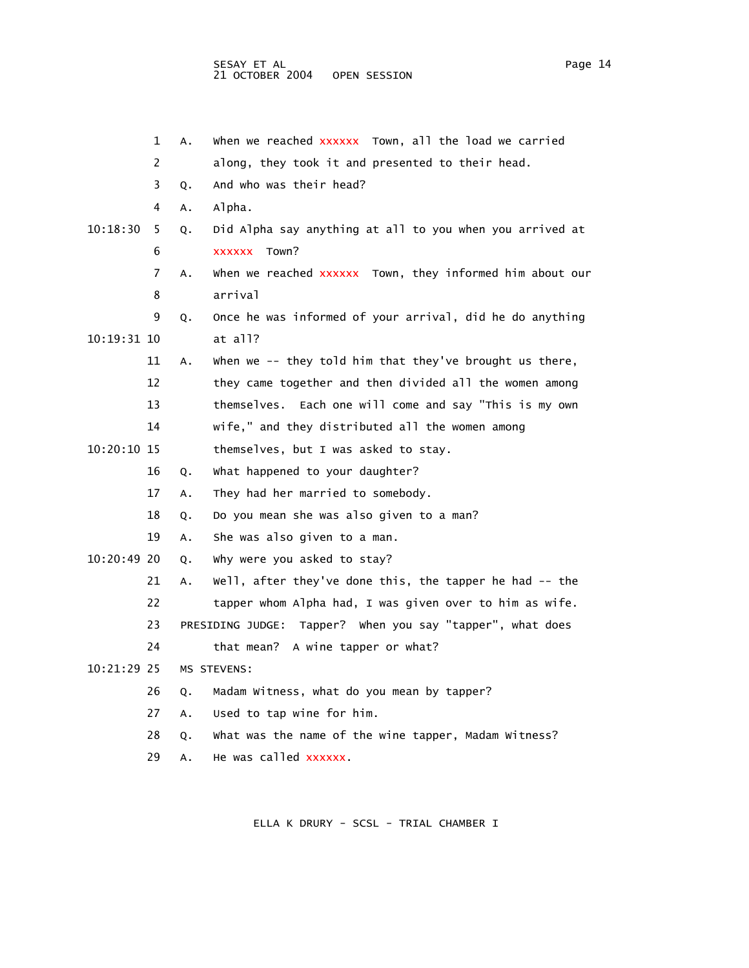|             | 1  | А. | when we reached xxxxxx Town, all the load we carried         |
|-------------|----|----|--------------------------------------------------------------|
|             | 2  |    | along, they took it and presented to their head.             |
|             | 3  | Q. | And who was their head?                                      |
|             | 4  | Α. | Alpha.                                                       |
| 10:18:30    | 5  | Q. | Did Alpha say anything at all to you when you arrived at     |
|             | 6  |    | XXXXXX Town?                                                 |
|             | 7  | Α. | when we reached xxxxxx Town, they informed him about our     |
|             | 8  |    | arrival                                                      |
|             | 9  | Q. | Once he was informed of your arrival, did he do anything     |
| 10:19:31 10 |    |    | at all?                                                      |
|             | 11 | Α. | when we -- they told him that they've brought us there,      |
|             | 12 |    | they came together and then divided all the women among      |
|             | 13 |    | themselves. Each one will come and say "This is my own       |
|             | 14 |    | wife," and they distributed all the women among              |
| 10:20:10 15 |    |    | themselves, but I was asked to stay.                         |
|             | 16 | Q. | What happened to your daughter?                              |
|             | 17 | А. | They had her married to somebody.                            |
|             | 18 | Q. | Do you mean she was also given to a man?                     |
|             | 19 | А. | She was also given to a man.                                 |
| 10:20:49 20 |    | Q. | why were you asked to stay?                                  |
|             | 21 | Α. | Well, after they've done this, the tapper he had -- the      |
|             | 22 |    | tapper whom Alpha had, I was given over to him as wife.      |
|             | 23 |    | PRESIDING JUDGE:<br>Tapper? When you say "tapper", what does |
|             | 24 |    | that mean? A wine tapper or what?                            |
| 10:21:29 25 |    |    | MS STEVENS:                                                  |
|             | 26 | Q. | Madam Witness, what do you mean by tapper?                   |
|             | 27 | А. | Used to tap wine for him.                                    |
|             | 28 | Q. | What was the name of the wine tapper, Madam Witness?         |
|             | 29 | А. | He was called xxxxxx.                                        |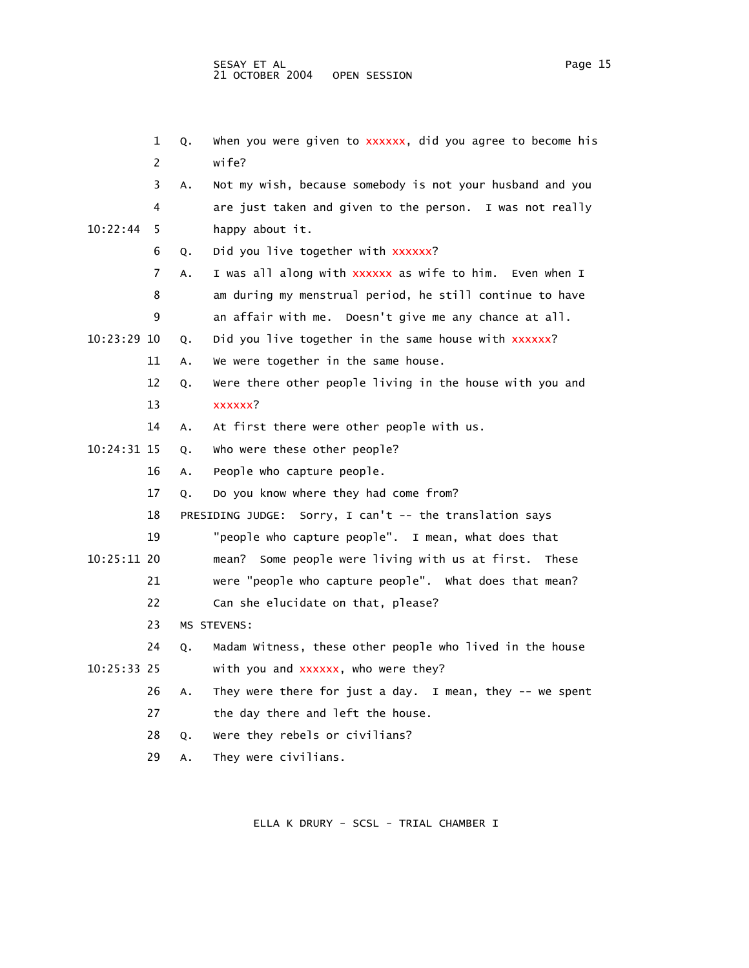1 Q. When you were given to xxxxxx, did you agree to become his 2 wife? 3 A. Not my wish, because somebody is not your husband and you 4 are just taken and given to the person. I was not really 10:22:44 5 happy about it. 6 Q. Did you live together with xxxxxx? 7 A. I was all along with xxxxxx as wife to him. Even when I 8 am during my menstrual period, he still continue to have 9 an affair with me. Doesn't give me any chance at all. 10:23:29 10 Q. Did you live together in the same house with xxxxxx? 11 A. We were together in the same house. 12 Q. Were there other people living in the house with you and 13 xxxxxx? 14 A. At first there were other people with us. 10:24:31 15 Q. Who were these other people? 16 A. People who capture people. 17 Q. Do you know where they had come from? 18 PRESIDING JUDGE: Sorry, I can't -- the translation says 19 "people who capture people". I mean, what does that 10:25:11 20 mean? Some people were living with us at first. These 21 were "people who capture people". What does that mean? 22 Can she elucidate on that, please? 23 MS STEVENS: 24 Q. Madam Witness, these other people who lived in the house 10:25:33 25 with you and xxxxxx, who were they? 26 A. They were there for just a day. I mean, they -- we spent 27 the day there and left the house. 28 Q. Were they rebels or civilians?

29 A. They were civilians.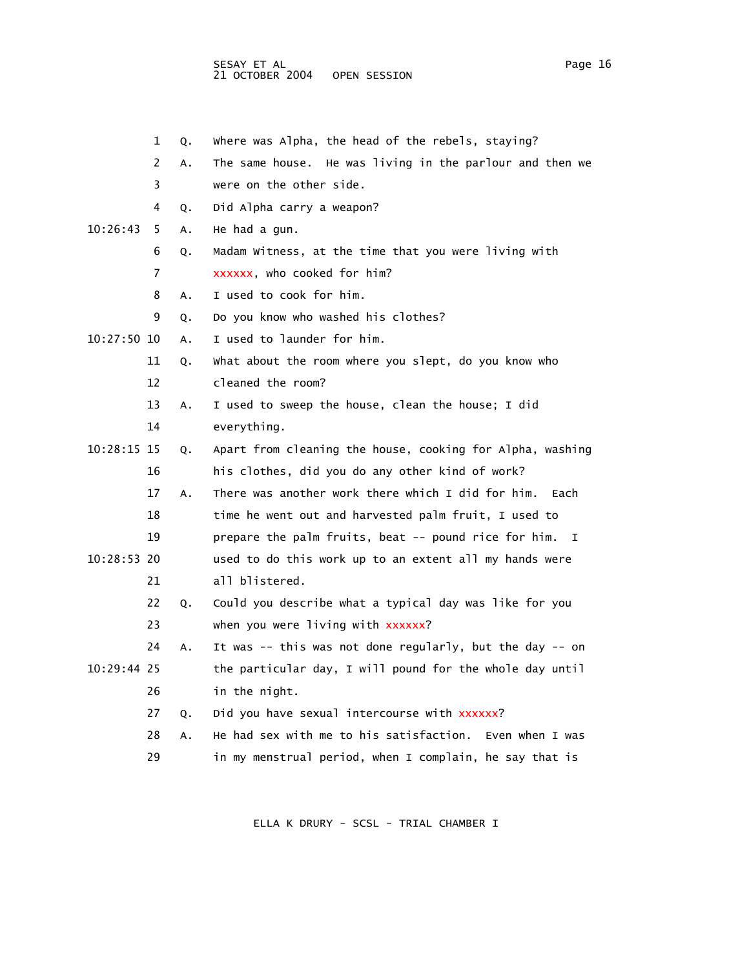SESAY ET AL Page 16 and the set of the set of the set of the set of the set of the set of the set of the set o 21 OCTOBER 2004 OPEN SESSION

|             | 1  | Q. | where was Alpha, the head of the rebels, staying?          |
|-------------|----|----|------------------------------------------------------------|
|             | 2  | Α. | The same house. He was living in the parlour and then we   |
|             | 3  |    | were on the other side.                                    |
|             | 4  | Q. | Did Alpha carry a weapon?                                  |
| 10:26:43    | 5  | A. | He had a gun.                                              |
|             | 6  | Q. | Madam Witness, at the time that you were living with       |
|             | 7  |    | xxxxxx, who cooked for him?                                |
|             | 8  | А. | I used to cook for him.                                    |
|             | 9  | Q. | Do you know who washed his clothes?                        |
| 10:27:50 10 |    | Α. | I used to launder for him.                                 |
|             | 11 | Q. | what about the room where you slept, do you know who       |
|             | 12 |    | cleaned the room?                                          |
|             | 13 | Α. | I used to sweep the house, clean the house; I did          |
|             | 14 |    | everything.                                                |
| 10:28:15 15 |    | Q. | Apart from cleaning the house, cooking for Alpha, washing  |
|             | 16 |    | his clothes, did you do any other kind of work?            |
|             | 17 | A. | There was another work there which I did for him.<br>Each  |
|             | 18 |    | time he went out and harvested palm fruit, I used to       |
|             | 19 |    | prepare the palm fruits, beat -- pound rice for him.<br>I. |
| 10:28:53 20 |    |    | used to do this work up to an extent all my hands were     |
|             | 21 |    | all blistered.                                             |
|             | 22 | Q. | Could you describe what a typical day was like for you     |
|             | 23 |    | when you were living with xxxxxx?                          |
|             | 24 | А. | It was -- this was not done regularly, but the day -- on   |
| 10:29:44 25 |    |    | the particular day, I will pound for the whole day until   |
|             | 26 |    | in the night.                                              |
|             | 27 | Q. | Did you have sexual intercourse with xxxxxx?               |
|             | 28 | A. | He had sex with me to his satisfaction. Even when I was    |
|             | 29 |    | in my menstrual period, when I complain, he say that is    |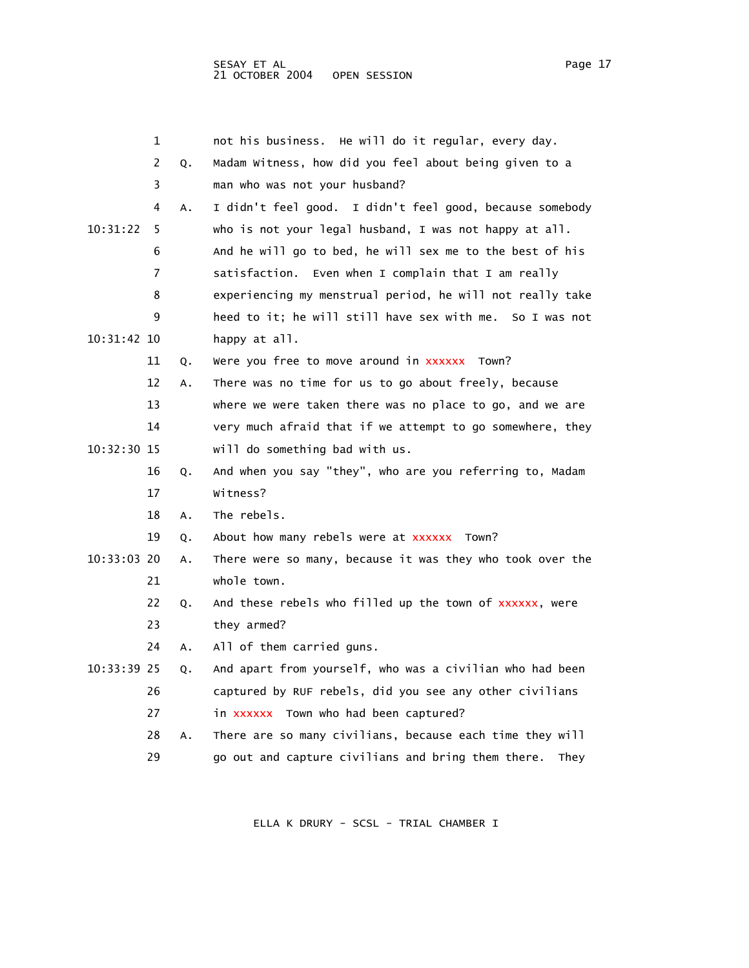|             | 1  |    | not his business. He will do it regular, every day.        |
|-------------|----|----|------------------------------------------------------------|
|             | 2  | Q. | Madam Witness, how did you feel about being given to a     |
|             | 3  |    | man who was not your husband?                              |
|             | 4  | Α. | I didn't feel good. I didn't feel good, because somebody   |
| 10:31:22    | 5  |    | who is not your legal husband, I was not happy at all.     |
|             | 6  |    | And he will go to bed, he will sex me to the best of his   |
|             | 7  |    | satisfaction. Even when I complain that I am really        |
|             | 8  |    | experiencing my menstrual period, he will not really take  |
|             | 9  |    | heed to it; he will still have sex with me. So I was not   |
| 10:31:42 10 |    |    | happy at all.                                              |
|             | 11 | Q. | Were you free to move around in xxxxxx Town?               |
|             | 12 | Α. | There was no time for us to go about freely, because       |
|             | 13 |    | where we were taken there was no place to go, and we are   |
|             | 14 |    | very much afraid that if we attempt to go somewhere, they  |
| 10:32:30 15 |    |    | will do something bad with us.                             |
|             | 16 | Q. | And when you say "they", who are you referring to, Madam   |
|             | 17 |    | Witness?                                                   |
|             | 18 | Α. | The rebels.                                                |
|             | 19 | Q. | About how many rebels were at xxxxxx Town?                 |
| 10:33:03 20 |    | Α. | There were so many, because it was they who took over the  |
|             | 21 |    | whole town.                                                |
|             | 22 | Q. | And these rebels who filled up the town of xxxxxx, were    |
|             | 23 |    | they armed?                                                |
|             | 24 | А. | All of them carried guns.                                  |
| 10:33:39 25 |    | Q. | And apart from yourself, who was a civilian who had been   |
|             | 26 |    | captured by RUF rebels, did you see any other civilians    |
|             | 27 |    | in xxxxxx Town who had been captured?                      |
|             | 28 | Α. | There are so many civilians, because each time they will   |
|             | 29 |    | go out and capture civilians and bring them there.<br>They |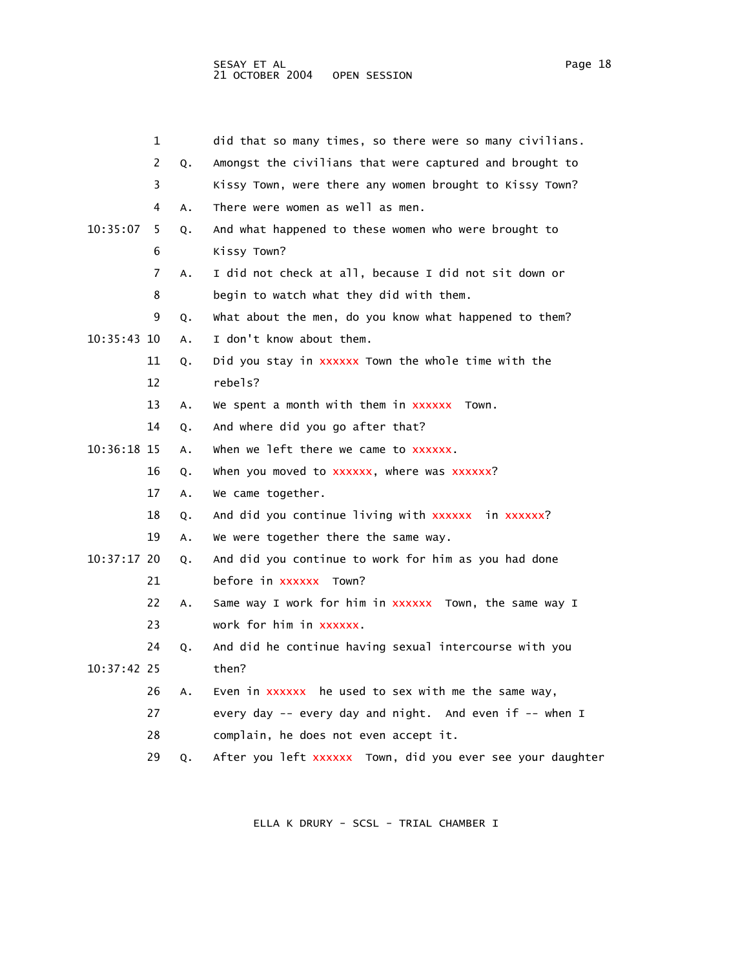|               | 1  |    | did that so many times, so there were so many civilians.   |
|---------------|----|----|------------------------------------------------------------|
|               | 2  | Q. | Amongst the civilians that were captured and brought to    |
|               | 3  |    | Kissy Town, were there any women brought to Kissy Town?    |
|               | 4  | Α. | There were women as well as men.                           |
| 10:35:07      | 5  | Q. | And what happened to these women who were brought to       |
|               | 6  |    | Kissy Town?                                                |
|               | 7  | А. | I did not check at all, because I did not sit down or      |
|               | 8  |    | begin to watch what they did with them.                    |
|               | 9  | Q. | what about the men, do you know what happened to them?     |
| 10:35:43 10   |    | А. | I don't know about them.                                   |
|               | 11 | Q. | Did you stay in xxxxxx Town the whole time with the        |
|               | 12 |    | rebels?                                                    |
|               | 13 | А. | We spent a month with them in xxxxxx<br>Town.              |
|               | 14 | Q. | And where did you go after that?                           |
| 10:36:18 15   |    | Α. | when we left there we came to xxxxxx.                      |
|               | 16 | Q. | when you moved to xxxxxx, where was xxxxxx?                |
|               | 17 | Α. | We came together.                                          |
|               | 18 | Q. | And did you continue living with xxxxxx in xxxxxx?         |
|               | 19 | А. | We were together there the same way.                       |
| $10:37:17$ 20 |    | Q. | And did you continue to work for him as you had done       |
|               | 21 |    | before in xxxxxx Town?                                     |
|               | 22 | А. | Same way I work for him in xxxxxx Town, the same way I     |
|               | 23 |    | work for him in xxxxxx.                                    |
|               | 24 | Q. | And did he continue having sexual intercourse with you     |
| 10:37:42 25   |    |    | then?                                                      |
|               | 26 | А. | Even in xxxxxx he used to sex with me the same way,        |
|               | 27 |    | every day -- every day and night. And even if -- when I    |
|               | 28 |    | complain, he does not even accept it.                      |
|               | 29 | Q. | After you left xxxxxx Town, did you ever see your daughter |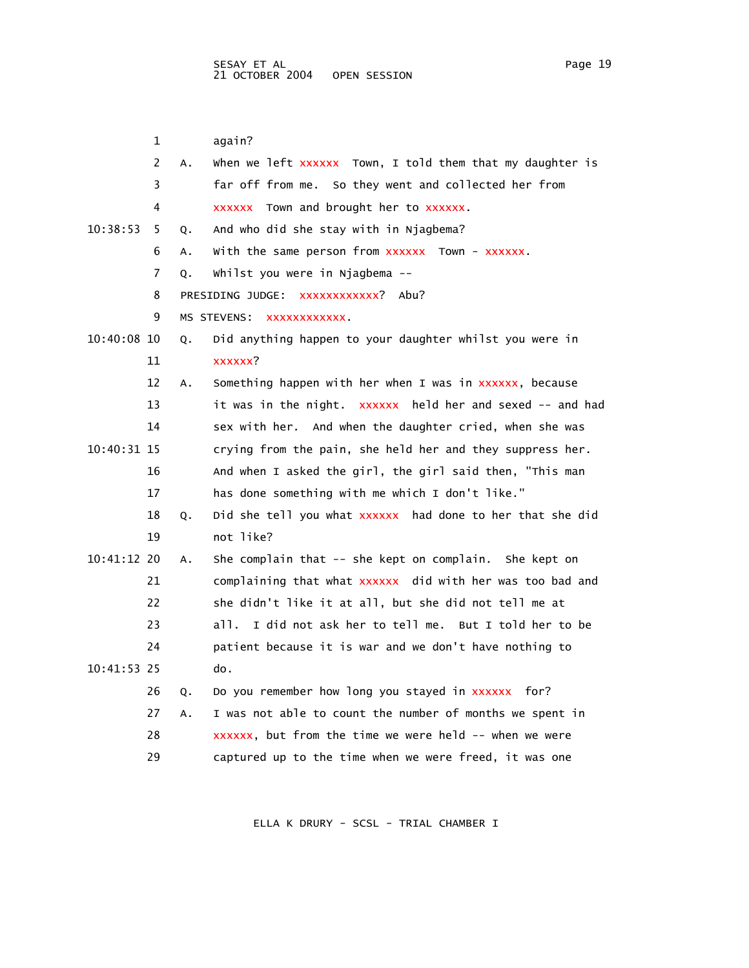1 again? 2 A. When we left xxxxxx Town, I told them that my daughter is 3 far off from me. So they went and collected her from 4 xxxxxx Town and brought her to xxxxxx. 10:38:53 5 Q. And who did she stay with in Njagbema? 6 A. With the same person from xxxxxx Town - xxxxxx. 7 Q. Whilst you were in Njagbema -- 8 PRESIDING JUDGE: xxxxxxxxxxxx? Abu? 9 MS STEVENS: XXXXXXXXXXXX. 10:40:08 10 Q. Did anything happen to your daughter whilst you were in 11 xxxxxx? 12 A. Something happen with her when I was in xxxxxx, because 13 it was in the night. xxxxxx held her and sexed -- and had 14 sex with her. And when the daughter cried, when she was 10:40:31 15 crying from the pain, she held her and they suppress her. 16 And when I asked the girl, the girl said then, "This man 17 has done something with me which I don't like." 18 Q. Did she tell you what xxxxxx had done to her that she did 19 not like? 10:41:12 20 A. She complain that -- she kept on complain. She kept on 21 complaining that what xxxxxx did with her was too bad and 22 she didn't like it at all, but she did not tell me at 23 all. I did not ask her to tell me. But I told her to be 24 patient because it is war and we don't have nothing to 10:41:53 25 do. 26 Q. Do you remember how long you stayed in xxxxxx for? 27 A. I was not able to count the number of months we spent in 28 xxxxxx, but from the time we were held -- when we were 29 captured up to the time when we were freed, it was one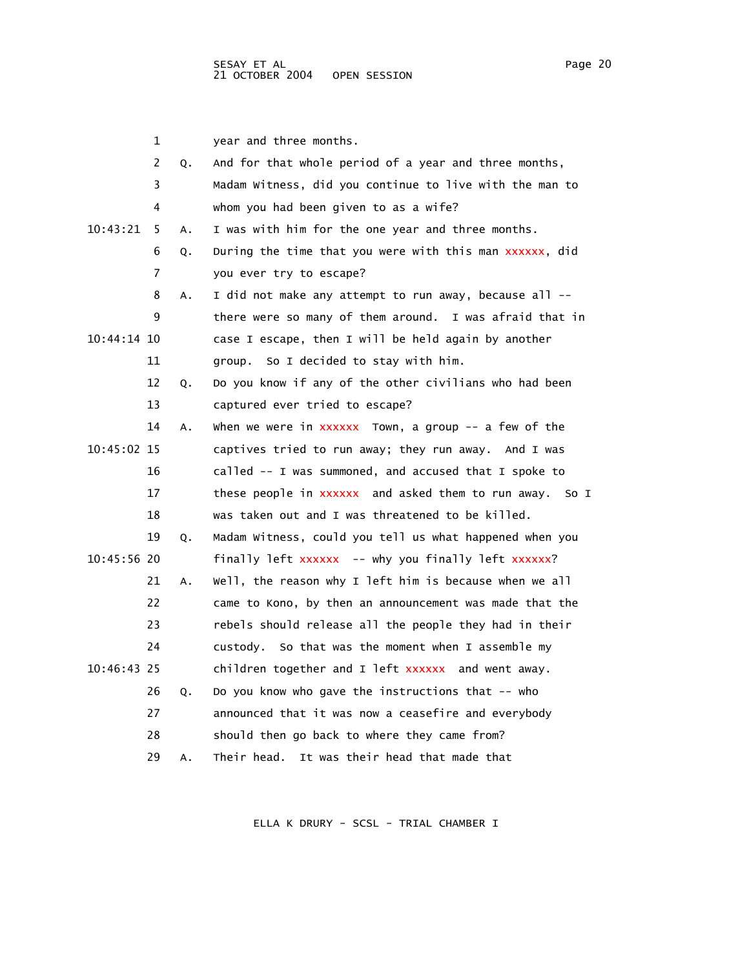|             | 1              |    | year and three months.                                     |
|-------------|----------------|----|------------------------------------------------------------|
|             | $\overline{2}$ | Q. | And for that whole period of a year and three months,      |
|             | 3              |    | Madam Witness, did you continue to live with the man to    |
|             | 4              |    | whom you had been given to as a wife?                      |
| 10:43:21    | 5              | A. | I was with him for the one year and three months.          |
|             | 6              | Q. | During the time that you were with this man xxxxxx, did    |
|             | 7              |    | you ever try to escape?                                    |
|             | 8              | Α. | I did not make any attempt to run away, because all --     |
|             | 9              |    | there were so many of them around. I was afraid that in    |
| 10:44:14 10 |                |    | case I escape, then I will be held again by another        |
|             | 11             |    | group. So I decided to stay with him.                      |
|             | 12             | Q. | Do you know if any of the other civilians who had been     |
|             | 13             |    | captured ever tried to escape?                             |
|             | 14             | Α. | when we were in $xxxxx$ Town, a group $-$ a few of the     |
| 10:45:02 15 |                |    | captives tried to run away; they run away. And I was       |
|             | 16             |    | called -- I was summoned, and accused that I spoke to      |
|             | 17             |    | these people in xxxxxx and asked them to run away.<br>So I |
|             | 18             |    | was taken out and I was threatened to be killed.           |
|             | 19             | Q. | Madam Witness, could you tell us what happened when you    |
| 10:45:56 20 |                |    | finally left xxxxxx -- why you finally left xxxxxx?        |
|             | 21             | А. | Well, the reason why I left him is because when we all     |
|             | 22             |    | came to Kono, by then an announcement was made that the    |
|             | 23             |    | rebels should release all the people they had in their     |
|             | 24             |    | custody. So that was the moment when I assemble my         |
| 10:46:43 25 |                |    | children together and I left xxxxxx and went away.         |
|             | 26             | Q. | Do you know who gave the instructions that -- who          |
|             | 27             |    | announced that it was now a ceasefire and everybody        |
|             | 28             |    | should then go back to where they came from?               |
|             | 29             | Α. | Their head. It was their head that made that               |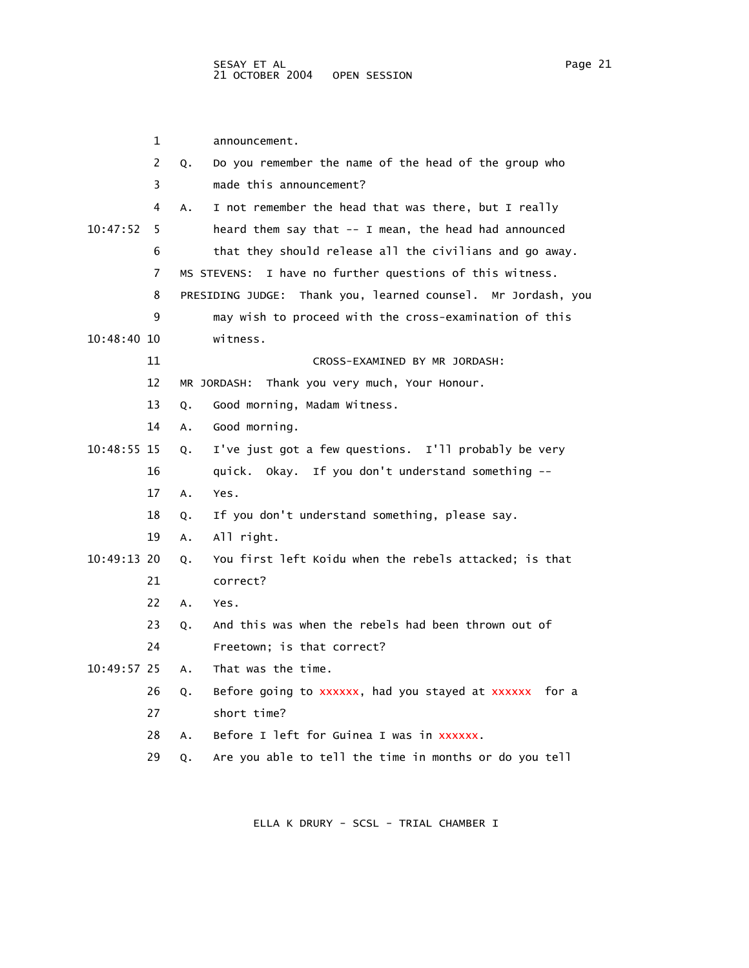|               | $\mathbf 1$ | announcement.                                                |
|---------------|-------------|--------------------------------------------------------------|
|               | 2           | Do you remember the name of the head of the group who<br>Q.  |
|               | 3           | made this announcement?                                      |
|               | 4           | I not remember the head that was there, but I really<br>А.   |
| 10:47:52      | 5           | heard them say that -- I mean, the head had announced        |
|               | 6           | that they should release all the civilians and go away.      |
|               | 7           | MS STEVENS: I have no further questions of this witness.     |
|               | 8           | PRESIDING JUDGE: Thank you, learned counsel. Mr Jordash, you |
|               | 9           | may wish to proceed with the cross-examination of this       |
| $10:48:40$ 10 |             | witness.                                                     |
|               | 11          | CROSS-EXAMINED BY MR JORDASH:                                |
|               | 12          | Thank you very much, Your Honour.<br>MR JORDASH:             |
|               | 13          | Good morning, Madam Witness.<br>Q.                           |
|               | 14          | Good morning.<br>A.                                          |
| 10:48:55 15   |             | I've just got a few questions. I'll probably be very<br>0.   |
|               | 16          | quick. Okay. If you don't understand something --            |
|               | 17          | A.<br>Yes.                                                   |
|               | 18          | If you don't understand something, please say.<br>Q.         |
|               | 19          | All right.<br>А.                                             |
| 10:49:13 20   |             | You first left Koidu when the rebels attacked; is that<br>Q. |
|               | 21          | correct?                                                     |
|               | 22          | Α.<br>Yes.                                                   |
|               | 23          | And this was when the rebels had been thrown out of<br>Q.    |
|               | 24          | Freetown; is that correct?                                   |
| $10:49:57$ 25 |             | That was the time.<br>Α.                                     |
|               | 26          | Before going to xxxxxx, had you stayed at xxxxxx for a<br>Q. |
|               | 27          | short time?                                                  |
|               |             |                                                              |

- 28 A. Before I left for Guinea I was in xxxxxx.
- 29 Q. Are you able to tell the time in months or do you tell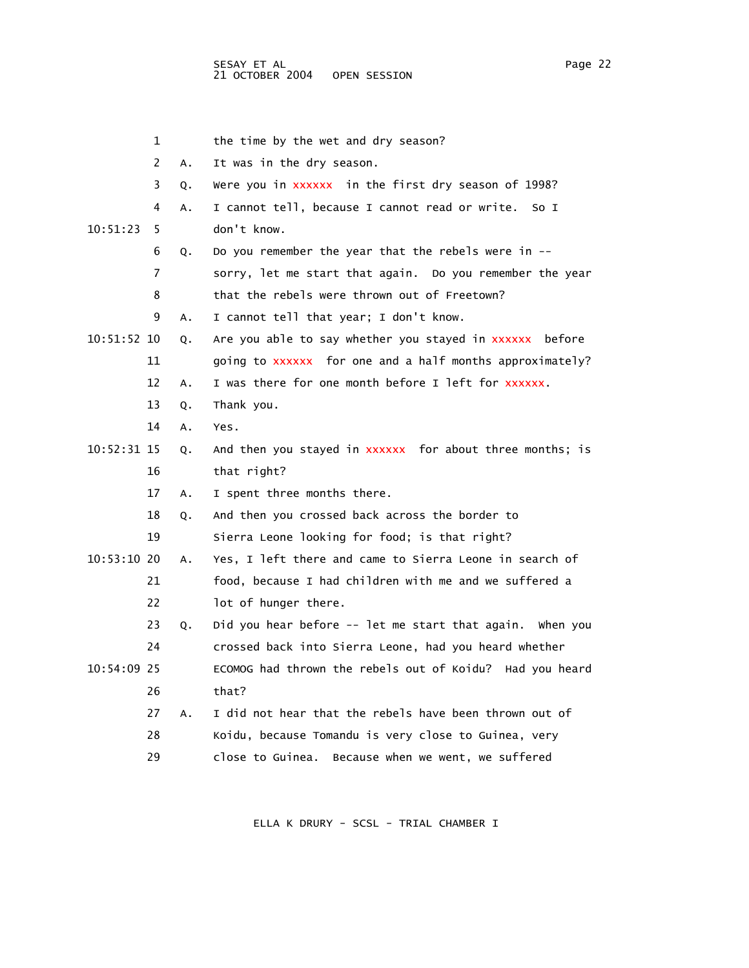|             | 1  |    | the time by the wet and dry season?                      |
|-------------|----|----|----------------------------------------------------------|
|             | 2  | Α. | It was in the dry season.                                |
|             | 3  | Q. | Were you in xxxxxx in the first dry season of 1998?      |
|             | 4  | А. | I cannot tell, because I cannot read or write.<br>So I   |
| 10:51:23    | 5  |    | don't know.                                              |
|             | 6  | Q. | Do you remember the year that the rebels were in $-$     |
|             | 7  |    | sorry, let me start that again. Do you remember the year |
|             | 8  |    | that the rebels were thrown out of Freetown?             |
|             | 9  | А. | I cannot tell that year; I don't know.                   |
| 10:51:52 10 |    | Q. | Are you able to say whether you stayed in xxxxxx before  |
|             | 11 |    | going to xxxxxx for one and a half months approximately? |
|             | 12 | Α. | I was there for one month before I left for xxxxxx.      |
|             | 13 | Q. | Thank you.                                               |
|             | 14 | Α. | Yes.                                                     |
| 10:52:31 15 |    | Q. | And then you stayed in xxxxxx for about three months; is |
|             | 16 |    | that right?                                              |
|             | 17 | Α. | I spent three months there.                              |
|             | 18 | Q. | And then you crossed back across the border to           |
|             | 19 |    | Sierra Leone looking for food; is that right?            |
| 10:53:10 20 |    | A. | Yes, I left there and came to Sierra Leone in search of  |
|             | 21 |    | food, because I had children with me and we suffered a   |
|             | 22 |    | lot of hunger there.                                     |
|             | 23 | Q. | Did you hear before -- let me start that again. When you |
|             | 24 |    | crossed back into Sierra Leone, had you heard whether    |
| 10:54:09 25 |    |    | ECOMOG had thrown the rebels out of Koidu? Had you heard |
|             | 26 |    | that?                                                    |
|             | 27 | Α. | I did not hear that the rebels have been thrown out of   |
|             | 28 |    | Koidu, because Tomandu is very close to Guinea, very     |
|             | 29 |    | close to Guinea.<br>Because when we went, we suffered    |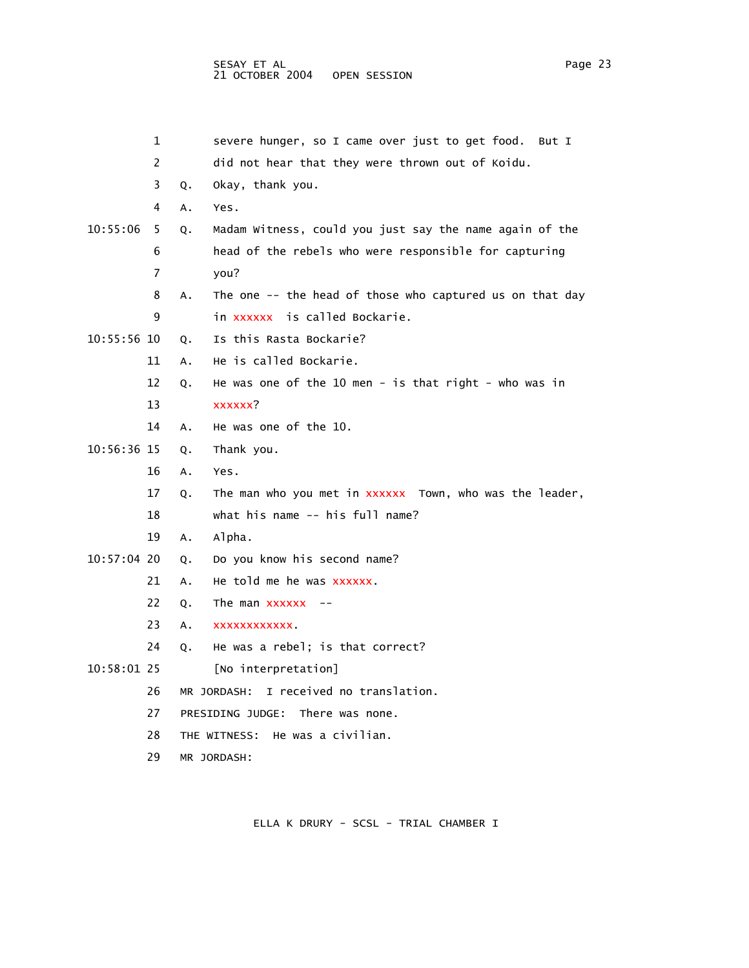|             | 1  |    | severe hunger, so I came over just to get food.<br>But I |
|-------------|----|----|----------------------------------------------------------|
|             | 2  |    | did not hear that they were thrown out of Koidu.         |
|             | 3  | Q. | Okay, thank you.                                         |
|             | 4  | А. | Yes.                                                     |
| 10:55:06    | 5. | Q. | Madam Witness, could you just say the name again of the  |
|             | 6  |    | head of the rebels who were responsible for capturing    |
|             | 7  |    | you?                                                     |
|             | 8  | Α. | The one -- the head of those who captured us on that day |
|             | 9  |    | in xxxxxx is called Bockarie.                            |
| 10:55:56 10 |    | Q. | Is this Rasta Bockarie?                                  |
|             | 11 | Α. | He is called Bockarie.                                   |
|             | 12 | Q. | He was one of the 10 men - is that right - who was in    |
|             | 13 |    | xxxxxx?                                                  |
|             | 14 | А. | He was one of the 10.                                    |
| 10:56:36 15 |    | Q. | Thank you.                                               |
|             | 16 | А. | Yes.                                                     |
|             | 17 | Q. | The man who you met in xxxxxx Town, who was the leader,  |
|             | 18 |    | what his name -- his full name?                          |
|             | 19 | Α. | Alpha.                                                   |
| 10:57:04 20 |    | Q. | Do you know his second name?                             |
|             | 21 | А. | He told me he was xxxxxx.                                |
|             | 22 | Q. | The man $xxxxx$ --                                       |
|             | 23 | Α. | XXXXXXXXXXX.                                             |
|             | 24 | Q. | He was a rebel; is that correct?                         |
| 10:58:01 25 |    |    | [No interpretation]                                      |
|             | 26 |    | I received no translation.<br>MR JORDASH:                |
|             | 27 |    | There was none.<br>PRESIDING JUDGE:                      |
|             | 28 |    | He was a civilian.<br>THE WITNESS:                       |
|             | 29 |    | MR JORDASH:                                              |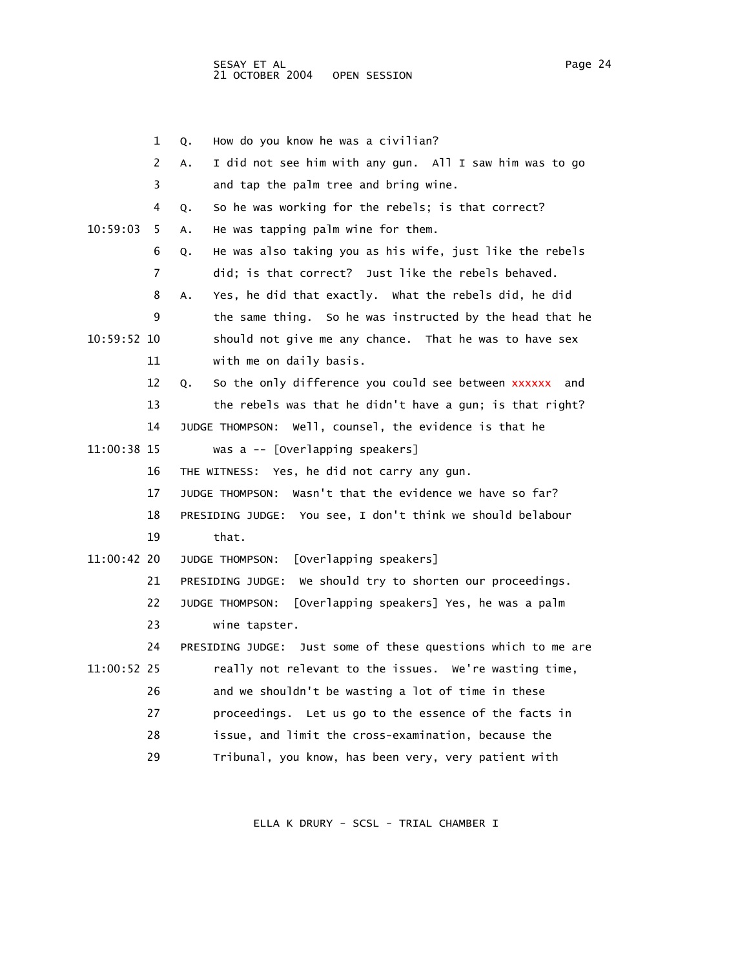|             | 1  | How do you know he was a civilian?<br>Q.                           |
|-------------|----|--------------------------------------------------------------------|
|             | 2  | I did not see him with any gun. All I saw him was to go<br>Α.      |
|             | 3  | and tap the palm tree and bring wine.                              |
|             | 4  | So he was working for the rebels; is that correct?<br>Q.           |
| 10:59:03    | 5  | He was tapping palm wine for them.<br>A.                           |
|             | 6  | He was also taking you as his wife, just like the rebels<br>Q.     |
|             | 7  | did; is that correct? Just like the rebels behaved.                |
|             | 8  | Yes, he did that exactly. What the rebels did, he did<br>Α.        |
|             | 9  | the same thing. So he was instructed by the head that he           |
| 10:59:52 10 |    | should not give me any chance. That he was to have sex             |
|             | 11 | with me on daily basis.                                            |
|             | 12 | So the only difference you could see between xxxxxx<br>and<br>Q.   |
|             | 13 | the rebels was that he didn't have a gun; is that right?           |
|             | 14 | well, counsel, the evidence is that he<br>JUDGE THOMPSON:          |
| 11:00:38 15 |    | was a -- [Overlapping speakers]                                    |
|             | 16 | THE WITNESS: Yes, he did not carry any gun.                        |
|             | 17 | Wasn't that the evidence we have so far?<br><b>JUDGE THOMPSON:</b> |
|             | 18 | PRESIDING JUDGE: You see, I don't think we should belabour         |
|             | 19 | that.                                                              |
| 11:00:42 20 |    | [Overlapping speakers]<br>JUDGE THOMPSON:                          |
|             | 21 | We should try to shorten our proceedings.<br>PRESIDING JUDGE:      |
|             | 22 | JUDGE THOMPSON:<br>[Overlapping speakers] Yes, he was a palm       |
|             | 23 | wine tapster.                                                      |
|             | 24 | Just some of these questions which to me are<br>PRESIDING JUDGE:   |
| 11:00:52 25 |    | really not relevant to the issues. We're wasting time,             |
|             | 26 | and we shouldn't be wasting a lot of time in these                 |
|             | 27 | proceedings. Let us go to the essence of the facts in              |
|             | 28 | issue, and limit the cross-examination, because the                |
|             | 29 | Tribunal, you know, has been very, very patient with               |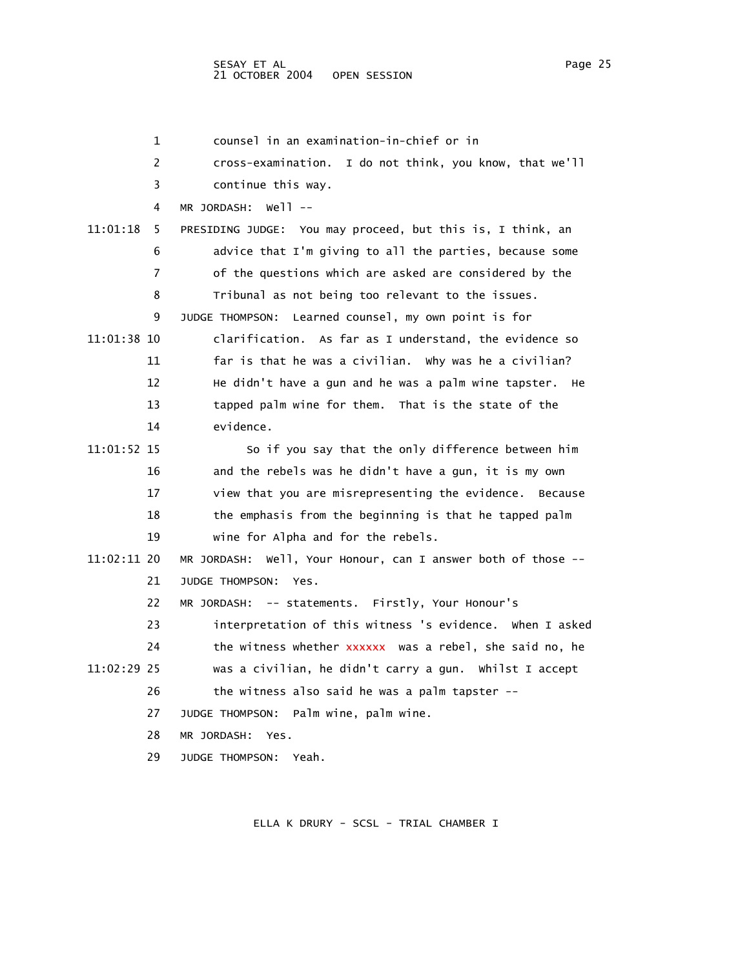### SESAY ET AL Page 25 and the set of the set of the set of the set of the set of the set of the set of the set of the set of the set of the set of the set of the set of the set of the set of the set of the set of the set of 21 OCTOBER 2004 OPEN SESSION

|             | 1  | counsel in an examination-in-chief or in                     |
|-------------|----|--------------------------------------------------------------|
|             | 2  | I do not think, you know, that we'll<br>cross-examination.   |
|             | 3  | continue this way.                                           |
|             | 4  | well --<br>MR JORDASH:                                       |
| 11:01:18    | 5  | PRESIDING JUDGE: You may proceed, but this is, I think, an   |
|             | 6  | advice that I'm giving to all the parties, because some      |
|             | 7  | of the questions which are asked are considered by the       |
|             | 8  | Tribunal as not being too relevant to the issues.            |
|             | 9  | Learned counsel, my own point is for<br>JUDGE THOMPSON:      |
| 11:01:38 10 |    | clarification. As far as I understand, the evidence so       |
|             | 11 | far is that he was a civilian. Why was he a civilian?        |
|             | 12 | He didn't have a gun and he was a palm wine tapster.<br>не   |
|             | 13 | tapped palm wine for them. That is the state of the          |
|             | 14 | evidence.                                                    |
| 11:01:52 15 |    | So if you say that the only difference between him           |
|             | 16 | and the rebels was he didn't have a gun, it is my own        |
|             | 17 | view that you are misrepresenting the evidence. Because      |
|             | 18 | the emphasis from the beginning is that he tapped palm       |
|             | 19 | wine for Alpha and for the rebels.                           |
| 11:02:11 20 |    | MR JORDASH: Well, Your Honour, can I answer both of those -- |
|             | 21 | JUDGE THOMPSON:<br>Yes.                                      |
|             | 22 | MR JORDASH: -- statements. Firstly, Your Honour's            |
|             | 23 | interpretation of this witness 's evidence. When I asked     |
|             | 24 | the witness whether xxxxxx was a rebel, she said no, he      |
| 11:02:29 25 |    | was a civilian, he didn't carry a gun. Whilst I accept       |
|             | 26 | the witness also said he was a palm tapster --               |
|             | 27 | JUDGE THOMPSON: Palm wine, palm wine.                        |
|             | 28 | MR JORDASH:<br>Yes.                                          |
|             | 29 | JUDGE THOMPSON: Yeah.                                        |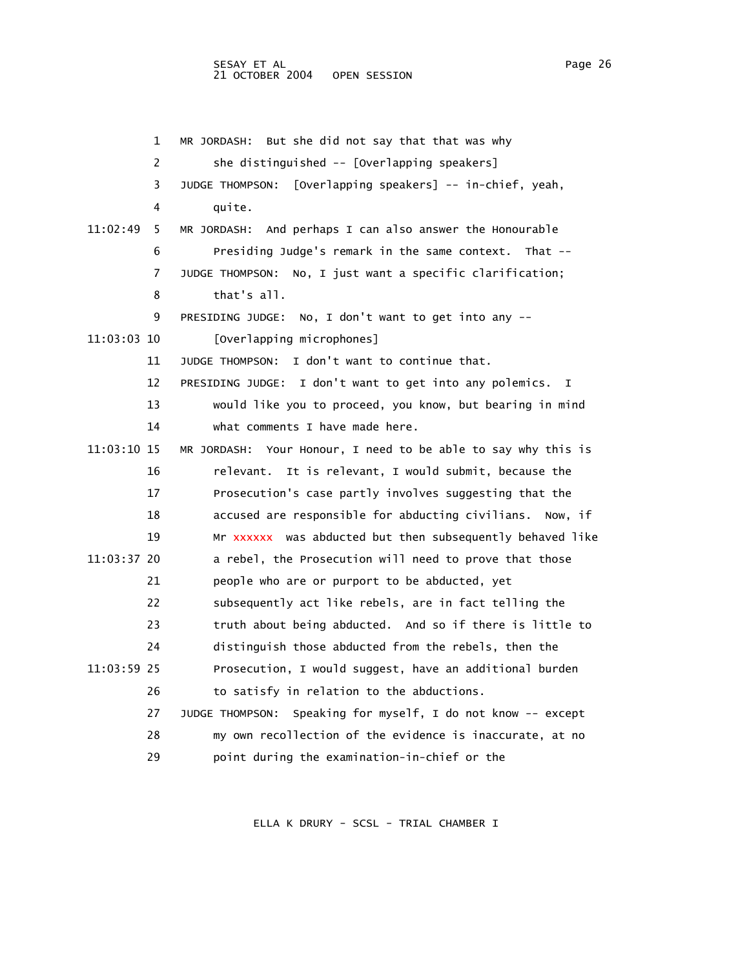|             | 1  | But she did not say that that was why<br>MR JORDASH:          |
|-------------|----|---------------------------------------------------------------|
|             | 2  | she distinguished -- [Overlapping speakers]                   |
|             | 3  | [Overlapping speakers] -- in-chief, yeah,<br>JUDGE THOMPSON:  |
|             | 4  | quite.                                                        |
| 11:02:49    | 5. | And perhaps I can also answer the Honourable<br>MR JORDASH:   |
|             | 6  | Presiding Judge's remark in the same context. That --         |
|             | 7  | JUDGE THOMPSON: No, I just want a specific clarification;     |
|             | 8  | that's all.                                                   |
|             | 9  | PRESIDING JUDGE: No, I don't want to get into any --          |
| 11:03:03 10 |    | [Overlapping microphones]                                     |
|             | 11 | JUDGE THOMPSON: I don't want to continue that.                |
|             | 12 | PRESIDING JUDGE: I don't want to get into any polemics.<br>I  |
|             | 13 | would like you to proceed, you know, but bearing in mind      |
|             | 14 | what comments I have made here.                               |
| 11:03:10 15 |    | MR JORDASH: Your Honour, I need to be able to say why this is |
|             | 16 | relevant. It is relevant, I would submit, because the         |
|             | 17 | Prosecution's case partly involves suggesting that the        |
|             | 18 | accused are responsible for abducting civilians. Now, if      |
|             | 19 | Mr xxxxxx was abducted but then subsequently behaved like     |
| 11:03:37 20 |    | a rebel, the Prosecution will need to prove that those        |
|             | 21 | people who are or purport to be abducted, yet                 |
|             | 22 | subsequently act like rebels, are in fact telling the         |
|             | 23 | truth about being abducted. And so if there is little to      |
|             | 24 | distinguish those abducted from the rebels, then the          |
| 11:03:59 25 |    | Prosecution, I would suggest, have an additional burden       |
|             | 26 | to satisfy in relation to the abductions.                     |
|             | 27 | JUDGE THOMPSON: Speaking for myself, I do not know -- except  |
|             | 28 | my own recollection of the evidence is inaccurate, at no      |
|             | 29 | point during the examination-in-chief or the                  |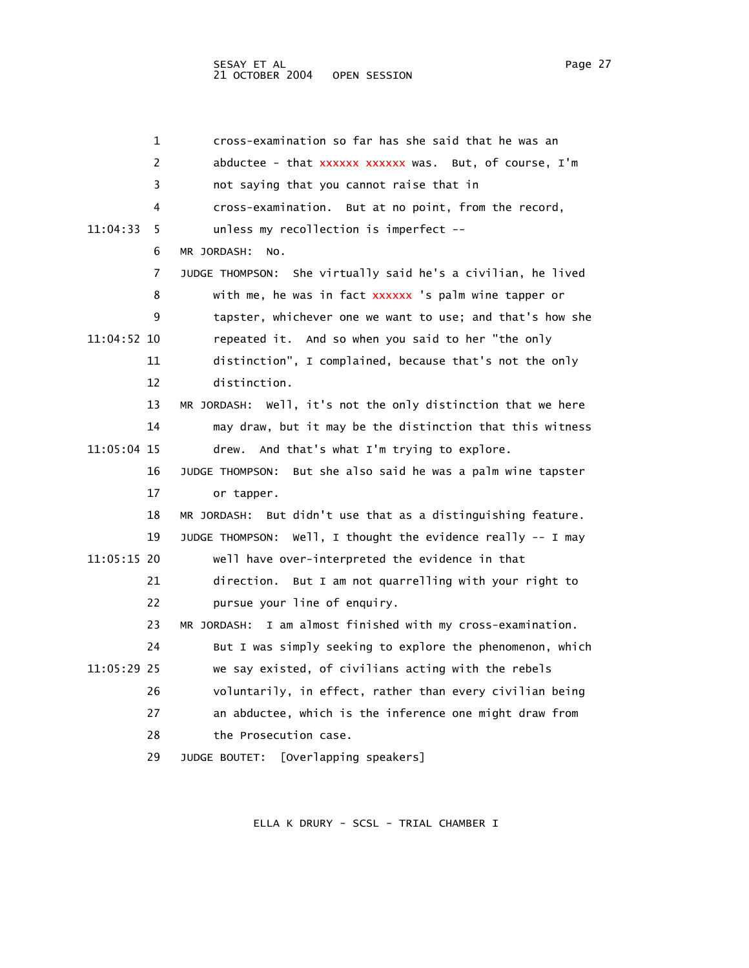| 1              | cross-examination so far has she said that he was an            |
|----------------|-----------------------------------------------------------------|
| 2              | abductee - that xxxxxx xxxxxx was. But, of course, I'm          |
| 3              | not saying that you cannot raise that in                        |
| 4              | cross-examination. But at no point, from the record,            |
| 11:04:33<br>5. | unless my recollection is imperfect --                          |
| 6              | MR JORDASH:<br>NO.                                              |
| 7              | JUDGE THOMPSON: She virtually said he's a civilian, he lived    |
| 8              | with me, he was in fact xxxxxx 's palm wine tapper or           |
| 9              | tapster, whichever one we want to use; and that's how she       |
| 11:04:52 10    | repeated it. And so when you said to her "the only              |
| 11             | distinction", I complained, because that's not the only         |
| 12             | distinction.                                                    |
| 13             | MR JORDASH: Well, it's not the only distinction that we here    |
| 14             | may draw, but it may be the distinction that this witness       |
| 11:05:04 15    | drew. And that's what I'm trying to explore.                    |
| 16             | But she also said he was a palm wine tapster<br>JUDGE THOMPSON: |
| 17             | or tapper.                                                      |
| 18             | But didn't use that as a distinguishing feature.<br>MR JORDASH: |
| 19             | JUDGE THOMPSON: Well, I thought the evidence really -- I may    |
| 11:05:15 20    | well have over-interpreted the evidence in that                 |
| 21             | direction. But I am not quarrelling with your right to          |
| 22             | pursue your line of enquiry.                                    |
| 23             | I am almost finished with my cross-examination.<br>MR JORDASH:  |
| 24             | But I was simply seeking to explore the phenomenon, which       |
| 11:05:29 25    | we say existed, of civilians acting with the rebels             |
| 26             | voluntarily, in effect, rather than every civilian being        |
| 27             | an abductee, which is the inference one might draw from         |
| 28             | the Prosecution case.                                           |
| 29             | [Overlapping speakers]<br>JUDGE BOUTET:                         |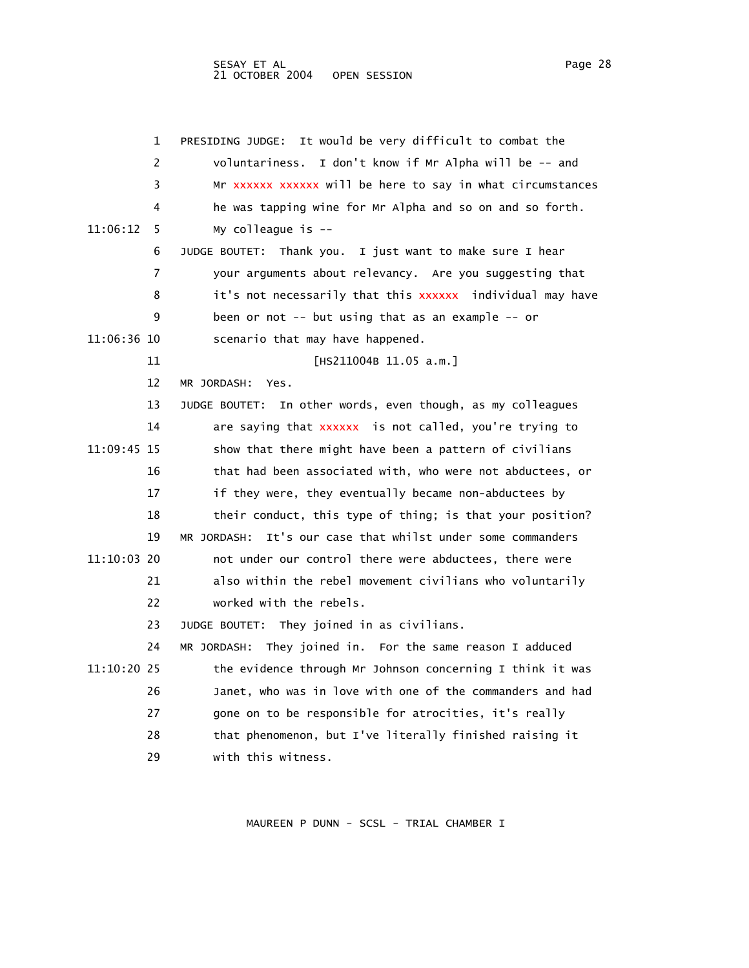|             | 1  | PRESIDING JUDGE: It would be very difficult to combat the      |
|-------------|----|----------------------------------------------------------------|
|             | 2  | voluntariness.<br>I don't know if Mr Alpha will be -- and      |
|             | 3  | Mr xxxxxx xxxxxx will be here to say in what circumstances     |
|             | 4  | he was tapping wine for Mr Alpha and so on and so forth.       |
| 11:06:12    | 5. | My colleague is $-$                                            |
|             | 6  | JUDGE BOUTET: Thank you. I just want to make sure I hear       |
|             | 7  | your arguments about relevancy. Are you suggesting that        |
|             | 8  | it's not necessarily that this xxxxxx  individual may have     |
|             | 9  | been or not -- but using that as an example -- or              |
| 11:06:36 10 |    | scenario that may have happened.                               |
|             | 11 | [HS211004B 11.05 a.m.]                                         |
|             | 12 | MR JORDASH: Yes.                                               |
|             | 13 | In other words, even though, as my colleagues<br>JUDGE BOUTET: |
|             | 14 | are saying that xxxxxx is not called, you're trying to         |
| 11:09:45 15 |    | show that there might have been a pattern of civilians         |
|             | 16 | that had been associated with, who were not abductees, or      |
|             | 17 | if they were, they eventually became non-abductees by          |
|             | 18 | their conduct, this type of thing; is that your position?      |
|             | 19 | It's our case that whilst under some commanders<br>MR JORDASH: |
| 11:10:03 20 |    | not under our control there were abductees, there were         |
|             | 21 | also within the rebel movement civilians who voluntarily       |
|             | 22 | worked with the rebels.                                        |
|             | 23 | JUDGE BOUTET: They joined in as civilians.                     |
|             | 24 | MR JORDASH: They joined in. For the same reason I adduced      |
| 11:10:20 25 |    | the evidence through Mr Johnson concerning I think it was      |
|             | 26 | Janet, who was in love with one of the commanders and had      |
|             | 27 | gone on to be responsible for atrocities, it's really          |
|             | 28 | that phenomenon, but I've literally finished raising it        |
|             | 29 | with this witness.                                             |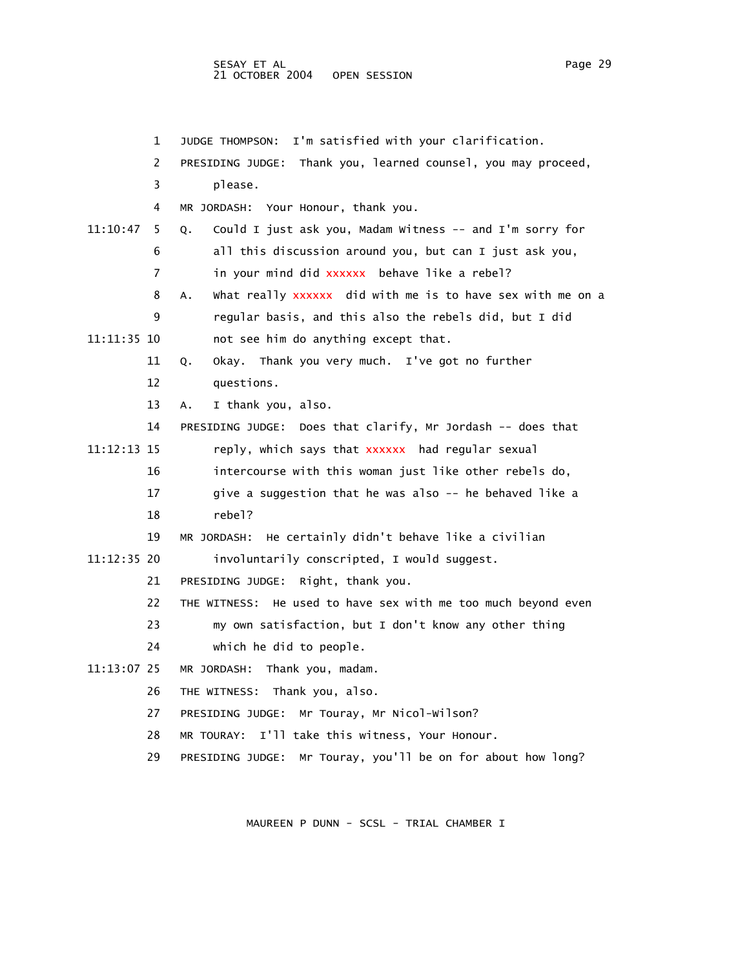SESAY ET AL PAGE 29 21 OCTOBER 2004 OPEN SESSION

 1 JUDGE THOMPSON: I'm satisfied with your clarification. 2 PRESIDING JUDGE: Thank you, learned counsel, you may proceed, 3 please. 4 MR JORDASH: Your Honour, thank you. 11:10:47 5 Q. Could I just ask you, Madam Witness -- and I'm sorry for 6 all this discussion around you, but can I just ask you, 7 in your mind did xxxxxx behave like a rebel? 8 A. What really xxxxxx did with me is to have sex with me on a 9 regular basis, and this also the rebels did, but I did 11:11:35 10 not see him do anything except that. 11 Q. Okay. Thank you very much. I've got no further 12 questions. 13 A. I thank you, also. 14 PRESIDING JUDGE: Does that clarify, Mr Jordash -- does that 11:12:13 15 reply, which says that xxxxxx had regular sexual 16 intercourse with this woman just like other rebels do, 17 give a suggestion that he was also -- he behaved like a 18 rebel? 19 MR JORDASH: He certainly didn't behave like a civilian 11:12:35 20 involuntarily conscripted, I would suggest. 21 PRESIDING JUDGE: Right, thank you. 22 THE WITNESS: He used to have sex with me too much beyond even 23 my own satisfaction, but I don't know any other thing 24 which he did to people. 11:13:07 25 MR JORDASH: Thank you, madam. 26 THE WITNESS: Thank you, also. 27 PRESIDING JUDGE: Mr Touray, Mr Nicol-Wilson? 28 MR TOURAY: I'll take this witness, Your Honour.

29 PRESIDING JUDGE: Mr Touray, you'll be on for about how long?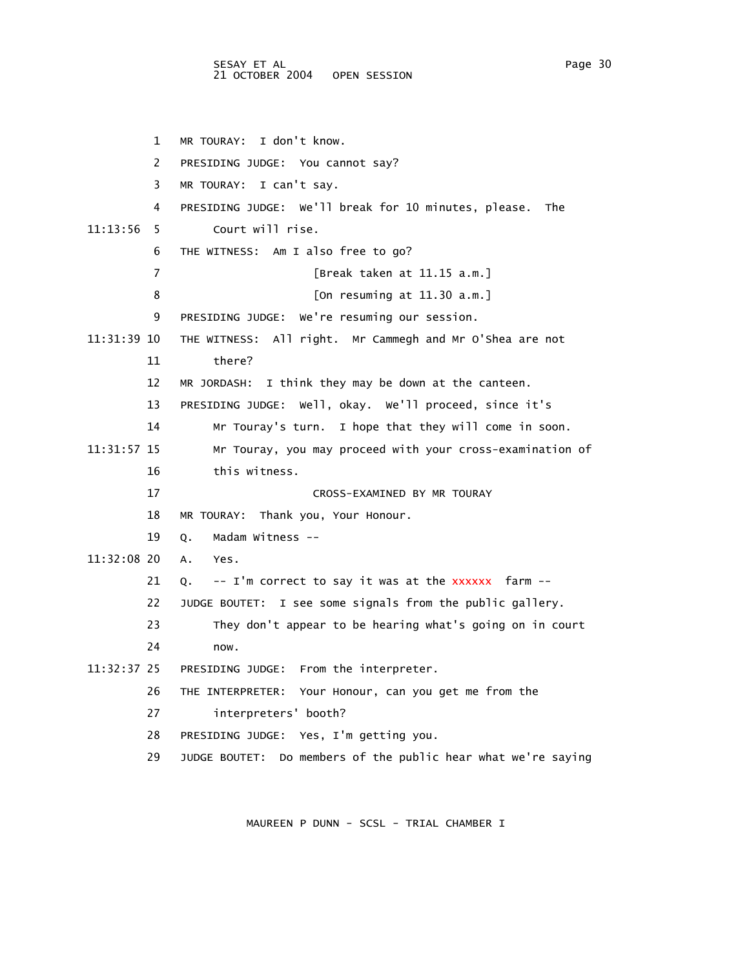1 MR TOURAY: I don't know. 2 PRESIDING JUDGE: You cannot say? 3 MR TOURAY: I can't say. 4 PRESIDING JUDGE: We'll break for 10 minutes, please. The 11:13:56 5 Court will rise. 6 THE WITNESS: Am I also free to go? 7 [Break taken at 11.15 a.m.] 8 [On resuming at 11.30 a.m.] 9 PRESIDING JUDGE: We're resuming our session. 11:31:39 10 THE WITNESS: All right. Mr Cammegh and Mr O'Shea are not 11 there? 12 MR JORDASH: I think they may be down at the canteen. 13 PRESIDING JUDGE: Well, okay. We'll proceed, since it's 14 Mr Touray's turn. I hope that they will come in soon. 11:31:57 15 Mr Touray, you may proceed with your cross-examination of 16 this witness. 17 CROSS-EXAMINED BY MR TOURAY 18 MR TOURAY: Thank you, Your Honour. 19 Q. Madam Witness -- 11:32:08 20 A. Yes. 21 Q. -- I'm correct to say it was at the xxxxxx farm -- 22 JUDGE BOUTET: I see some signals from the public gallery. 23 They don't appear to be hearing what's going on in court 24 now. 11:32:37 25 PRESIDING JUDGE: From the interpreter. 26 THE INTERPRETER: Your Honour, can you get me from the 27 interpreters' booth? 28 PRESIDING JUDGE: Yes, I'm getting you. 29 JUDGE BOUTET: Do members of the public hear what we're saying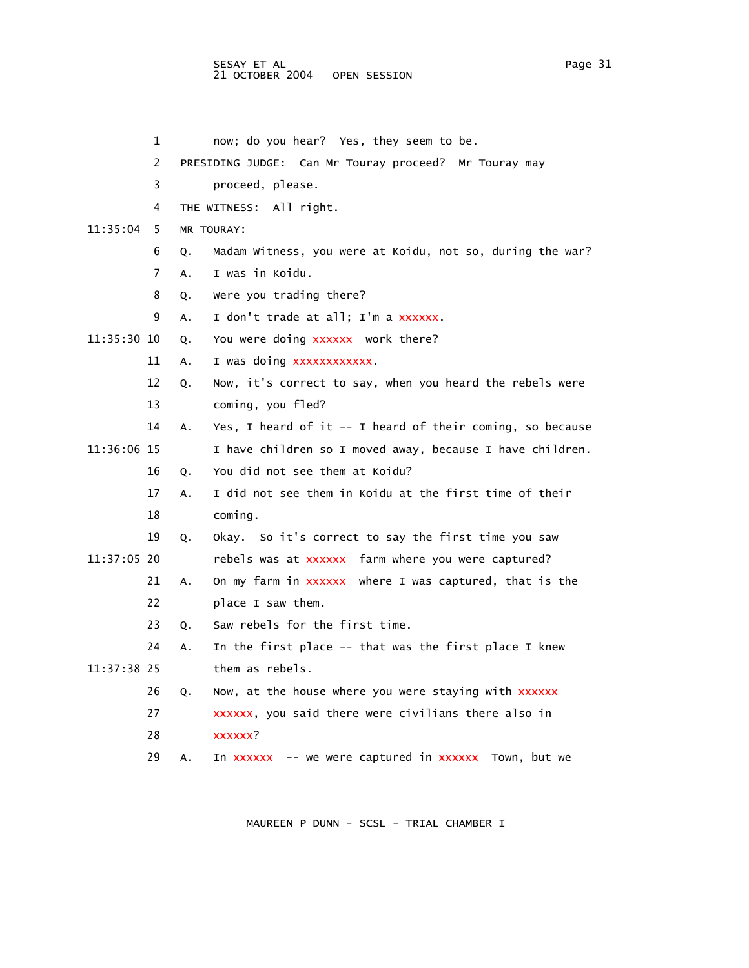## SESAY ET AL Page 31 21 OCTOBER 2004 OPEN SESSION

- 1 now; do you hear? Yes, they seem to be.
- 2 PRESIDING JUDGE: Can Mr Touray proceed? Mr Touray may
- 3 proceed, please.
- 4 THE WITNESS: All right.
- 11:35:04 5 MR TOURAY:
	- 6 Q. Madam Witness, you were at Koidu, not so, during the war?
	- 7 A. I was in Koidu.
	- 8 Q. Were you trading there?
	- 9 A. I don't trade at all; I'm a xxxxxx.
- 11:35:30 10 Q. You were doing xxxxxx work there?
	- 11 A. I was doing xxxxxxxxxxxx.
	- 12 Q. Now, it's correct to say, when you heard the rebels were 13 coming, you fled?
- 14 A. Yes, I heard of it -- I heard of their coming, so because 11:36:06 15 I have children so I moved away, because I have children.
	- 16 Q. You did not see them at Koidu?
		- 17 A. I did not see them in Koidu at the first time of their 18 coming.
- 19 Q. Okay. So it's correct to say the first time you saw 11:37:05 20 rebels was at xxxxxx farm where you were captured?
	- 21 A. On my farm in xxxxxx where I was captured, that is the 22 place I saw them.
		- 23 Q. Saw rebels for the first time.
- 24 A. In the first place -- that was the first place I knew 11:37:38 25 them as rebels.
	- 26 Q. Now, at the house where you were staying with xxxxxx
	- 27 xxxxxx, you said there were civilians there also in
	- 28 xxxxxx?
	- 29 A. In xxxxxx -- we were captured in xxxxxx Town, but we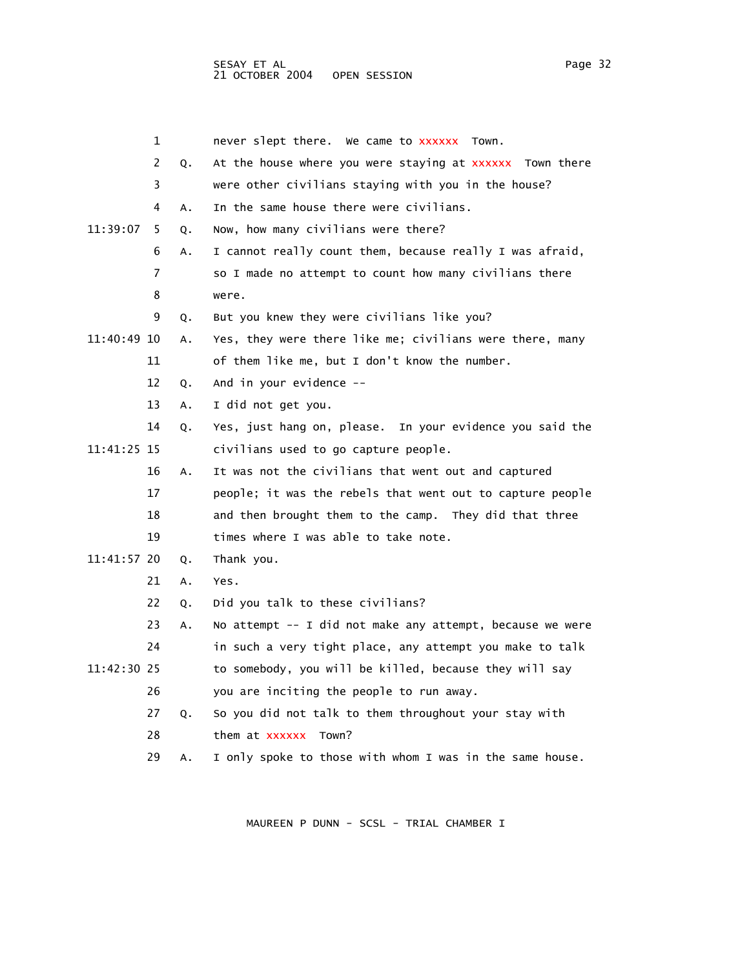|             | 1  |    | never slept there. We came to xxxxxx Town.                |
|-------------|----|----|-----------------------------------------------------------|
|             | 2  | Q. | At the house where you were staying at XXXXXX Town there  |
|             | 3  |    | were other civilians staying with you in the house?       |
|             | 4  | Α. | In the same house there were civilians.                   |
| 11:39:07    | 5  | 0. | Now, how many civilians were there?                       |
|             | 6  | А. | I cannot really count them, because really I was afraid,  |
|             | 7  |    | so I made no attempt to count how many civilians there    |
|             | 8  |    | were.                                                     |
|             | 9  | Q. | But you knew they were civilians like you?                |
| 11:40:49 10 |    | Α. | Yes, they were there like me; civilians were there, many  |
|             | 11 |    | of them like me, but I don't know the number.             |
|             | 12 | Q. | And in your evidence --                                   |
|             | 13 | Α. | I did not get you.                                        |
|             | 14 | Q. | Yes, just hang on, please. In your evidence you said the  |
| 11:41:25 15 |    |    | civilians used to go capture people.                      |
|             | 16 | Α. | It was not the civilians that went out and captured       |
|             | 17 |    | people; it was the rebels that went out to capture people |
|             | 18 |    | and then brought them to the camp. They did that three    |
|             | 19 |    | times where I was able to take note.                      |
| 11:41:57 20 |    | Q. | Thank you.                                                |
|             | 21 | Α. | Yes.                                                      |
|             | 22 | ο. | Did you talk to these civilians?                          |
|             | 23 | А. | No attempt -- I did not make any attempt, because we were |
|             | 24 |    | in such a very tight place, any attempt you make to talk  |
| 11:42:30 25 |    |    | to somebody, you will be killed, because they will say    |
|             | 26 |    | you are inciting the people to run away.                  |
|             | 27 | Q. | So you did not talk to them throughout your stay with     |
|             | 28 |    | them at xxxxxx<br>Town?                                   |
|             | 29 | А. | I only spoke to those with whom I was in the same house.  |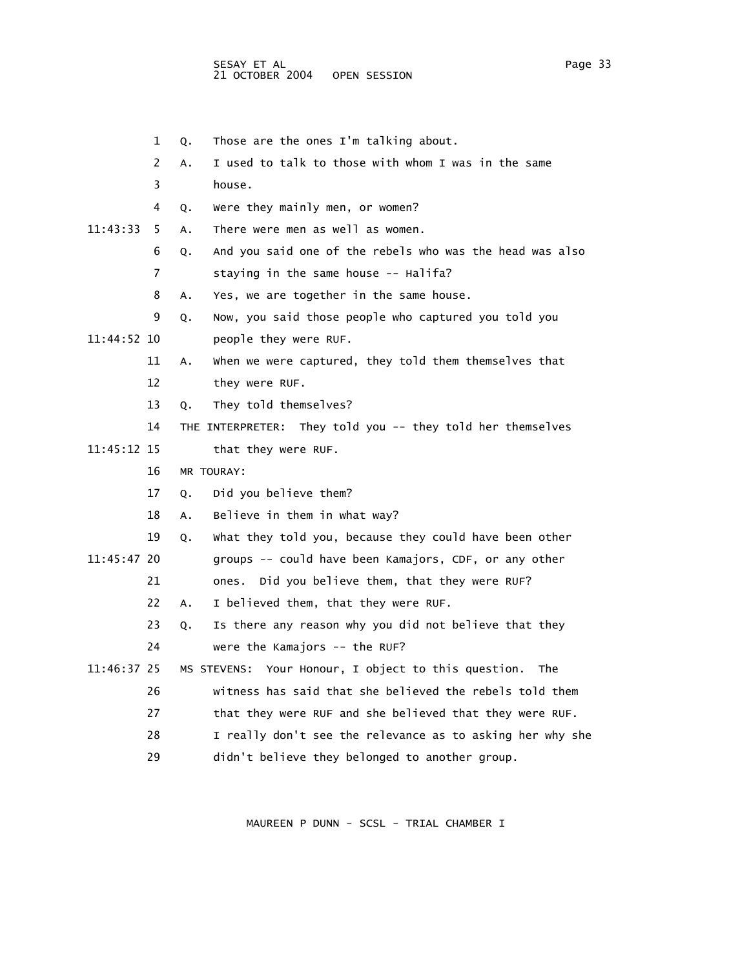- 1 Q. Those are the ones I'm talking about.
- 2 A. I used to talk to those with whom I was in the same
- 3 house.
- 4 Q. Were they mainly men, or women?
- 11:43:33 5 A. There were men as well as women.
	- 6 Q. And you said one of the rebels who was the head was also
	- 7 staying in the same house -- Halifa?
	- 8 A. Yes, we are together in the same house.
	- 9 Q. Now, you said those people who captured you told you
- 11:44:52 10 people they were RUF.
	- 11 A. When we were captured, they told them themselves that
	- 12 they were RUF.
	- 13 Q. They told themselves?
	- 14 THE INTERPRETER: They told you -- they told her themselves
- 11:45:12 15 that they were RUF.
	- 16 MR TOURAY:
	- 17 Q. Did you believe them?
	- 18 A. Believe in them in what way?
	- 19 Q. What they told you, because they could have been other
- 11:45:47 20 groups -- could have been Kamajors, CDF, or any other
	- 21 ones. Did you believe them, that they were RUF?
	- 22 A. I believed them, that they were RUF.
	- 23 Q. Is there any reason why you did not believe that they
	- 24 were the Kamajors -- the RUF?
- 11:46:37 25 MS STEVENS: Your Honour, I object to this question. The
	- 26 witness has said that she believed the rebels told them
	- 27 that they were RUF and she believed that they were RUF.
	- 28 I really don't see the relevance as to asking her why she
	- 29 didn't believe they belonged to another group.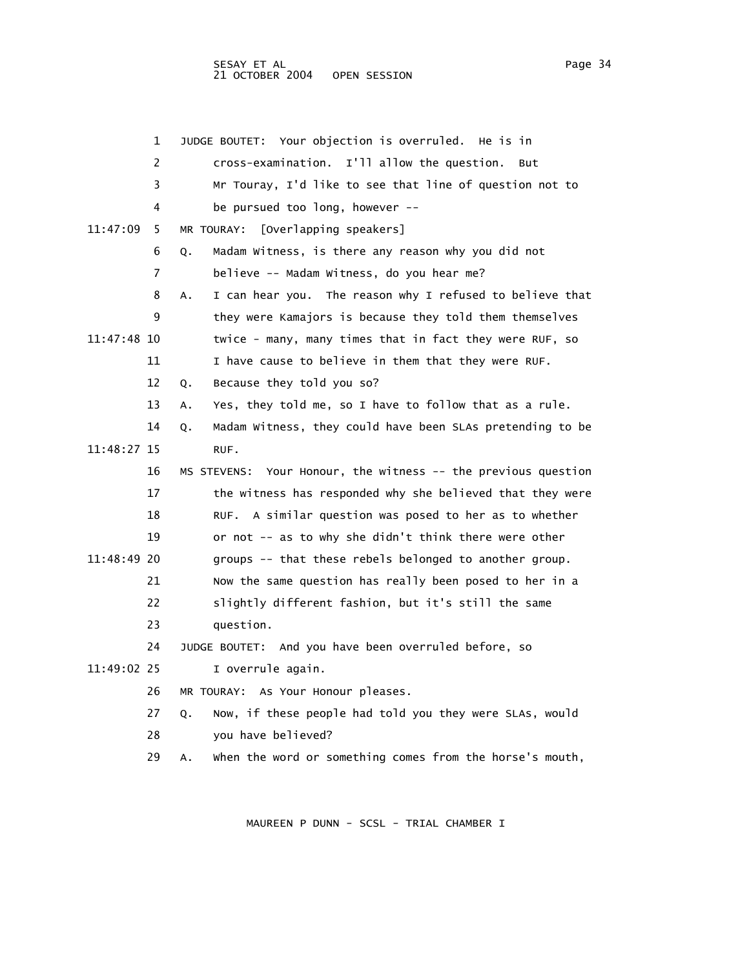|             | 1  | JUDGE BOUTET: Your objection is overruled. He is in             |
|-------------|----|-----------------------------------------------------------------|
|             | 2  | cross-examination. I'll allow the question. But                 |
|             | 3  | Mr Touray, I'd like to see that line of question not to         |
|             | 4  | be pursued too long, however --                                 |
| 11:47:09    | 5  | MR TOURAY: [Overlapping speakers]                               |
|             | 6  | Madam Witness, is there any reason why you did not<br>Q.        |
|             | 7  | believe -- Madam Witness, do you hear me?                       |
|             | 8  | I can hear you. The reason why I refused to believe that<br>Α.  |
|             | 9  | they were Kamajors is because they told them themselves         |
| 11:47:48 10 |    | twice - many, many times that in fact they were RUF, so         |
|             | 11 | I have cause to believe in them that they were RUF.             |
|             | 12 | Because they told you so?<br>Q.                                 |
|             | 13 | Yes, they told me, so I have to follow that as a rule.<br>А.    |
|             | 14 | Madam Witness, they could have been SLAs pretending to be<br>Q. |
| 11:48:27 15 |    | RUF.                                                            |
|             | 16 | MS STEVENS: Your Honour, the witness -- the previous question   |
|             | 17 | the witness has responded why she believed that they were       |
|             | 18 | RUF. A similar question was posed to her as to whether          |
|             | 19 | or not -- as to why she didn't think there were other           |
| 11:48:49 20 |    | groups -- that these rebels belonged to another group.          |
|             | 21 | Now the same question has really been posed to her in a         |
|             | 22 | slightly different fashion, but it's still the same             |
|             | 23 | question.                                                       |
|             | 24 | JUDGE BOUTET: And you have been overruled before, so            |
| 11:49:02 25 |    | I overrule again.                                               |
|             | 26 | MR TOURAY: As Your Honour pleases.                              |
|             | 27 | Now, if these people had told you they were SLAs, would<br>Q.   |
|             | 28 | you have believed?                                              |
|             | 29 | when the word or something comes from the horse's mouth,<br>Α.  |
|             |    |                                                                 |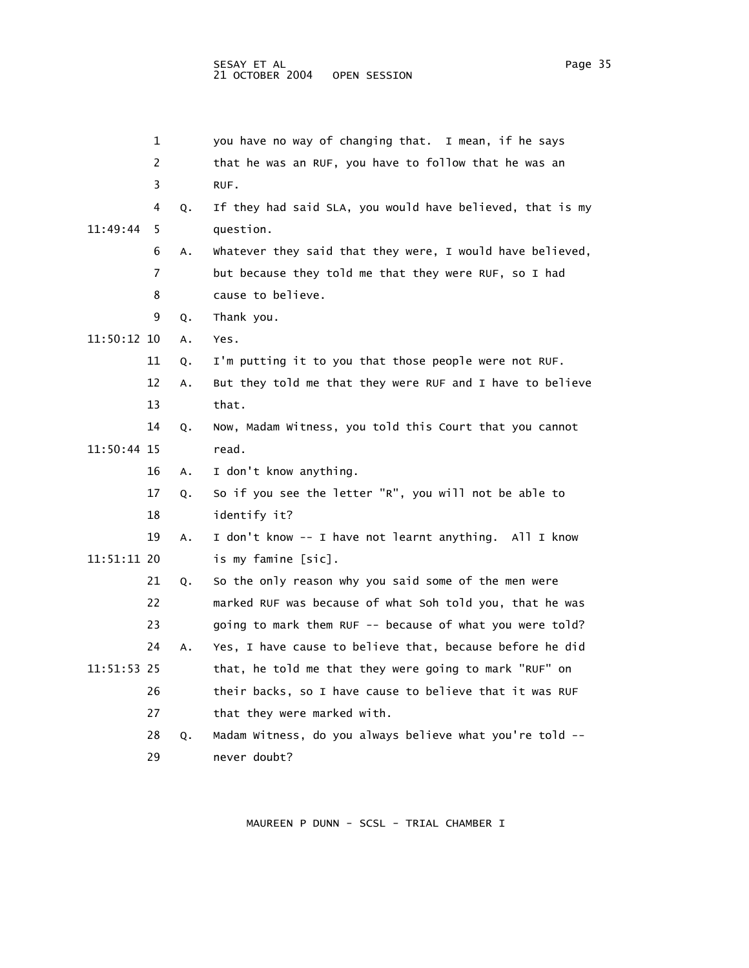|             | 1  |    | you have no way of changing that. I mean, if he says      |
|-------------|----|----|-----------------------------------------------------------|
|             | 2  |    | that he was an RUF, you have to follow that he was an     |
|             | 3  |    | RUF.                                                      |
|             | 4  | Q. | If they had said SLA, you would have believed, that is my |
| 11:49:44    | 5  |    | question.                                                 |
|             | 6  | Α. | Whatever they said that they were, I would have believed, |
|             | 7  |    | but because they told me that they were RUF, so I had     |
|             | 8  |    | cause to believe.                                         |
|             | 9  | Q. | Thank you.                                                |
| 11:50:12 10 |    | A. | Yes.                                                      |
|             | 11 | Q. | I'm putting it to you that those people were not RUF.     |
|             | 12 | Α. | But they told me that they were RUF and I have to believe |
|             | 13 |    | that.                                                     |
|             | 14 | Q. | Now, Madam Witness, you told this Court that you cannot   |
| 11:50:44 15 |    |    | read.                                                     |
|             | 16 | Α. | I don't know anything.                                    |
|             | 17 | Q. | So if you see the letter "R", you will not be able to     |
|             | 18 |    | identify it?                                              |
|             | 19 | А. | I don't know -- I have not learnt anything. All I know    |
| 11:51:11 20 |    |    | is my famine [sic].                                       |
|             | 21 | Q. | So the only reason why you said some of the men were      |
|             | 22 |    | marked RUF was because of what Soh told you, that he was  |
|             | 23 |    | going to mark them RUF -- because of what you were told?  |
|             | 24 | А. | Yes, I have cause to believe that, because before he did  |
| 11:51:53 25 |    |    | that, he told me that they were going to mark "RUF" on    |
|             | 26 |    | their backs, so I have cause to believe that it was RUF   |
|             | 27 |    | that they were marked with.                               |
|             | 28 | Q. | Madam Witness, do you always believe what you're told --  |
|             | 29 |    | never doubt?                                              |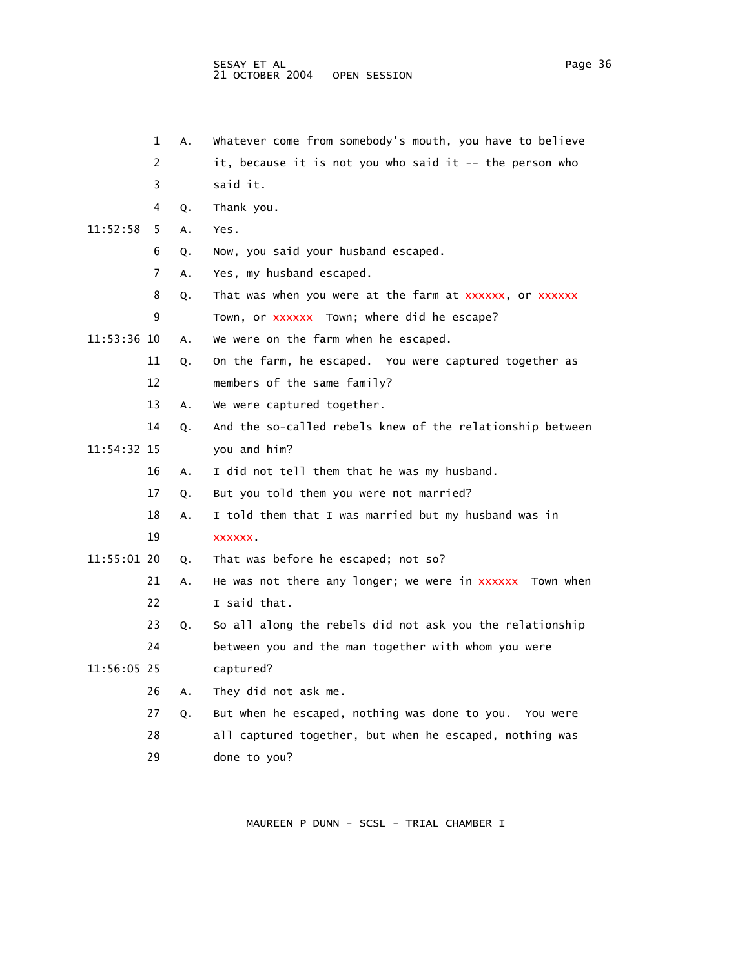1 A. Whatever come from somebody's mouth, you have to believe 2 it, because it is not you who said it -- the person who

- 3 said it. 4 Q. Thank you. 11:52:58 5 A. Yes. 6 Q. Now, you said your husband escaped. 7 A. Yes, my husband escaped. 8 Q. That was when you were at the farm at xxxxxx, or xxxxxx 9 Town, or xxxxxx Town; where did he escape? 11:53:36 10 A. We were on the farm when he escaped. 11 Q. On the farm, he escaped. You were captured together as 12 members of the same family? 13 A. We were captured together. 14 Q. And the so-called rebels knew of the relationship between 11:54:32 15 you and him? 16 A. I did not tell them that he was my husband. 17 Q. But you told them you were not married? 18 A. I told them that I was married but my husband was in 19 xxxxxx. 11:55:01 20 Q. That was before he escaped; not so? 21 A. He was not there any longer; we were in xxxxxx Town when 22 I said that. 23 Q. So all along the rebels did not ask you the relationship 24 between you and the man together with whom you were 11:56:05 25 captured?
	- 26 A. They did not ask me.
	- 27 Q. But when he escaped, nothing was done to you. You were
	- 28 all captured together, but when he escaped, nothing was
	- 29 done to you?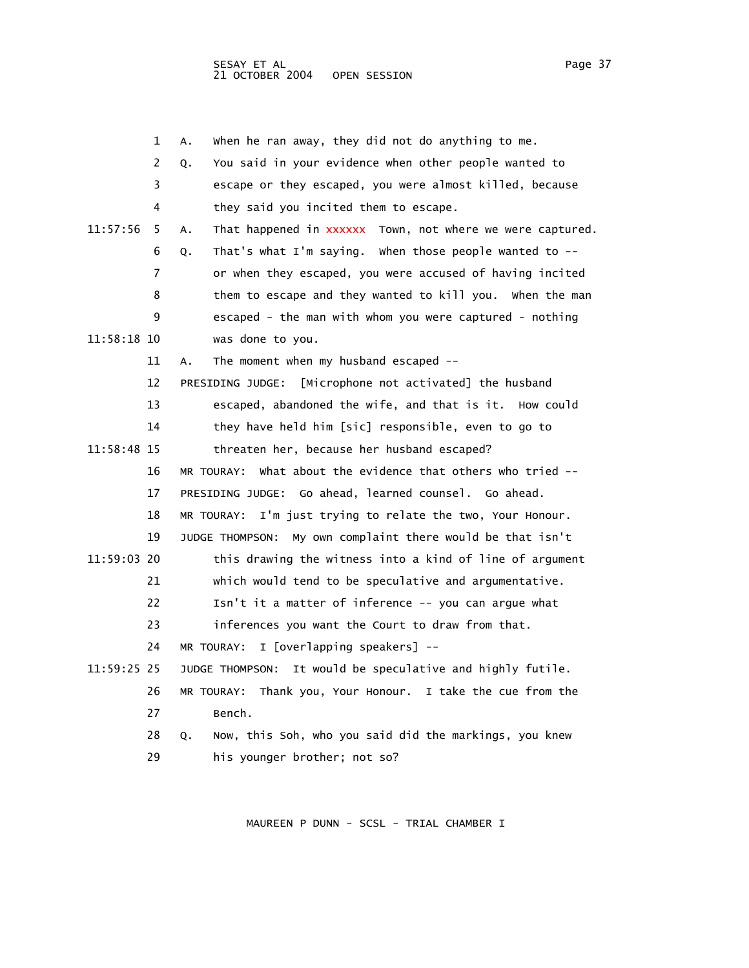|                 | $\mathbf{1}$ | A. | when he ran away, they did not do anything to me.         |
|-----------------|--------------|----|-----------------------------------------------------------|
|                 | 2            | Q. | You said in your evidence when other people wanted to     |
|                 | 3            |    | escape or they escaped, you were almost killed, because   |
|                 | 4            |    | they said you incited them to escape.                     |
| $11:57:56$ 5 A. |              |    | That happened in xxxxxx Town, not where we were captured. |
|                 | 6            | 0. | That's what I'm saying. When those people wanted to $-$   |
|                 | 7            |    | or when they escaped, you were accused of having incited  |
|                 | 8            |    | them to escape and they wanted to kill you. When the man  |
|                 | 9            |    | escaped - the man with whom you were captured - nothing   |
| 11.FO.10.10     |              |    | ومتحدث المنافي المتحامل المتحددة                          |

- 11:58:18 10 was done to you.
	- 11 A. The moment when my husband escaped --

12 PRESIDING JUDGE: [Microphone not activated] the husband

- 13 escaped, abandoned the wife, and that is it. How could
- 14 they have held him [sic] responsible, even to go to
- 11:58:48 15 threaten her, because her husband escaped?
	- 16 MR TOURAY: What about the evidence that others who tried -- 17 PRESIDING JUDGE: Go ahead, learned counsel. Go ahead.
		- 18 MR TOURAY: I'm just trying to relate the two, Your Honour.
	- 19 JUDGE THOMPSON: My own complaint there would be that isn't
- 11:59:03 20 this drawing the witness into a kind of line of argument
	- 21 which would tend to be speculative and argumentative.
	- 22 Isn't it a matter of inference -- you can argue what
	- 23 inferences you want the Court to draw from that.
		- 24 MR TOURAY: I [overlapping speakers] --
- 11:59:25 25 JUDGE THOMPSON: It would be speculative and highly futile.
	- 26 MR TOURAY: Thank you, Your Honour. I take the cue from the 27 Bench.
		- 28 Q. Now, this Soh, who you said did the markings, you knew 29 his younger brother; not so?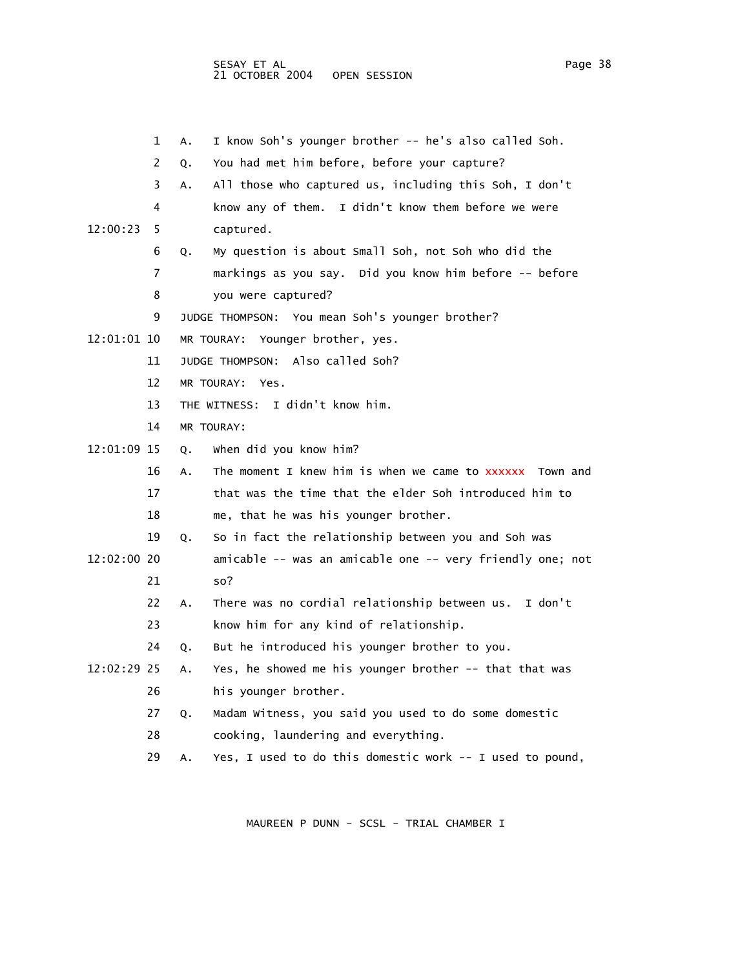1 A. I know Soh's younger brother -- he's also called Soh. 2 Q. You had met him before, before your capture? 3 A. All those who captured us, including this Soh, I don't 4 know any of them. I didn't know them before we were 12:00:23 5 captured. 6 Q. My question is about Small Soh, not Soh who did the 7 markings as you say. Did you know him before -- before 8 you were captured? 9 JUDGE THOMPSON: You mean Soh's younger brother? 12:01:01 10 MR TOURAY: Younger brother, yes. 11 JUDGE THOMPSON: Also called Soh? 12 MR TOURAY: Yes. 13 THE WITNESS: I didn't know him. 14 MR TOURAY: 12:01:09 15 Q. When did you know him? 16 A. The moment I knew him is when we came to xxxxxx Town and 17 that was the time that the elder Soh introduced him to 18 me, that he was his younger brother. 19 Q. So in fact the relationship between you and Soh was 12:02:00 20 amicable -- was an amicable one -- very friendly one; not 21 so? 22 A. There was no cordial relationship between us. I don't 23 know him for any kind of relationship. 24 Q. But he introduced his younger brother to you. 12:02:29 25 A. Yes, he showed me his younger brother -- that that was 26 his younger brother. 27 Q. Madam Witness, you said you used to do some domestic 28 cooking, laundering and everything. 29 A. Yes, I used to do this domestic work -- I used to pound,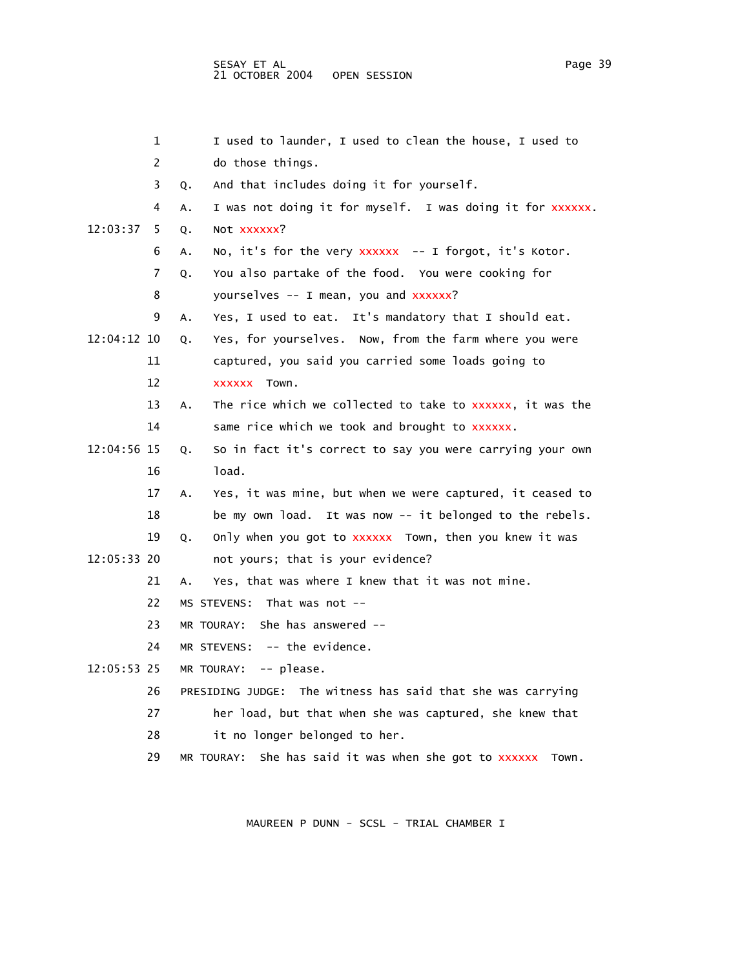| 1              | I used to launder, I used to clean the house, I used to           |
|----------------|-------------------------------------------------------------------|
| $\overline{2}$ | do those things.                                                  |
| 3              | And that includes doing it for yourself.<br>0.                    |
| 4              | I was not doing it for myself. I was doing it for xxxxxx.<br>А.   |
| 12:03:37<br>5  | NOT XXXXXX?<br>Q.                                                 |
| 6              | No, it's for the very xxxxxx -- I forgot, it's Kotor.<br>А.       |
| 7              | You also partake of the food. You were cooking for<br>Q.          |
| 8              | yourselves -- I mean, you and xxxxxx?                             |
| 9              | Yes, I used to eat. It's mandatory that I should eat.<br>А.       |
| 12:04:12 10    | Yes, for yourselves. Now, from the farm where you were<br>Q.      |
| 11             | captured, you said you carried some loads going to                |
| 12             | XXXXXX Town.                                                      |
| 13             | The rice which we collected to take to xxxxxx, it was the<br>Α.   |
| 14             | same rice which we took and brought to XXXXXX.                    |
| 12:04:56 15    | So in fact it's correct to say you were carrying your own<br>Q.   |
| 16             | load.                                                             |
| 17             | Yes, it was mine, but when we were captured, it ceased to<br>А.   |
| 18             | be my own load. It was now -- it belonged to the rebels.          |
| 19             | only when you got to xxxxxx Town, then you knew it was<br>Q.      |
| 12:05:33 20    | not yours; that is your evidence?                                 |
| 21             | Yes, that was where I knew that it was not mine.<br>А.            |
| 22             | MS STEVENS: That was not --                                       |
| 23             | MR TOURAY: She has answered --                                    |
| 24             | MR STEVENS: $-$ - the evidence.                                   |
| 12:05:53 25    | MR TOURAY: $--$ please.                                           |
| 26             | PRESIDING JUDGE: The witness has said that she was carrying       |
| 27             | her load, but that when she was captured, she knew that           |
| 28             | it no longer belonged to her.                                     |
| 29             | She has said it was when she got to xxxxxx<br>MR TOURAY:<br>Town. |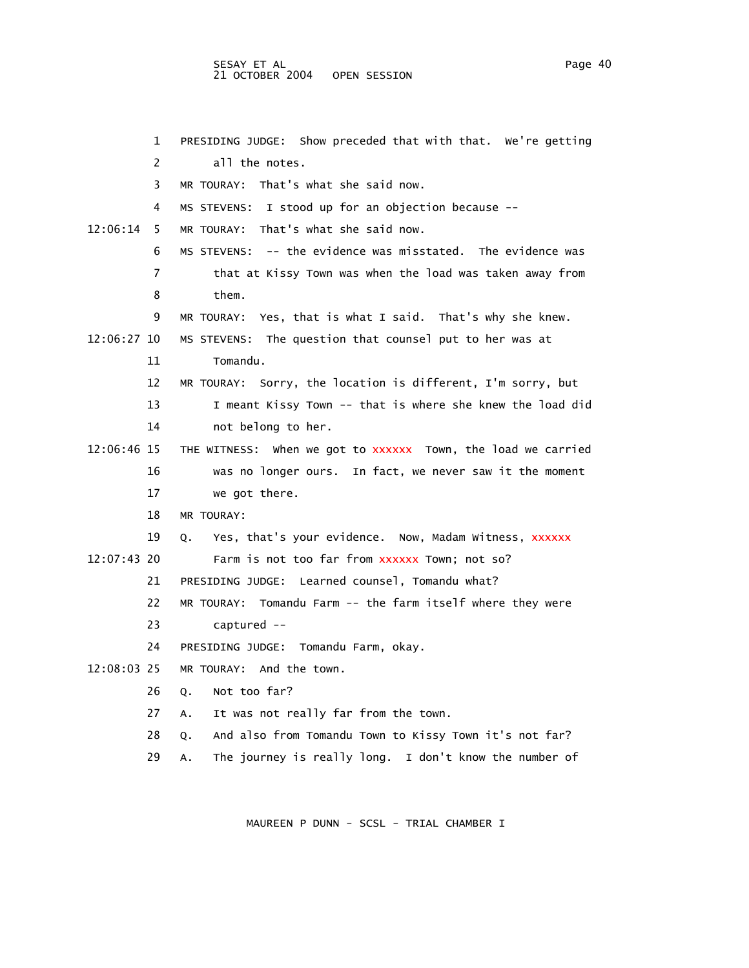## SESAY ET AL PAGE 2012 12:00 PAGE 2012 12:00 PAGE 40 21 OCTOBER 2004 OPEN SESSION

 1 PRESIDING JUDGE: Show preceded that with that. We're getting 2 all the notes. 3 MR TOURAY: That's what she said now. 4 MS STEVENS: I stood up for an objection because -- 12:06:14 5 MR TOURAY: That's what she said now. 6 MS STEVENS: -- the evidence was misstated. The evidence was 7 that at Kissy Town was when the load was taken away from 8 them. 9 MR TOURAY: Yes, that is what I said. That's why she knew. 12:06:27 10 MS STEVENS: The question that counsel put to her was at 11 Tomandu. 12 MR TOURAY: Sorry, the location is different, I'm sorry, but 13 I meant Kissy Town -- that is where she knew the load did 14 not belong to her. 12:06:46 15 THE WITNESS: when we got to xxxxxx Town, the load we carried 16 was no longer ours. In fact, we never saw it the moment 17 we got there. 18 MR TOURAY: 19 Q. Yes, that's your evidence. Now, Madam Witness, XXXXXX 12:07:43 20 Farm is not too far from xxxxxx Town; not so? 21 PRESIDING JUDGE: Learned counsel, Tomandu what? 22 MR TOURAY: Tomandu Farm -- the farm itself where they were 23 captured -- 24 PRESIDING JUDGE: Tomandu Farm, okay. 12:08:03 25 MR TOURAY: And the town. 26 Q. Not too far? 27 A. It was not really far from the town. 28 Q. And also from Tomandu Town to Kissy Town it's not far? 29 A. The journey is really long. I don't know the number of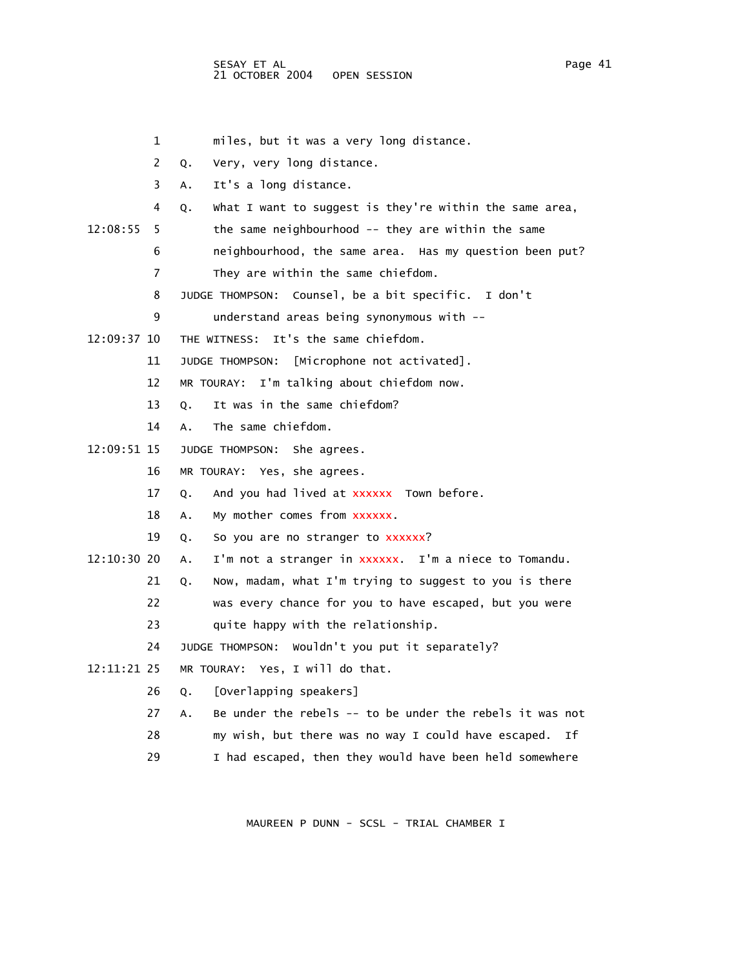1 miles, but it was a very long distance.

2 Q. Very, very long distance.

3 A. It's a long distance.

4 Q. What I want to suggest is they're within the same area,

12:08:55 5 the same neighbourhood -- they are within the same

6 neighbourhood, the same area. Has my question been put?

7 They are within the same chiefdom.

8 JUDGE THOMPSON: Counsel, be a bit specific. I don't

9 understand areas being synonymous with --

12:09:37 10 THE WITNESS: It's the same chiefdom.

11 JUDGE THOMPSON: [Microphone not activated].

12 MR TOURAY: I'm talking about chiefdom now.

13 Q. It was in the same chiefdom?

14 A. The same chiefdom.

12:09:51 15 JUDGE THOMPSON: She agrees.

16 MR TOURAY: Yes, she agrees.

17 Q. And you had lived at xxxxxx Town before.

18 A. My mother comes from xxxxxx.

19 Q. So you are no stranger to xxxxxx?

12:10:30 20 A. I'm not a stranger in xxxxxx. I'm a niece to Tomandu.

21 Q. Now, madam, what I'm trying to suggest to you is there

22 was every chance for you to have escaped, but you were

23 quite happy with the relationship.

24 JUDGE THOMPSON: Wouldn't you put it separately?

12:11:21 25 MR TOURAY: Yes, I will do that.

26 Q. [Overlapping speakers]

27 A. Be under the rebels -- to be under the rebels it was not

28 my wish, but there was no way I could have escaped. If

29 I had escaped, then they would have been held somewhere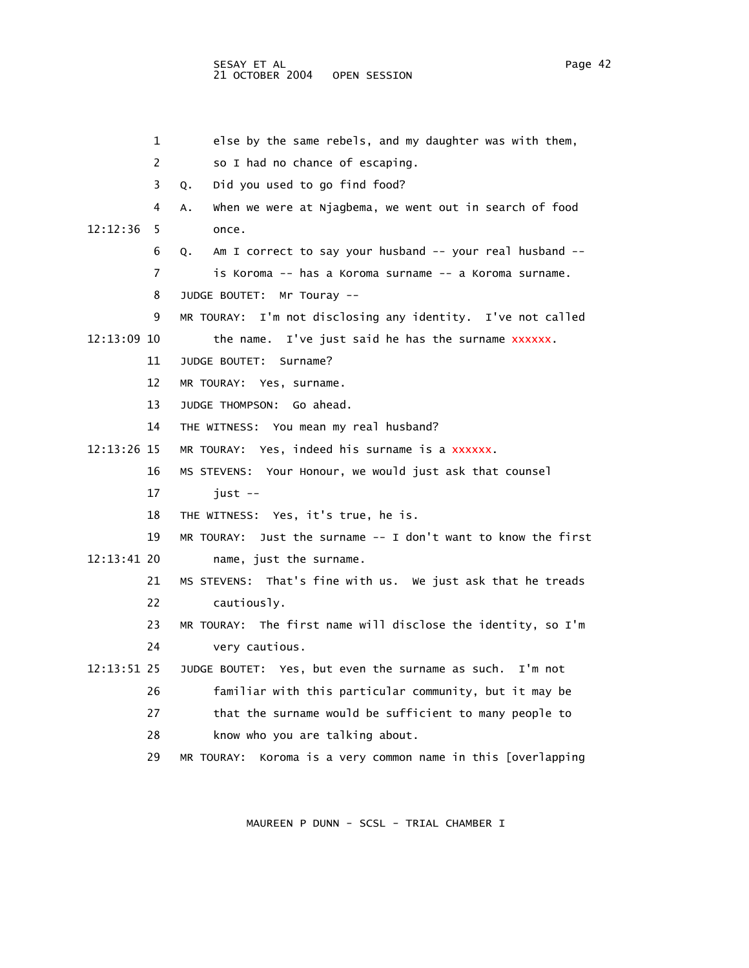| 1             | else by the same rebels, and my daughter was with them,         |
|---------------|-----------------------------------------------------------------|
| 2             | so I had no chance of escaping.                                 |
| 3             | Did you used to go find food?<br>Q.                             |
| 4             | when we were at Njagbema, we went out in search of food<br>А.   |
| 12:12:36<br>5 | once.                                                           |
| 6             | Am I correct to say your husband -- your real husband --<br>Q.  |
| 7             | is Koroma -- has a Koroma surname -- a Koroma surname.          |
| 8             | JUDGE BOUTET:<br>$Mr$ Touray --                                 |
| 9             | MR TOURAY: I'm not disclosing any identity. I've not called     |
| 12:13:09 10   | I've just said he has the surname xxxxxx.<br>the name.          |
| 11            | JUDGE BOUTET:<br>Surname?                                       |
| 12            | MR TOURAY: Yes, surname.                                        |
| 13            | Go ahead.<br>JUDGE THOMPSON:                                    |
| 14            | THE WITNESS: You mean my real husband?                          |
| 12:13:26 15   | MR TOURAY: Yes, indeed his surname is a xxxxxx.                 |
| 16            | MS STEVENS: Your Honour, we would just ask that counsel         |
| 17            | $just --$                                                       |
| 18            | THE WITNESS: Yes, it's true, he is.                             |
| 19            | MR TOURAY: Just the surname $-$ I don't want to know the first  |
| 12:13:41 20   | name, just the surname.                                         |
| 21            | MS STEVENS: That's fine with us. We just ask that he treads     |
| 22            | cautiously.                                                     |
| 23            | MR TOURAY: The first name will disclose the identity, so I'm    |
| 24            | very cautious.                                                  |
| 12:13:51 25   | JUDGE BOUTET: Yes, but even the surname as such. I'm not        |
| 26            | familiar with this particular community, but it may be          |
| 27            | that the surname would be sufficient to many people to          |
| 28            | know who you are talking about.                                 |
| 29            | Koroma is a very common name in this [overlapping<br>MR TOURAY: |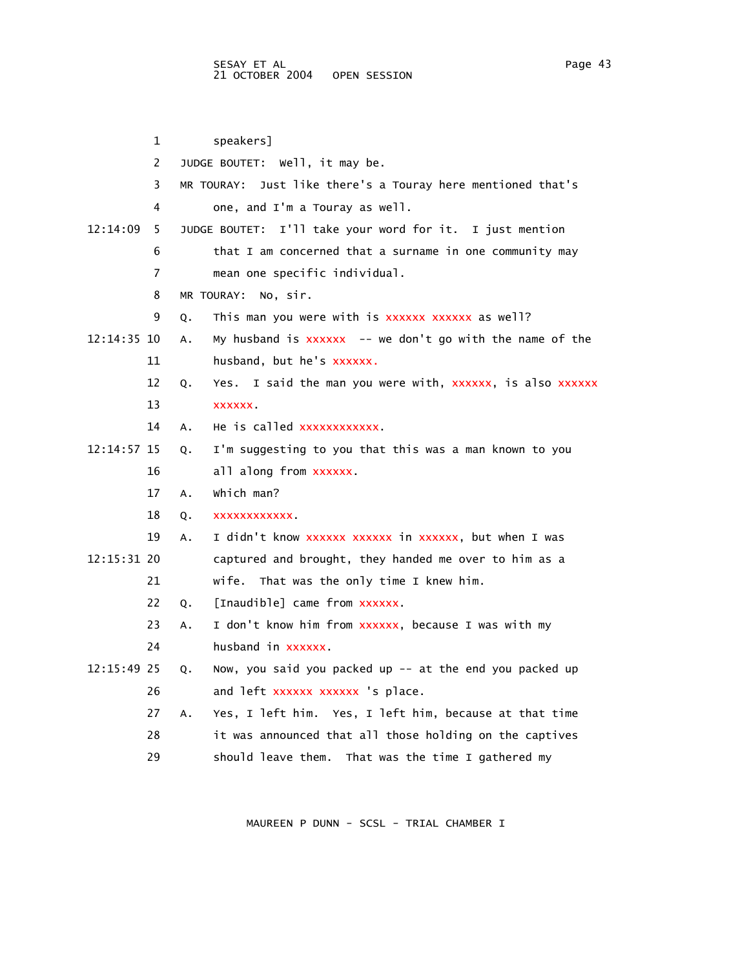1 speakers] 2 JUDGE BOUTET: Well, it may be. 3 MR TOURAY: Just like there's a Touray here mentioned that's 4 one, and I'm a Touray as well. 12:14:09 5 JUDGE BOUTET: I'll take your word for it. I just mention 6 that I am concerned that a surname in one community may 7 mean one specific individual. 8 MR TOURAY: No, sir. 9 Q. This man you were with is xxxxxx xxxxxx as well? 12:14:35 10 A. My husband is xxxxxx -- we don't go with the name of the 11 husband, but he's xxxxxx. 12 Q. Yes. I said the man you were with, xxxxxx, is also xxxxxx 13 xxxxxx. 14 A. He is called xxxxxxxxxxxx. 12:14:57 15 Q. I'm suggesting to you that this was a man known to you 16 all along from xxxxxx. 17 A. Which man? 18 Q. xxxxxxxxxxxx. 19 A. I didn't know xxxxxx xxxxxx in xxxxxx, but when I was 12:15:31 20 captured and brought, they handed me over to him as a 21 wife. That was the only time I knew him. 22 Q. [Inaudible] came from xxxxxx. 23 A. I don't know him from xxxxxx, because I was with my 24 husband in xxxxxx. 12:15:49 25 Q. Now, you said you packed up -- at the end you packed up 26 and left xxxxxx xxxxxx 's place. 27 A. Yes, I left him. Yes, I left him, because at that time 28 it was announced that all those holding on the captives 29 should leave them. That was the time I gathered my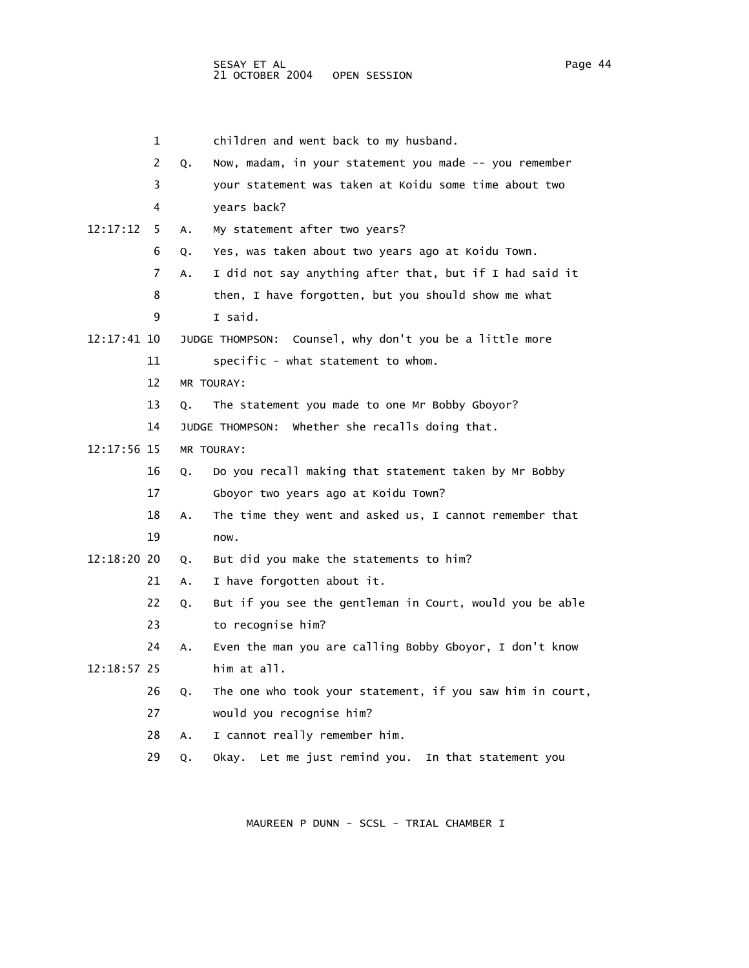1 children and went back to my husband. 2 Q. Now, madam, in your statement you made -- you remember 3 your statement was taken at Koidu some time about two 4 years back? 6 Q. Yes, was taken about two years ago at Koidu Town. 7 A. I did not say anything after that, but if I had said it 8 then, I have forgotten, but you should show me what 9 I said. 11 specific - what statement to whom. 12 MR TOURAY: 13 Q. The statement you made to one Mr Bobby Gboyor? 14 JUDGE THOMPSON: Whether she recalls doing that. 16 Q. Do you recall making that statement taken by Mr Bobby 17 Gboyor two years ago at Koidu Town? 18 A. The time they went and asked us, I cannot remember that 19 now. 21 A. I have forgotten about it. 22 Q. But if you see the gentleman in Court, would you be able 23 to recognise him? 24 A. Even the man you are calling Bobby Gboyor, I don't know 12:18:57 25 him at all. 26 Q. The one who took your statement, if you saw him in court, 27 would you recognise him? 28 A. I cannot really remember him.

29 Q. Okay. Let me just remind you. In that statement you

MAUREEN P DUNN - SCSL - TRIAL CHAMBER I

12:17:12 5 A. My statement after two years?

12:17:41 10 JUDGE THOMPSON: Counsel, why don't you be a little more

12:17:56 15 MR TOURAY:

12:18:20 20 Q. But did you make the statements to him?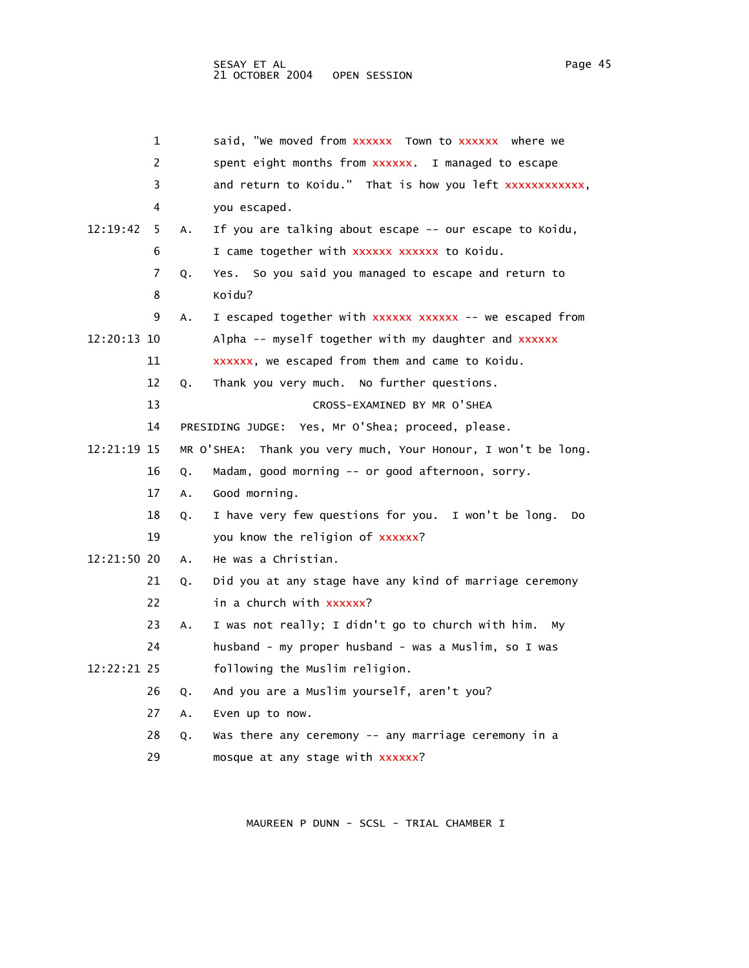|             | 1  |    | said, "We moved from XXXXXX Town to XXXXXX where we              |
|-------------|----|----|------------------------------------------------------------------|
|             | 2  |    | spent eight months from xxxxxx. I managed to escape              |
|             | 3  |    | and return to Koidu." That is how you left xxxxxxxxxxxx,         |
|             | 4  |    | you escaped.                                                     |
| 12:19:42    | 5  | Α. | If you are talking about escape -- our escape to Koidu,          |
|             | 6  |    | I came together with xxxxxx xxxxxx to Koidu.                     |
|             | 7  | Q. | Yes. So you said you managed to escape and return to             |
|             | 8  |    | Koidu?                                                           |
|             | 9  | Α. | I escaped together with xxxxxx xxxxxx -- we escaped from         |
| 12:20:13 10 |    |    | Alpha -- myself together with my daughter and xxxxxx             |
|             | 11 |    | xxxxxx, we escaped from them and came to Koidu.                  |
|             | 12 | Q. | Thank you very much. No further questions.                       |
|             | 13 |    | CROSS-EXAMINED BY MR O'SHEA                                      |
|             | 14 |    | PRESIDING JUDGE: Yes, Mr O'Shea; proceed, please.                |
| 12:21:19 15 |    |    | MR O'SHEA:<br>Thank you very much, Your Honour, I won't be long. |
|             | 16 | Q. | Madam, good morning -- or good afternoon, sorry.                 |
|             | 17 | A. | Good morning.                                                    |
|             | 18 | Q. | I have very few questions for you. I won't be long.<br>Do        |
|             | 19 |    | you know the religion of xxxxxx?                                 |
| 12:21:50 20 |    | Α. | He was a Christian.                                              |
|             | 21 | Q. | Did you at any stage have any kind of marriage ceremony          |
|             | 22 |    | in a church with xxxxxx?                                         |
|             | 23 | Α. | I was not really; I didn't go to church with him.<br>My          |
|             | 24 |    | husband - my proper husband - was a Muslim, so I was             |
| 12:22:21 25 |    |    | following the Muslim religion.                                   |
|             | 26 | Q. | And you are a Muslim yourself, aren't you?                       |
|             | 27 | Α. | Even up to now.                                                  |
|             | 28 | Q. | Was there any ceremony -- any marriage ceremony in a             |
|             | 29 |    | mosque at any stage with xxxxxx?                                 |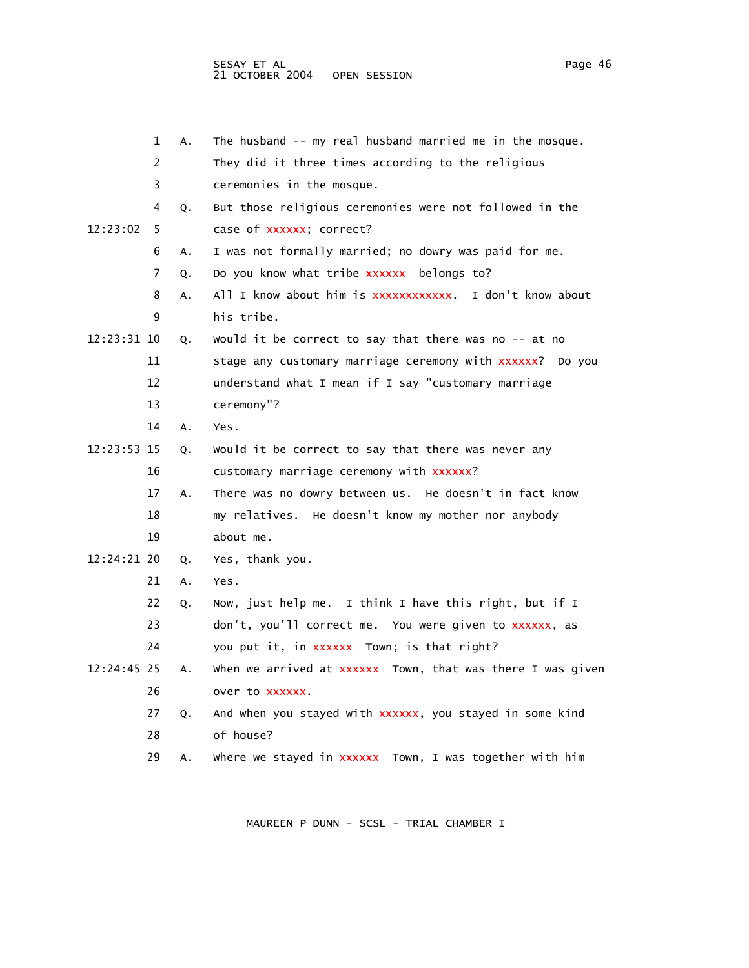|             | 1  | А. | The husband -- my real husband married me in the mosque.   |
|-------------|----|----|------------------------------------------------------------|
|             | 2  |    | They did it three times according to the religious         |
|             | 3  |    | ceremonies in the mosque.                                  |
|             | 4  | Q. | But those religious ceremonies were not followed in the    |
| 12:23:02    | 5  |    | case of xxxxxx; correct?                                   |
|             | 6  | Α. | I was not formally married; no dowry was paid for me.      |
|             | 7  | Q. | Do you know what tribe xxxxxx belongs to?                  |
|             | 8  | Α. | All I know about him is xxxxxxxxxxxx. I don't know about   |
|             | 9  |    | his tribe.                                                 |
| 12:23:31 10 |    | Q. | Would it be correct to say that there was no $-$ at no     |
|             | 11 |    | stage any customary marriage ceremony with xxxxxx? Do you  |
|             | 12 |    | understand what I mean if I say "customary marriage        |
|             | 13 |    | ceremony"?                                                 |
|             | 14 | Α. | Yes.                                                       |
| 12:23:53 15 |    | Q. | Would it be correct to say that there was never any        |
|             | 16 |    | customary marriage ceremony with xxxxxx?                   |
|             | 17 | Α. | There was no dowry between us. He doesn't in fact know     |
|             | 18 |    | my relatives. He doesn't know my mother nor anybody        |
|             | 19 |    | about me.                                                  |
| 12:24:21 20 |    | Q. | Yes, thank you.                                            |
|             | 21 | Α. | Yes.                                                       |
|             | 22 | Q. | Now, just help me. I think I have this right, but if I     |
|             | 23 |    | don't, you'll correct me. You were given to xxxxxx, as     |
|             | 24 |    | you put it, in xxxxxx Town; is that right?                 |
| 12:24:45 25 |    | А. | when we arrived at xxxxxx Town, that was there I was given |
|             | 26 |    | over to XXXXXX.                                            |
|             | 27 | Q. | And when you stayed with xxxxxx, you stayed in some kind   |
|             | 28 |    | of house?                                                  |
|             | 29 | А. | where we stayed in xxxxxx Town, I was together with him    |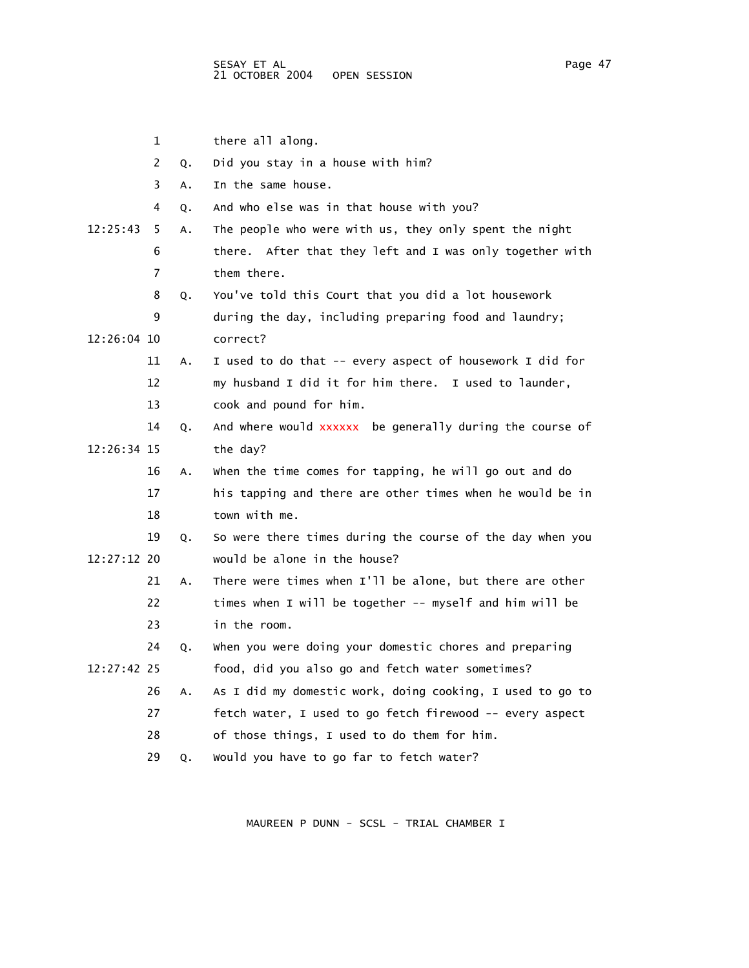1 there all along. 2 Q. Did you stay in a house with him? 3 A. In the same house. 4 Q. And who else was in that house with you? 12:25:43 5 A. The people who were with us, they only spent the night 6 there. After that they left and I was only together with 7 them there. 8 Q. You've told this Court that you did a lot housework 9 during the day, including preparing food and laundry; 12:26:04 10 correct? 11 A. I used to do that -- every aspect of housework I did for 12 my husband I did it for him there. I used to launder, 13 cook and pound for him. 14 Q. And where would xxxxxx be generally during the course of 12:26:34 15 the day? 16 A. When the time comes for tapping, he will go out and do 17 his tapping and there are other times when he would be in 18 town with me. 19 Q. So were there times during the course of the day when you 12:27:12 20 would be alone in the house? 21 A. There were times when I'll be alone, but there are other 22 times when I will be together -- myself and him will be 23 in the room. 24 Q. When you were doing your domestic chores and preparing 12:27:42 25 food, did you also go and fetch water sometimes? 26 A. As I did my domestic work, doing cooking, I used to go to 27 fetch water, I used to go fetch firewood -- every aspect 28 of those things, I used to do them for him. 29 Q. Would you have to go far to fetch water?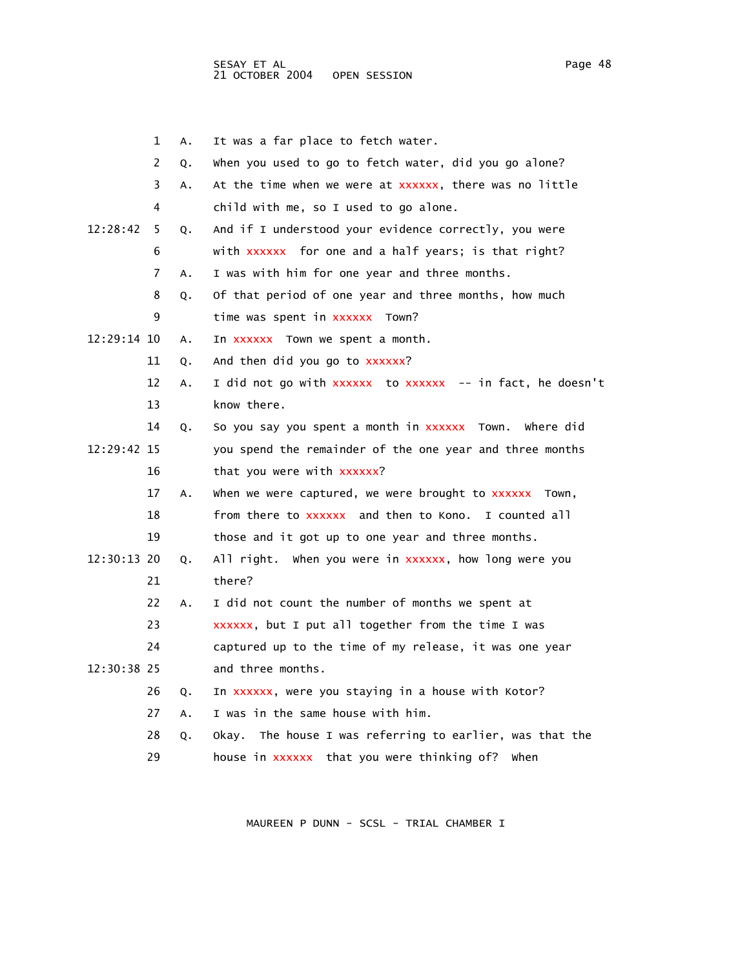|             | 1  | А. | It was a far place to fetch water.                          |
|-------------|----|----|-------------------------------------------------------------|
|             | 2  | Q. | when you used to go to fetch water, did you go alone?       |
|             | 3  | A. | At the time when we were at xxxxxx, there was no little     |
|             | 4  |    | child with me, so I used to go alone.                       |
| 12:28:42    | 5  | Q. | And if I understood your evidence correctly, you were       |
|             | 6  |    | with xxxxxx for one and a half years; is that right?        |
|             | 7  | А. | I was with him for one year and three months.               |
|             | 8  | Q. | Of that period of one year and three months, how much       |
|             | 9  |    | time was spent in xxxxxx Town?                              |
| 12:29:14 10 |    | Α. | In xxxxxx Town we spent a month.                            |
|             | 11 | Q. | And then did you go to xxxxxx?                              |
|             | 12 | Α. | I did not go with xxxxxx  to xxxxxx  -- in fact, he doesn't |
|             | 13 |    | know there.                                                 |
|             | 14 | Q. | So you say you spent a month in xxxxxx Town.<br>where did   |
| 12:29:42 15 |    |    | you spend the remainder of the one year and three months    |
|             | 16 |    | that you were with xxxxxx?                                  |
|             | 17 | А. | when we were captured, we were brought to xxxxxx Town,      |
|             | 18 |    | from there to xxxxxx and then to Kono.<br>I counted all     |
|             | 19 |    | those and it got up to one year and three months.           |
| 12:30:13 20 |    | Q. | All right. When you were in xxxxxx, how long were you       |
|             | 21 |    | there?                                                      |
|             | 22 | А. | I did not count the number of months we spent at            |
|             | 23 |    | xxxxxx, but I put all together from the time I was          |
|             | 24 |    | captured up to the time of my release, it was one year      |
| 12:30:38 25 |    |    | and three months.                                           |
|             | 26 | Q. | In xxxxxx, were you staying in a house with Kotor?          |
|             | 27 | Α. | I was in the same house with him.                           |
|             | 28 | Q. | The house I was referring to earlier, was that the<br>0kay. |
|             | 29 |    | house in xxxxxx that you were thinking of?<br>when          |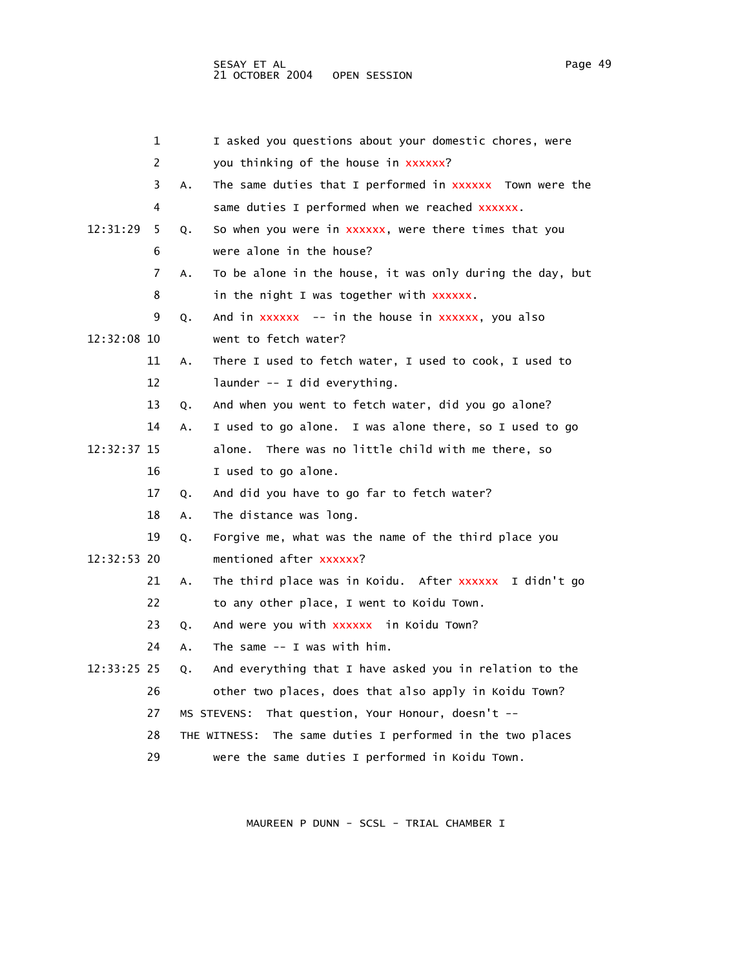|             | 1  |    | I asked you questions about your domestic chores, were        |
|-------------|----|----|---------------------------------------------------------------|
|             | 2  |    | you thinking of the house in xxxxxx?                          |
|             | 3  | Α. | The same duties that I performed in XXXXXX Town were the      |
|             | 4  |    | same duties I performed when we reached xxxxxx.               |
| 12:31:29    | 5  | Q. | So when you were in xxxxxx, were there times that you         |
|             | 6  |    | were alone in the house?                                      |
|             | 7  | Α. | To be alone in the house, it was only during the day, but     |
|             | 8  |    | in the night I was together with xxxxxx.                      |
|             | 9  | Q. | And in xxxxxx -- in the house in xxxxxx, you also             |
| 12:32:08 10 |    |    | went to fetch water?                                          |
|             | 11 | A. | There I used to fetch water, I used to cook, I used to        |
|             | 12 |    | launder -- I did everything.                                  |
|             | 13 | Q. | And when you went to fetch water, did you go alone?           |
|             | 14 | А. | I used to go alone. I was alone there, so I used to go        |
| 12:32:37 15 |    |    | alone.<br>There was no little child with me there, so         |
|             | 16 |    | I used to go alone.                                           |
|             | 17 | Q. | And did you have to go far to fetch water?                    |
|             | 18 | Α. | The distance was long.                                        |
|             | 19 | Q. | Forgive me, what was the name of the third place you          |
| 12:32:53 20 |    |    | mentioned after xxxxxx?                                       |
|             | 21 | Α. | The third place was in Koidu. After xxxxxx I didn't go        |
|             | 22 |    | to any other place, I went to Koidu Town.                     |
|             | 23 | Q. | And were you with xxxxxx in Koidu Town?                       |
|             | 24 | Α. | The same $--$ I was with him.                                 |
| 12:33:25 25 |    | Q. | And everything that I have asked you in relation to the       |
|             | 26 |    | other two places, does that also apply in Koidu Town?         |
|             | 27 |    | That question, Your Honour, doesn't --<br>MS STEVENS:         |
|             | 28 |    | The same duties I performed in the two places<br>THE WITNESS: |
|             | 29 |    | were the same duties I performed in Koidu Town.               |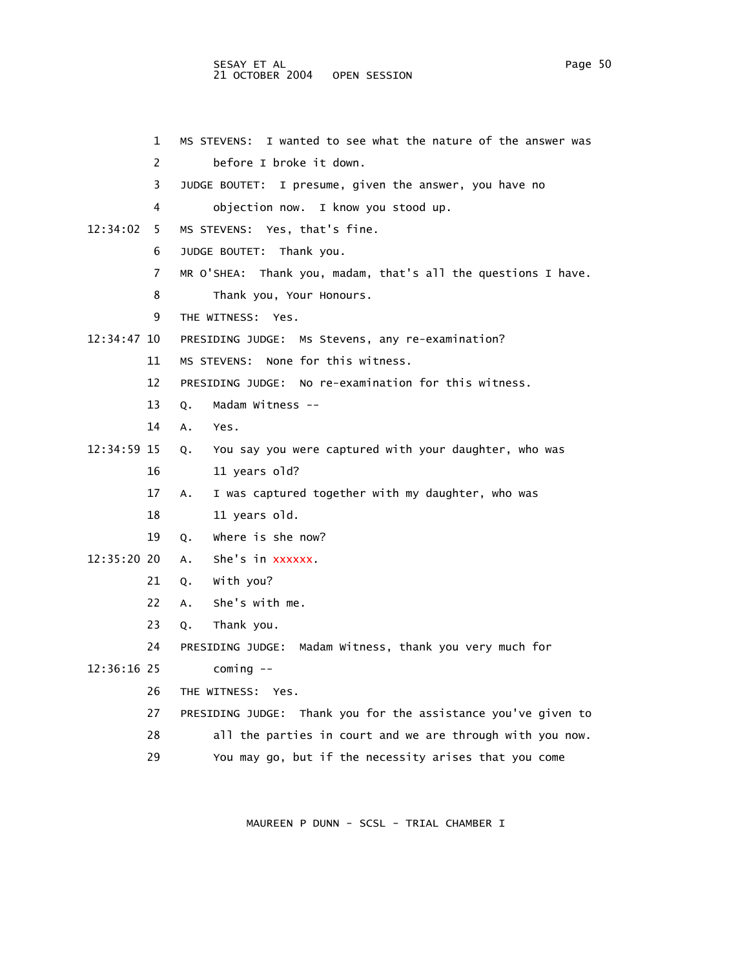# SESAY ET AL PAGE 2012 12:00 Page 50 21 OCTOBER 2004 OPEN SESSION

 1 MS STEVENS: I wanted to see what the nature of the answer was 2 before I broke it down. 3 JUDGE BOUTET: I presume, given the answer, you have no 4 objection now. I know you stood up. 12:34:02 5 MS STEVENS: Yes, that's fine. 6 JUDGE BOUTET: Thank you. 7 MR O'SHEA: Thank you, madam, that's all the questions I have. 8 Thank you, Your Honours. 9 THE WITNESS: Yes. 12:34:47 10 PRESIDING JUDGE: Ms Stevens, any re-examination? 11 MS STEVENS: None for this witness. 12 PRESIDING JUDGE: No re-examination for this witness. 13 Q. Madam Witness -- 14 A. Yes. 12:34:59 15 Q. You say you were captured with your daughter, who was 16 11 years old? 17 A. I was captured together with my daughter, who was 18 11 years old. 19 Q. Where is she now? 12:35:20 20 A. She's in xxxxxx. 21 Q. With you? 22 A. She's with me. 23 Q. Thank you. 24 PRESIDING JUDGE: Madam Witness, thank you very much for 12:36:16 25 coming -- 26 THE WITNESS: Yes. 27 PRESIDING JUDGE: Thank you for the assistance you've given to 28 all the parties in court and we are through with you now. 29 You may go, but if the necessity arises that you come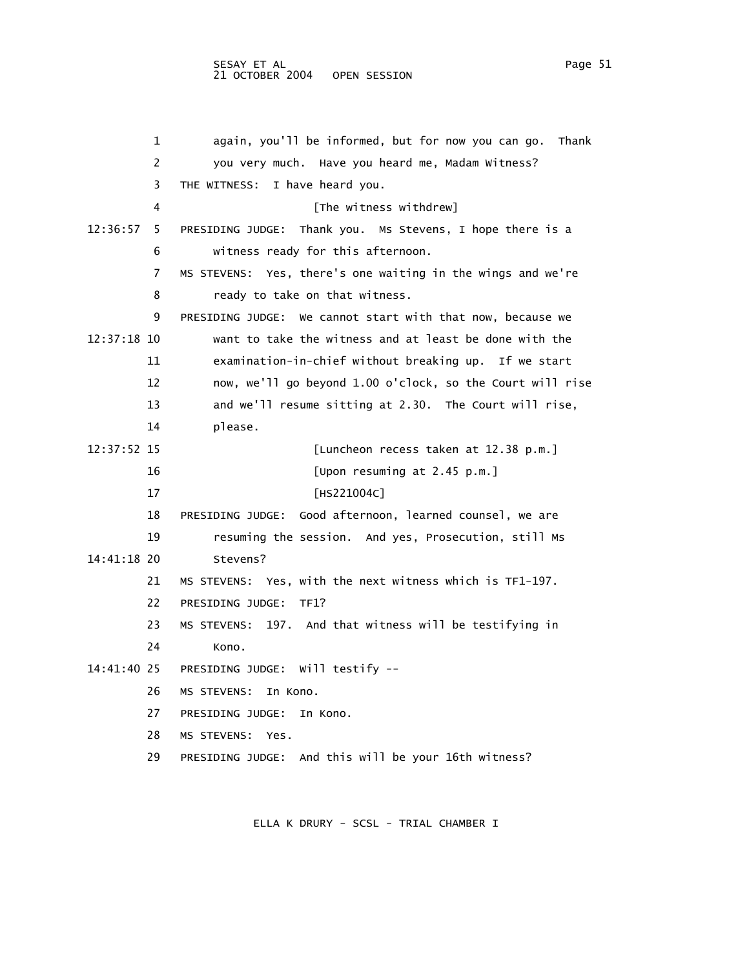1 again, you'll be informed, but for now you can go. Thank 2 you very much. Have you heard me, Madam Witness? 3 THE WITNESS: I have heard you. 4 **A EXECUTE:** [The witness withdrew] 12:36:57 5 PRESIDING JUDGE: Thank you. Ms Stevens, I hope there is a 6 witness ready for this afternoon. 7 MS STEVENS: Yes, there's one waiting in the wings and we're 8 ready to take on that witness. 9 PRESIDING JUDGE: We cannot start with that now, because we 12:37:18 10 want to take the witness and at least be done with the 11 examination-in-chief without breaking up. If we start 12 now, we'll go beyond 1.00 o'clock, so the Court will rise 13 and we'll resume sitting at 2.30. The Court will rise, 14 please. 12:37:52 15 [Luncheon recess taken at 12.38 p.m.] 16 [Upon resuming at 2.45 p.m.] 17 [HS221004C] 18 PRESIDING JUDGE: Good afternoon, learned counsel, we are 19 resuming the session. And yes, Prosecution, still Ms 14:41:18 20 Stevens? 21 MS STEVENS: Yes, with the next witness which is TF1-197. 22 PRESIDING JUDGE: TF1? 23 MS STEVENS: 197. And that witness will be testifying in 24 Kono. 14:41:40 25 PRESIDING JUDGE: Will testify -- 26 MS STEVENS: In Kono. 27 PRESIDING JUDGE: In Kono. 28 MS STEVENS: Yes.

29 PRESIDING JUDGE: And this will be your 16th witness?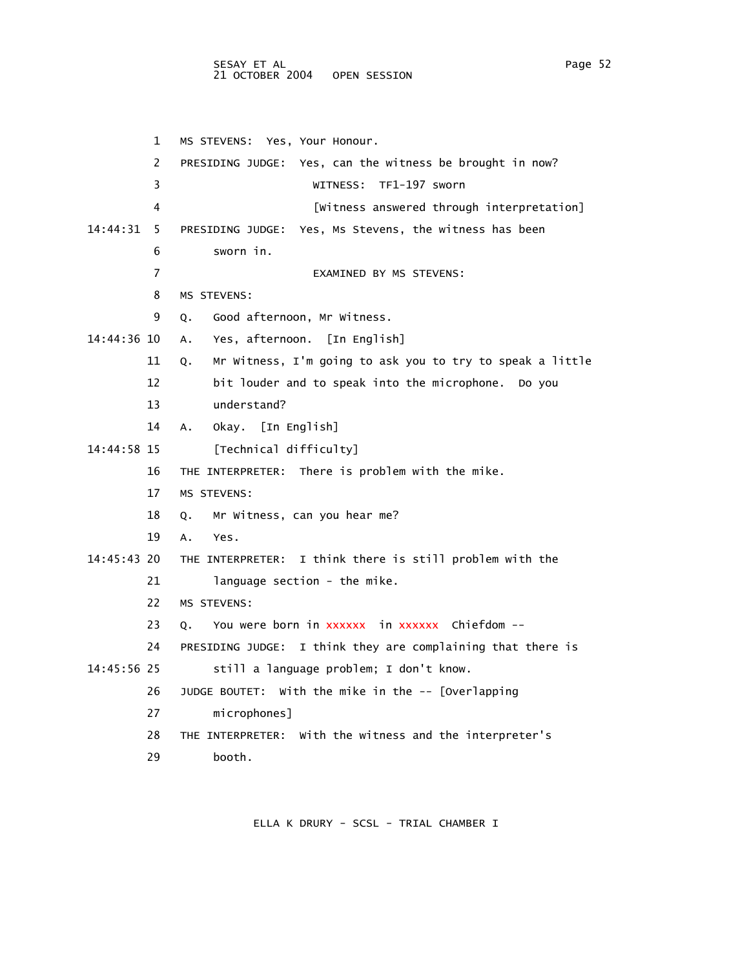# SESAY ET AL PAGE 2012 12:00 Page 52 21 OCTOBER 2004 OPEN SESSION

 1 MS STEVENS: Yes, Your Honour. 2 PRESIDING JUDGE: Yes, can the witness be brought in now? 3 WITNESS: TF1-197 sworn 4 [Witness answered through interpretation] 14:44:31 5 PRESIDING JUDGE: Yes, Ms Stevens, the witness has been 6 sworn in. 7 EXAMINED BY MS STEVENS: 8 MS STEVENS: 9 Q. Good afternoon, Mr Witness. 14:44:36 10 A. Yes, afternoon. [In English] 11 Q. Mr Witness, I'm going to ask you to try to speak a little 12 bit louder and to speak into the microphone. Do you 13 understand? 14 A. Okay. [In English] 14:44:58 15 [Technical difficulty] 16 THE INTERPRETER: There is problem with the mike. 17 MS STEVENS: 18 Q. Mr Witness, can you hear me? 19 A. Yes. 14:45:43 20 THE INTERPRETER: I think there is still problem with the 21 anguage section - the mike. 22 MS STEVENS: 23 Q. You were born in xxxxxx in xxxxxx Chiefdom -- 24 PRESIDING JUDGE: I think they are complaining that there is 14:45:56 25 still a language problem; I don't know. 26 JUDGE BOUTET: With the mike in the -- [Overlapping 27 microphones]

- 28 THE INTERPRETER: With the witness and the interpreter's
- 29 booth.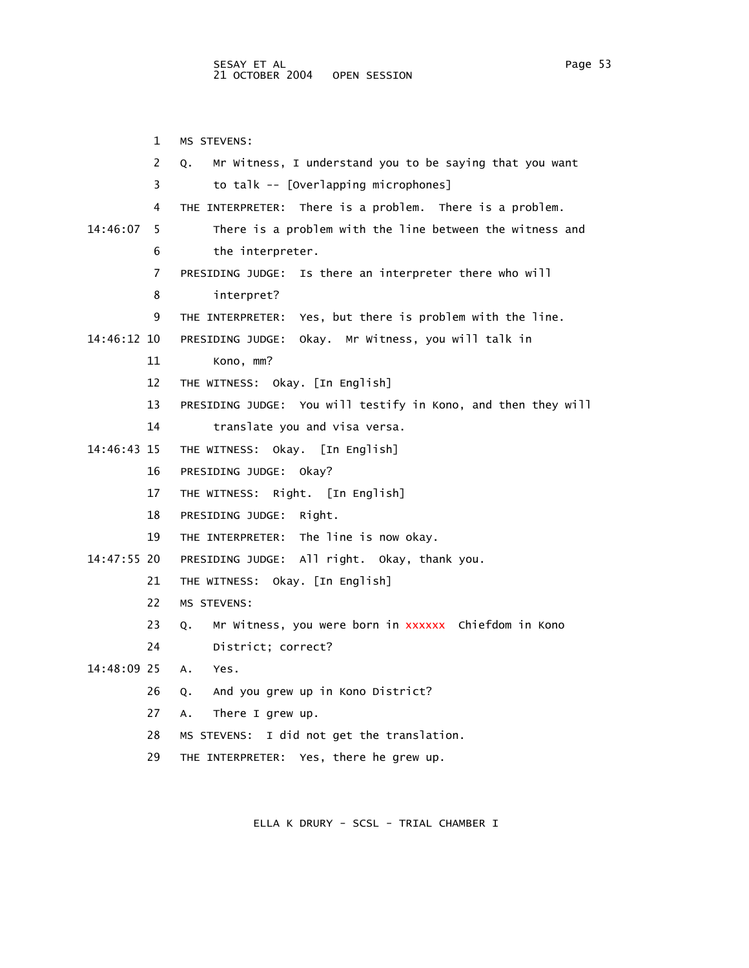1 MS STEVENS: 2 Q. Mr Witness, I understand you to be saying that you want 3 to talk -- [Overlapping microphones] 4 THE INTERPRETER: There is a problem. There is a problem. 14:46:07 5 There is a problem with the line between the witness and 6 the interpreter. 7 PRESIDING JUDGE: Is there an interpreter there who will 8 interpret? 9 THE INTERPRETER: Yes, but there is problem with the line. 14:46:12 10 PRESIDING JUDGE: Okay. Mr Witness, you will talk in 11 Kono, mm? 12 THE WITNESS: Okay. [In English] 13 PRESIDING JUDGE: You will testify in Kono, and then they will 14 translate you and visa versa. 14:46:43 15 THE WITNESS: Okay. [In English] 16 PRESIDING JUDGE: Okay? 17 THE WITNESS: Right. [In English] 18 PRESIDING JUDGE: Right. 19 THE INTERPRETER: The line is now okay. 14:47:55 20 PRESIDING JUDGE: All right. Okay, thank you. 21 THE WITNESS: Okay. [In English] 22 MS STEVENS: 23 Q. Mr Witness, you were born in xxxxxx Chiefdom in Kono 24 District; correct? 14:48:09 25 A. Yes. 26 Q. And you grew up in Kono District? 27 A. There I grew up. 28 MS STEVENS: I did not get the translation. 29 THE INTERPRETER: Yes, there he grew up.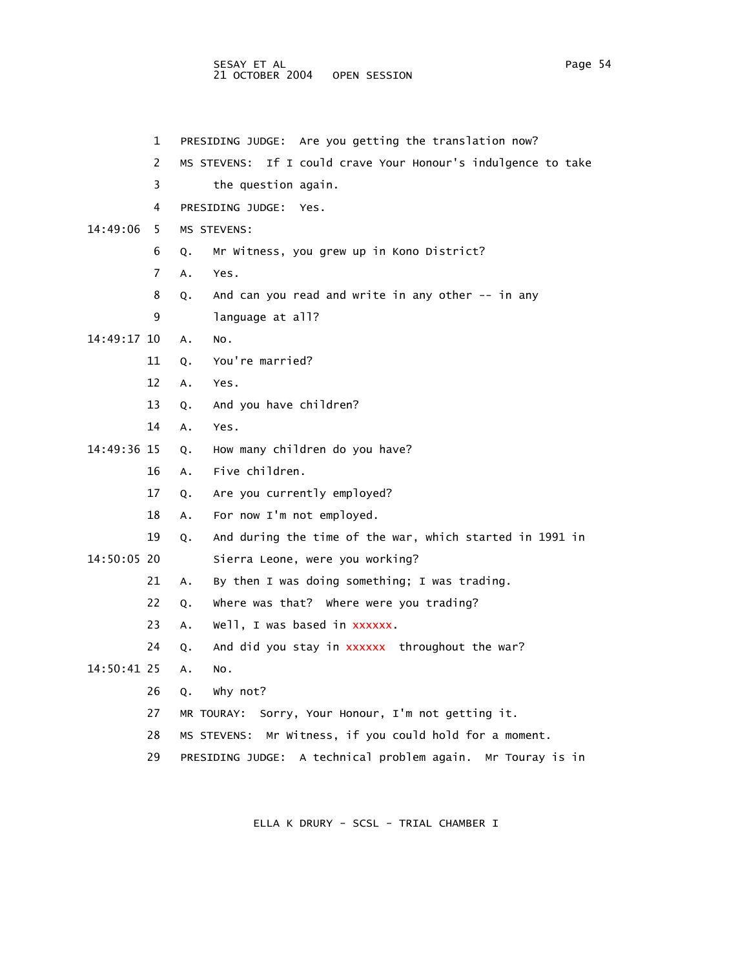## SESAY ET AL Page 54 and the set of the set of the set of the set of the set of the set of the set of the set of the set of the set of the set of the set of the set of the set of the set of the set of the set of the set of 21 OCTOBER 2004 OPEN SESSION

|             | 1  | PRESIDING JUDGE: Are you getting the translation now?            |
|-------------|----|------------------------------------------------------------------|
|             | 2  | If I could crave Your Honour's indulgence to take<br>MS STEVENS: |
|             | 3  | the question again.                                              |
|             | 4  | PRESIDING JUDGE:<br>Yes.                                         |
| 14:49:06    | 5  | MS STEVENS:                                                      |
|             | 6  | Mr Witness, you grew up in Kono District?<br>Q.                  |
|             | 7  | A.<br>Yes.                                                       |
|             | 8  | And can you read and write in any other -- in any<br>Q.          |
|             | 9  | language at all?                                                 |
| 14:49:17 10 |    | Α.<br>NO.                                                        |
|             | 11 | You're married?<br>Q.                                            |
|             | 12 | A.<br>Yes.                                                       |
|             | 13 | And you have children?<br>Q.                                     |
|             | 14 | A.<br>Yes.                                                       |
| 14:49:36 15 |    | How many children do you have?<br>Q.                             |
|             | 16 | Five children.<br>Α.                                             |
|             | 17 | Are you currently employed?<br>Q.                                |
|             | 18 | For now I'm not employed.<br>Α.                                  |
|             | 19 | And during the time of the war, which started in 1991 in<br>Q.   |
| 14:50:05 20 |    | Sierra Leone, were you working?                                  |
|             | 21 | By then I was doing something; I was trading.<br>Α.              |
|             | 22 | where was that? Where were you trading?<br>Q.                    |
|             | 23 | Well, I was based in xxxxxx.<br>A.                               |
|             | 24 | And did you stay in xxxxxx throughout the war?<br>Q.             |
| 14:50:41 25 |    | Α.<br>NO.                                                        |
|             | 26 | Why not?<br>Q.                                                   |
|             | 27 | MR TOURAY: Sorry, Your Honour, I'm not getting it.               |
|             | 28 | Mr Witness, if you could hold for a moment.<br>MS STEVENS:       |
|             | 29 | PRESIDING JUDGE: A technical problem again.<br>Mr Touray is in   |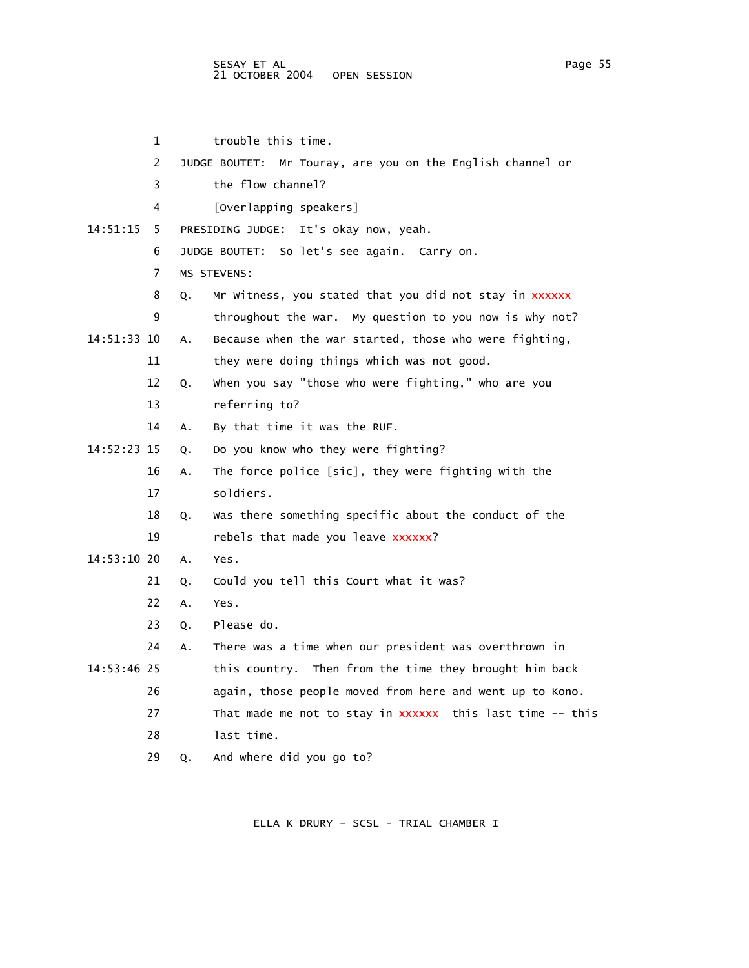1 trouble this time. 2 JUDGE BOUTET: Mr Touray, are you on the English channel or 3 the flow channel? 4 [Overlapping speakers] 14:51:15 5 PRESIDING JUDGE: It's okay now, yeah. 6 JUDGE BOUTET: So let's see again. Carry on. 7 MS STEVENS: 8 Q. Mr Witness, you stated that you did not stay in xxxxxx 9 throughout the war. My question to you now is why not? 14:51:33 10 A. Because when the war started, those who were fighting, 11 they were doing things which was not good. 12 Q. When you say "those who were fighting," who are you 13 referring to? 14 A. By that time it was the RUF. 14:52:23 15 Q. Do you know who they were fighting? 16 A. The force police [sic], they were fighting with the 17 soldiers. 18 Q. Was there something specific about the conduct of the 19 rebels that made you leave xxxxxx? 14:53:10 20 A. Yes. 21 Q. Could you tell this Court what it was? 22 A. Yes. 23 Q. Please do. 24 A. There was a time when our president was overthrown in 14:53:46 25 this country. Then from the time they brought him back 26 again, those people moved from here and went up to Kono. 27 That made me not to stay in xxxxxx this last time -- this 28 last time. 29 Q. And where did you go to?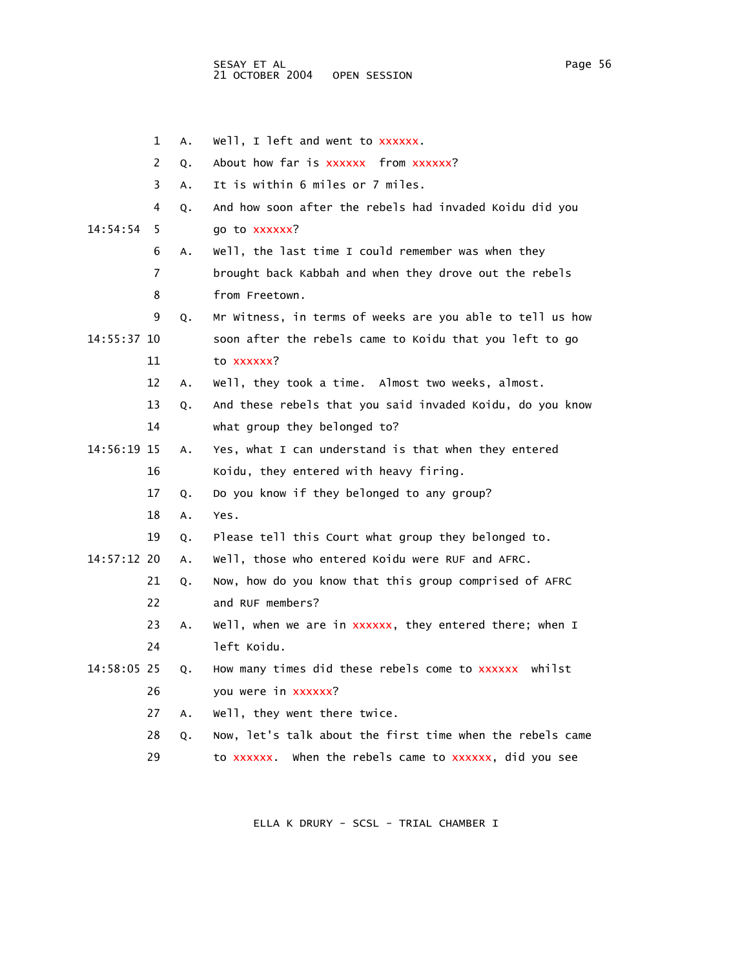|             | 1              | Α. | Well, I left and went to xxxxxx.                          |
|-------------|----------------|----|-----------------------------------------------------------|
|             | $\overline{2}$ | Q. | About how far is xxxxxx from xxxxxx?                      |
|             | 3              | A. | It is within 6 miles or 7 miles.                          |
|             | 4              | Q. | And how soon after the rebels had invaded Koidu did you   |
| 14:54:54    | 5              |    | go to xxxxxx?                                             |
|             | 6              | A. | Well, the last time I could remember was when they        |
|             | 7              |    | brought back Kabbah and when they drove out the rebels    |
|             | 8              |    | from Freetown.                                            |
|             | 9              | Q. | Mr Witness, in terms of weeks are you able to tell us how |
| 14:55:37 10 |                |    | soon after the rebels came to Koidu that you left to go   |
|             | 11             |    | to xxxxxx?                                                |
|             | 12             | Α. | Well, they took a time. Almost two weeks, almost.         |
|             | 13             | Q. | And these rebels that you said invaded Koidu, do you know |
|             | 14             |    | what group they belonged to?                              |
| 14:56:19 15 |                | Α. | Yes, what I can understand is that when they entered      |
|             | 16             |    | Koidu, they entered with heavy firing.                    |
|             | 17             | Q. | Do you know if they belonged to any group?                |
|             | 18             | Α. | Yes.                                                      |
|             | 19             | Q. | Please tell this Court what group they belonged to.       |
| 14:57:12 20 |                | Α. | Well, those who entered Koidu were RUF and AFRC.          |
|             | 21             | Q. | Now, how do you know that this group comprised of AFRC    |
|             | 22             |    | and RUF members?                                          |
|             | 23             | A. | Well, when we are in xxxxxx, they entered there; when I   |
|             | 24             |    | left Koidu.                                               |
| 14:58:05 25 |                | Q. | How many times did these rebels come to xxxxxx whilst     |
|             | 26             |    | you were in xxxxxx?                                       |
|             | 27             | А. | well, they went there twice.                              |
|             | 28             | Q. | Now, let's talk about the first time when the rebels came |
|             | 29             |    | when the rebels came to xxxxxx, did you see<br>to xxxxxx. |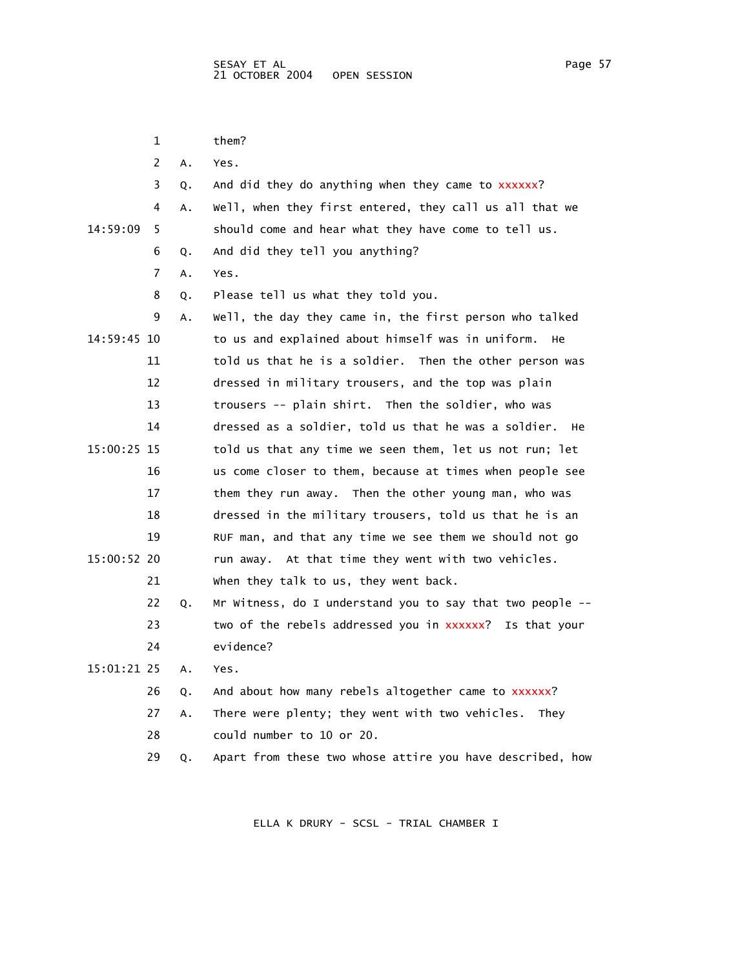1 them? 2 A. Yes. 3 Q. And did they do anything when they came to xxxxxx? 4 A. Well, when they first entered, they call us all that we 14:59:09 5 should come and hear what they have come to tell us. 6 Q. And did they tell you anything? 7 A. Yes. 8 Q. Please tell us what they told you. 9 A. Well, the day they came in, the first person who talked 14:59:45 10 to us and explained about himself was in uniform. He 11 told us that he is a soldier. Then the other person was 12 dressed in military trousers, and the top was plain 13 trousers -- plain shirt. Then the soldier, who was 14 dressed as a soldier, told us that he was a soldier. He 15:00:25 15 told us that any time we seen them, let us not run; let 16 us come closer to them, because at times when people see 17 them they run away. Then the other young man, who was 18 dressed in the military trousers, told us that he is an 19 RUF man, and that any time we see them we should not go 15:00:52 20 run away. At that time they went with two vehicles. 21 When they talk to us, they went back. 22 Q. Mr Witness, do I understand you to say that two people -- 23 two of the rebels addressed you in xxxxxx? Is that your 24 evidence? 15:01:21 25 A. Yes. 26 Q. And about how many rebels altogether came to xxxxxx? 27 A. There were plenty; they went with two vehicles. They 28 could number to 10 or 20. 29 Q. Apart from these two whose attire you have described, how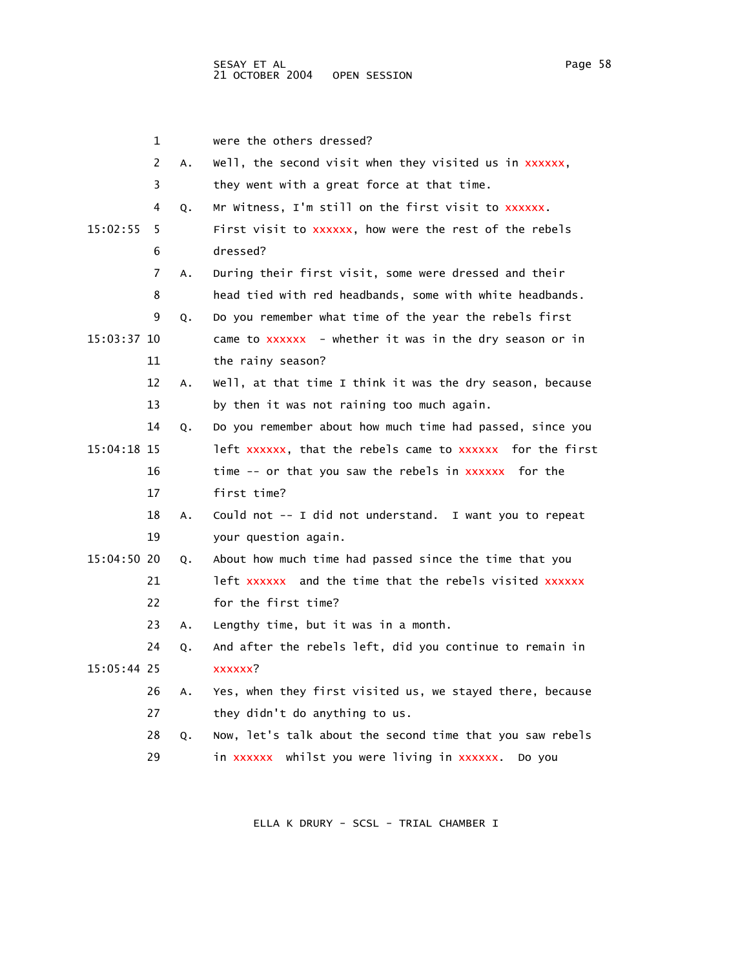|             | 1  |    | were the others dressed?                                  |
|-------------|----|----|-----------------------------------------------------------|
|             | 2  | А. | Well, the second visit when they visited us in xxxxxx,    |
|             | 3  |    | they went with a great force at that time.                |
|             | 4  | Q. | Mr Witness, I'm still on the first visit to xxxxxx.       |
| 15:02:55    | 5  |    | First visit to xxxxxx, how were the rest of the rebels    |
|             | 6  |    | dressed?                                                  |
|             | 7  | Α. | During their first visit, some were dressed and their     |
|             | 8  |    | head tied with red headbands, some with white headbands.  |
|             | 9  | Q. | Do you remember what time of the year the rebels first    |
| 15:03:37 10 |    |    | came to xxxxxx - whether it was in the dry season or in   |
|             | 11 |    | the rainy season?                                         |
|             | 12 | Α. | Well, at that time I think it was the dry season, because |
|             | 13 |    | by then it was not raining too much again.                |
|             | 14 | Q. | Do you remember about how much time had passed, since you |
| 15:04:18 15 |    |    | left xxxxxx, that the rebels came to xxxxxx for the first |
|             | 16 |    | time -- or that you saw the rebels in xxxxxx for the      |
|             | 17 |    | first time?                                               |
|             | 18 | А. | Could not -- I did not understand. I want you to repeat   |
|             | 19 |    | your question again.                                      |
| 15:04:50 20 |    | Q. | About how much time had passed since the time that you    |
|             | 21 |    | left xxxxxx and the time that the rebels visited xxxxxx   |
|             | 22 |    | for the first time?                                       |
|             | 23 | Α. | Lengthy time, but it was in a month.                      |
|             | 24 | Q. | And after the rebels left, did you continue to remain in  |
| 15:05:44 25 |    |    | xxxxxx?                                                   |
|             | 26 | А. | Yes, when they first visited us, we stayed there, because |
|             | 27 |    | they didn't do anything to us.                            |
|             | 28 | Q. | Now, let's talk about the second time that you saw rebels |
|             | 29 |    | in xxxxxx whilst you were living in xxxxxx.<br>Do you     |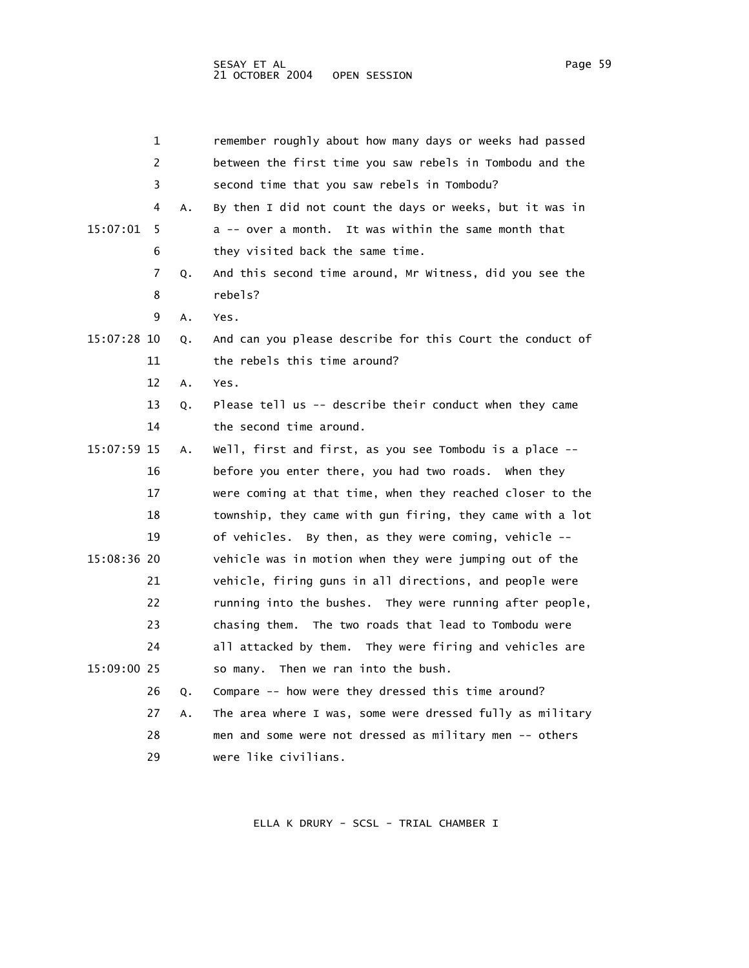|             | 1  |    | remember roughly about how many days or weeks had passed  |
|-------------|----|----|-----------------------------------------------------------|
|             | 2  |    | between the first time you saw rebels in Tombodu and the  |
|             | 3  |    | second time that you saw rebels in Tombodu?               |
|             | 4  | А. | By then I did not count the days or weeks, but it was in  |
| 15:07:01    | 5  |    | a -- over a month. It was within the same month that      |
|             | 6  |    | they visited back the same time.                          |
|             | 7  | Q. | And this second time around, Mr Witness, did you see the  |
|             | 8  |    | rebels?                                                   |
|             | 9  | Α. | Yes.                                                      |
| 15:07:28 10 |    | Q. | And can you please describe for this Court the conduct of |
|             | 11 |    | the rebels this time around?                              |
|             | 12 | А. | Yes.                                                      |
|             | 13 | Q. | Please tell us -- describe their conduct when they came   |
|             | 14 |    | the second time around.                                   |
| 15:07:59 15 |    | А. | well, first and first, as you see Tombodu is a place --   |
|             | 16 |    | before you enter there, you had two roads. When they      |
|             | 17 |    | were coming at that time, when they reached closer to the |
|             | 18 |    | township, they came with gun firing, they came with a lot |
|             | 19 |    | of vehicles. By then, as they were coming, vehicle $-$    |
| 15:08:36 20 |    |    | vehicle was in motion when they were jumping out of the   |
|             | 21 |    | vehicle, firing guns in all directions, and people were   |
|             | 22 |    | running into the bushes. They were running after people,  |
|             | 23 |    | chasing them. The two roads that lead to Tombodu were     |
|             | 24 |    | all attacked by them. They were firing and vehicles are   |
| 15:09:00 25 |    |    | so many. Then we ran into the bush.                       |
|             | 26 | Q. | Compare -- how were they dressed this time around?        |

 27 A. The area where I was, some were dressed fully as military 28 men and some were not dressed as military men -- others 29 were like civilians.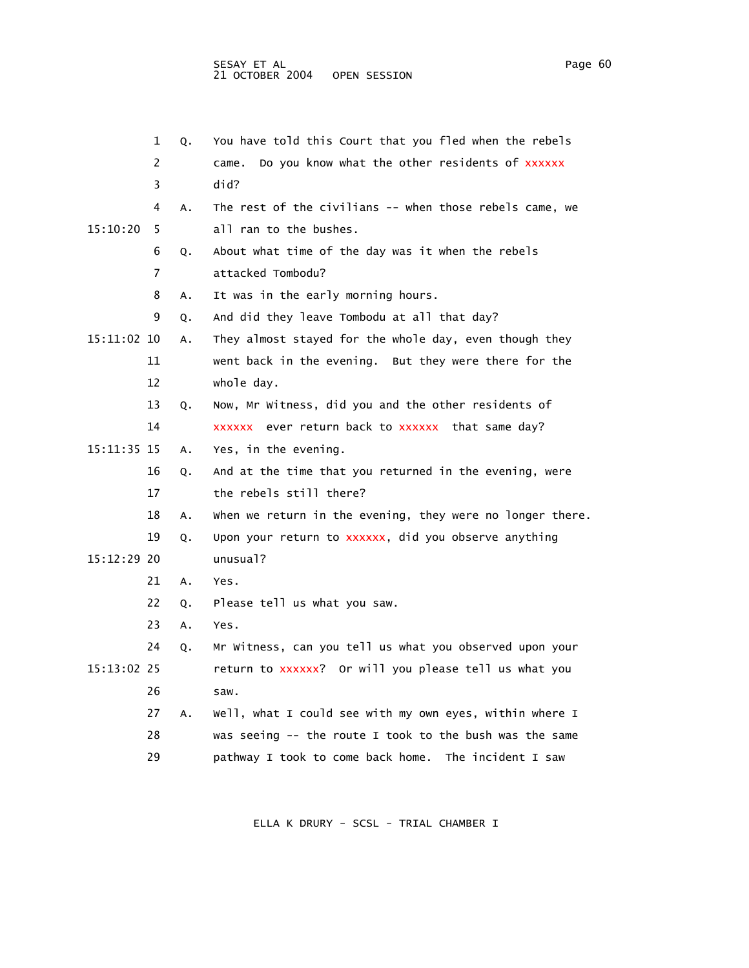|             | 1  | Q. | You have told this Court that you fled when the rebels    |
|-------------|----|----|-----------------------------------------------------------|
|             | 2  |    | Do you know what the other residents of xxxxxx<br>came.   |
|             | 3  |    | did?                                                      |
|             | 4  | Α. | The rest of the civilians -- when those rebels came, we   |
| 15:10:20    | 5  |    | all ran to the bushes.                                    |
|             | 6  | Q. | About what time of the day was it when the rebels         |
|             | 7  |    | attacked Tombodu?                                         |
|             | 8  | Α. | It was in the early morning hours.                        |
|             | 9  | Q. | And did they leave Tombodu at all that day?               |
| 15:11:02 10 |    | Α. | They almost stayed for the whole day, even though they    |
|             | 11 |    | went back in the evening. But they were there for the     |
|             | 12 |    | whole day.                                                |
|             | 13 | Q. | Now, Mr Witness, did you and the other residents of       |
|             | 14 |    | xxxxxx ever return back to xxxxxx that same day?          |
| 15:11:35 15 |    | Α. | Yes, in the evening.                                      |
|             | 16 | Q. | And at the time that you returned in the evening, were    |
|             | 17 |    | the rebels still there?                                   |
|             | 18 | Α. | when we return in the evening, they were no longer there. |
|             | 19 | Q. | Upon your return to xxxxxx, did you observe anything      |
| 15:12:29 20 |    |    | unusua <sub>1?</sub>                                      |
|             | 21 | А. | Yes.                                                      |
|             | 22 | Q. | Please tell us what you saw.                              |
|             | 23 | Α. | Yes.                                                      |
|             | 24 | Q. | Mr Witness, can you tell us what you observed upon your   |
| 15:13:02 25 |    |    | return to xxxxxx? Or will you please tell us what you     |
|             | 26 |    | saw.                                                      |
|             | 27 | А. | Well, what I could see with my own eyes, within where I   |
|             | 28 |    | was seeing -- the route I took to the bush was the same   |
|             | 29 |    | pathway I took to come back home. The incident I saw      |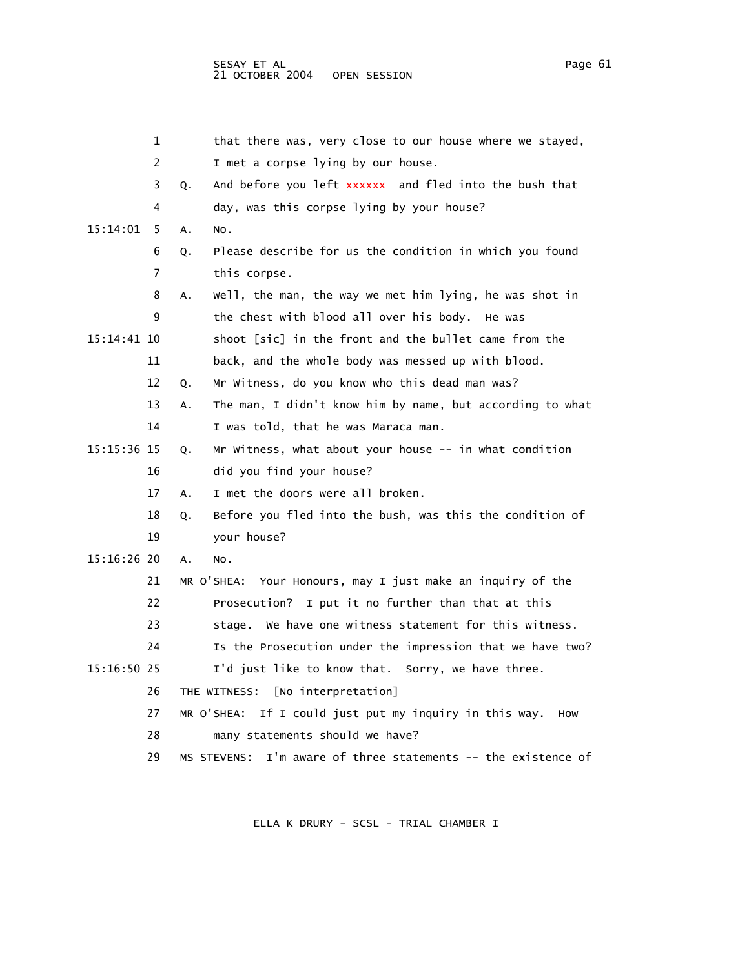1 that there was, very close to our house where we stayed, 2 I met a corpse lying by our house. 3 Q. And before you left xxxxxx and fled into the bush that 4 day, was this corpse lying by your house? 15:14:01 5 A. No. 6 Q. Please describe for us the condition in which you found 7 this corpse. 8 A. Well, the man, the way we met him lying, he was shot in 9 the chest with blood all over his body. He was 15:14:41 10 shoot [sic] in the front and the bullet came from the 11 back, and the whole body was messed up with blood. 12 Q. Mr Witness, do you know who this dead man was? 13 A. The man, I didn't know him by name, but according to what 14 I was told, that he was Maraca man. 15:15:36 15 Q. Mr Witness, what about your house -- in what condition 16 did you find your house? 17 A. I met the doors were all broken. 18 Q. Before you fled into the bush, was this the condition of 19 your house? 15:16:26 20 A. No. 21 MR O'SHEA: Your Honours, may I just make an inquiry of the 22 Prosecution? I put it no further than that at this 23 stage. We have one witness statement for this witness. 24 Is the Prosecution under the impression that we have two? 15:16:50 25 I'd just like to know that. Sorry, we have three. 26 THE WITNESS: [No interpretation] 27 MR O'SHEA: If I could just put my inquiry in this way. How 28 many statements should we have? 29 MS STEVENS: I'm aware of three statements -- the existence of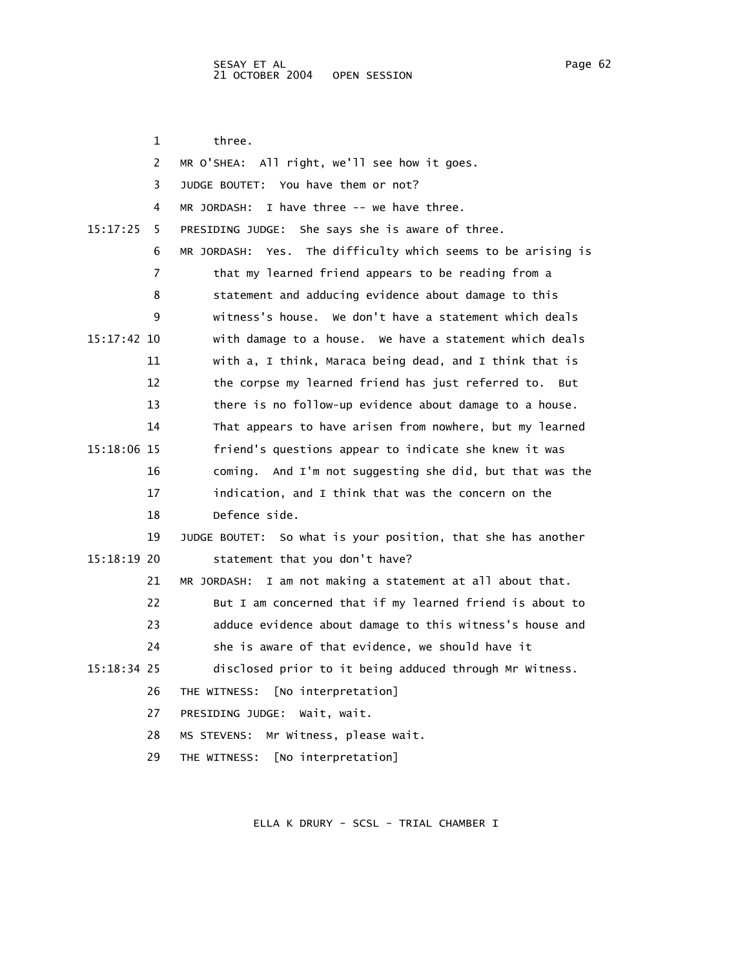1 three. 2 MR O'SHEA: All right, we'll see how it goes. 3 JUDGE BOUTET: You have them or not? 4 MR JORDASH: I have three -- we have three. 15:17:25 5 PRESIDING JUDGE: She says she is aware of three. 6 MR JORDASH: Yes. The difficulty which seems to be arising is 7 that my learned friend appears to be reading from a 8 statement and adducing evidence about damage to this 9 witness's house. We don't have a statement which deals 15:17:42 10 with damage to a house. We have a statement which deals 11 with a, I think, Maraca being dead, and I think that is 12 the corpse my learned friend has just referred to. But 13 there is no follow-up evidence about damage to a house. 14 That appears to have arisen from nowhere, but my learned 15:18:06 15 friend's questions appear to indicate she knew it was 16 coming. And I'm not suggesting she did, but that was the 17 indication, and I think that was the concern on the 18 Defence side. 19 JUDGE BOUTET: So what is your position, that she has another 15:18:19 20 statement that you don't have? 21 MR JORDASH: I am not making a statement at all about that. 22 But I am concerned that if my learned friend is about to 23 adduce evidence about damage to this witness's house and 24 she is aware of that evidence, we should have it 15:18:34 25 disclosed prior to it being adduced through Mr Witness. 26 THE WITNESS: [No interpretation] 27 PRESIDING JUDGE: Wait, wait. 28 MS STEVENS: Mr Witness, please wait. 29 THE WITNESS: [No interpretation]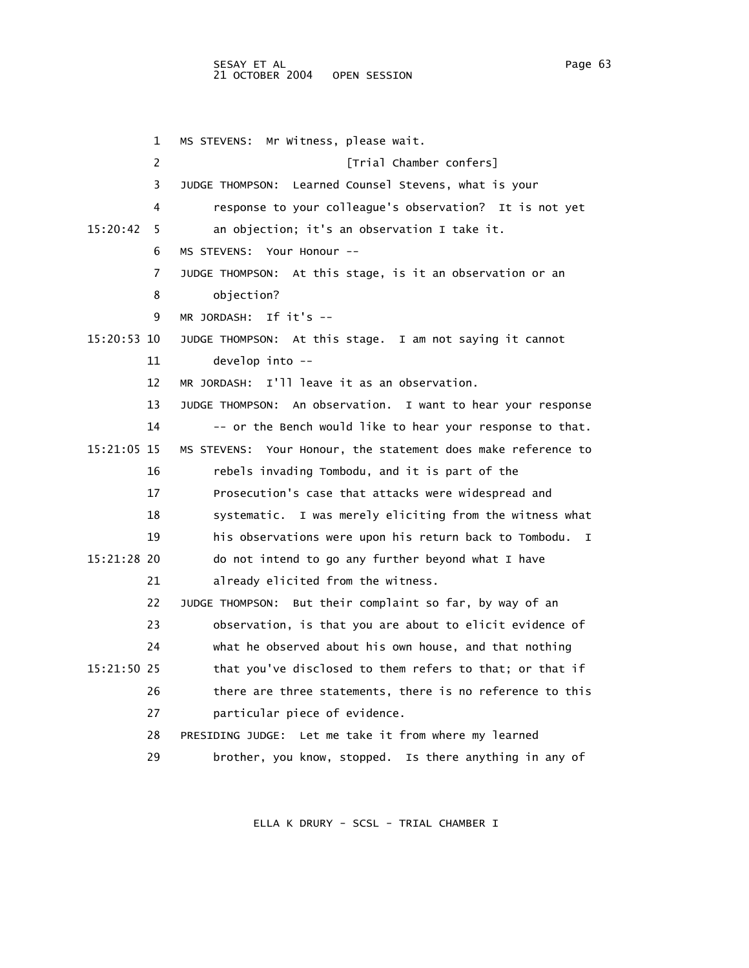## SESAY ET AL PAGE 2012 12:00 Page 63 21 OCTOBER 2004 OPEN SESSION

 1 MS STEVENS: Mr Witness, please wait. 2 *Trial Chamber confers*  3 JUDGE THOMPSON: Learned Counsel Stevens, what is your 4 response to your colleague's observation? It is not yet 15:20:42 5 an objection; it's an observation I take it. 6 MS STEVENS: Your Honour -- 7 JUDGE THOMPSON: At this stage, is it an observation or an 8 objection? 9 MR JORDASH: If it's -- 15:20:53 10 JUDGE THOMPSON: At this stage. I am not saying it cannot 11 develop into -- 12 MR JORDASH: I'll leave it as an observation. 13 JUDGE THOMPSON: An observation. I want to hear your response 14 -- or the Bench would like to hear your response to that. 15:21:05 15 MS STEVENS: Your Honour, the statement does make reference to 16 rebels invading Tombodu, and it is part of the 17 Prosecution's case that attacks were widespread and 18 systematic. I was merely eliciting from the witness what 19 his observations were upon his return back to Tombodu. I 15:21:28 20 do not intend to go any further beyond what I have 21 already elicited from the witness. 22 JUDGE THOMPSON: But their complaint so far, by way of an 23 observation, is that you are about to elicit evidence of 24 what he observed about his own house, and that nothing 15:21:50 25 that you've disclosed to them refers to that; or that if 26 there are three statements, there is no reference to this 27 particular piece of evidence. 28 PRESIDING JUDGE: Let me take it from where my learned 29 brother, you know, stopped. Is there anything in any of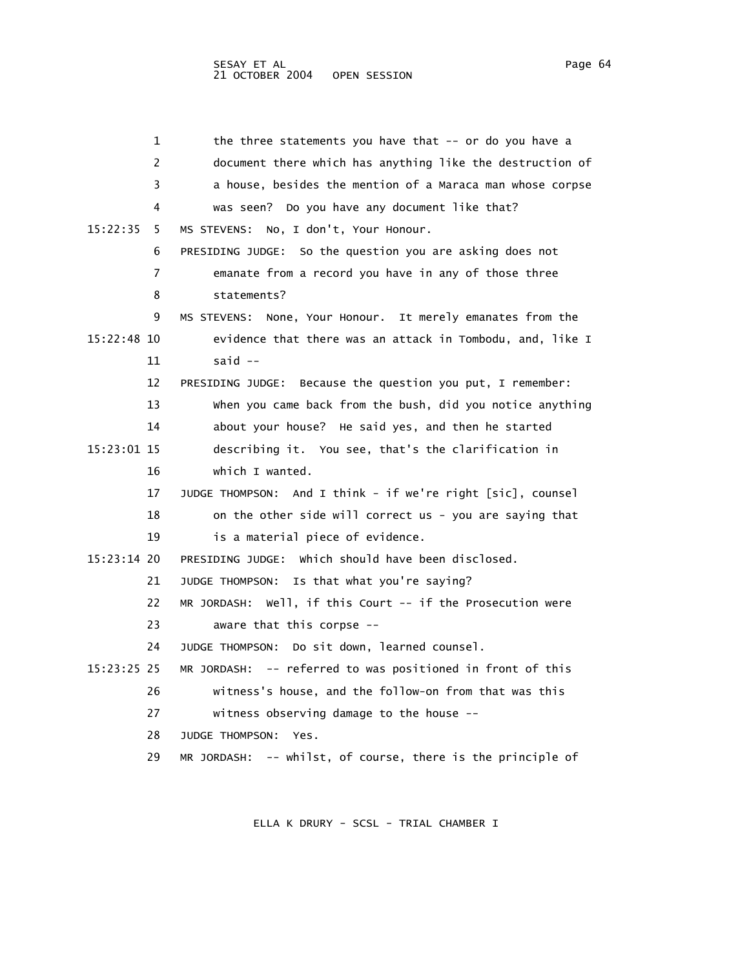|             | 1  | the three statements you have that -- or do you have a        |
|-------------|----|---------------------------------------------------------------|
|             | 2  | document there which has anything like the destruction of     |
|             | 3  | a house, besides the mention of a Maraca man whose corpse     |
|             | 4  | was seen? Do you have any document like that?                 |
| 15:22:35    | 5  | No, I don't, Your Honour.<br>MS STEVENS:                      |
|             | 6  | PRESIDING JUDGE: So the question you are asking does not      |
|             | 7  | emanate from a record you have in any of those three          |
|             | 8  | statements?                                                   |
|             | 9  | MS STEVENS: None, Your Honour. It merely emanates from the    |
| 15:22:48 10 |    | evidence that there was an attack in Tombodu, and, like I     |
|             | 11 | said $--$                                                     |
|             | 12 | Because the question you put, I remember:<br>PRESIDING JUDGE: |
|             | 13 | when you came back from the bush, did you notice anything     |
|             | 14 | about your house? He said yes, and then he started            |
| 15:23:01 15 |    | describing it. You see, that's the clarification in           |
|             | 16 | which I wanted.                                               |
|             | 17 | JUDGE THOMPSON: And I think - if we're right [sic], counsel   |
|             | 18 | on the other side will correct us - you are saying that       |
|             | 19 | is a material piece of evidence.                              |
| 15:23:14 20 |    | PRESIDING JUDGE: which should have been disclosed.            |
|             | 21 | JUDGE THOMPSON: Is that what you're saying?                   |
|             | 22 | MR JORDASH: Well, if this Court -- if the Prosecution were    |
|             | 23 | aware that this corpse --                                     |
|             | 24 | JUDGE THOMPSON: Do sit down, learned counsel.                 |
| 15:23:25 25 |    | MR JORDASH: -- referred to was positioned in front of this    |
|             | 26 | witness's house, and the follow-on from that was this         |
|             | 27 | witness observing damage to the house --                      |
|             | 28 | <b>JUDGE THOMPSON:</b><br>Yes.                                |
|             | 29 | MR JORDASH: -- whilst, of course, there is the principle of   |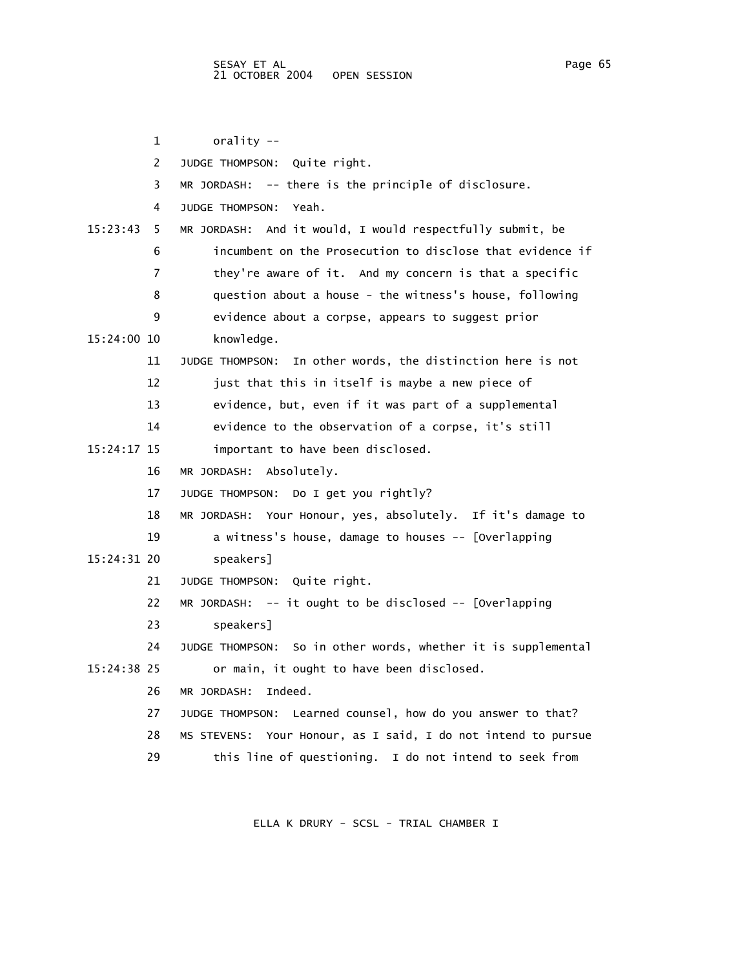1 orality -- 2 JUDGE THOMPSON: Quite right. 3 MR JORDASH: -- there is the principle of disclosure. 4 JUDGE THOMPSON: Yeah. 15:23:43 5 MR JORDASH: And it would, I would respectfully submit, be 6 incumbent on the Prosecution to disclose that evidence if 7 they're aware of it. And my concern is that a specific 8 question about a house - the witness's house, following 9 evidence about a corpse, appears to suggest prior 15:24:00 10 knowledge. 11 JUDGE THOMPSON: In other words, the distinction here is not 12 just that this in itself is maybe a new piece of 13 evidence, but, even if it was part of a supplemental 14 evidence to the observation of a corpse, it's still 15:24:17 15 important to have been disclosed. 16 MR JORDASH: Absolutely. 17 JUDGE THOMPSON: Do I get you rightly? 18 MR JORDASH: Your Honour, yes, absolutely. If it's damage to 19 a witness's house, damage to houses -- [Overlapping 15:24:31 20 speakers] 21 JUDGE THOMPSON: Quite right. 22 MR JORDASH: -- it ought to be disclosed -- [Overlapping 23 speakers] 24 JUDGE THOMPSON: So in other words, whether it is supplemental 15:24:38 25 or main, it ought to have been disclosed. 26 MR JORDASH: Indeed. 27 JUDGE THOMPSON: Learned counsel, how do you answer to that? 28 MS STEVENS: Your Honour, as I said, I do not intend to pursue 29 this line of questioning. I do not intend to seek from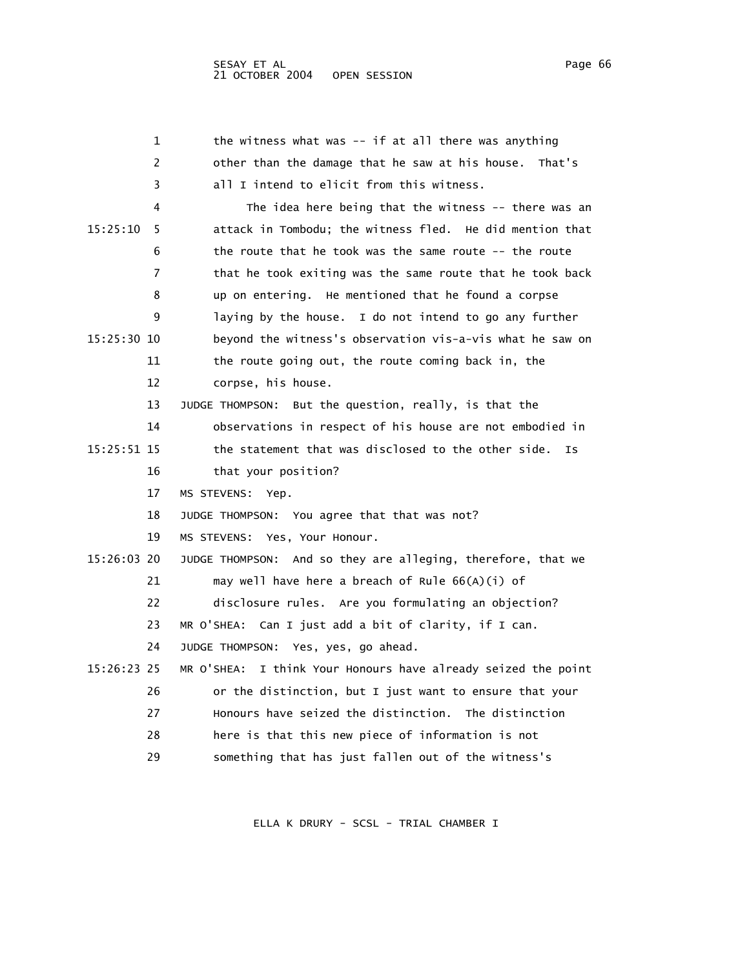| 1             | the witness what was $--$ if at all there was anything        |
|---------------|---------------------------------------------------------------|
| 2             | other than the damage that he saw at his house.<br>That's     |
| 3             | all I intend to elicit from this witness.                     |
| 4             | The idea here being that the witness -- there was an          |
| 15:25:10<br>5 | attack in Tombodu; the witness fled. He did mention that      |
| 6             | the route that he took was the same route -- the route        |
| 7             | that he took exiting was the same route that he took back     |
| 8             | up on entering. He mentioned that he found a corpse           |
| 9             | laying by the house. I do not intend to go any further        |
| 15:25:30 10   | beyond the witness's observation vis-a-vis what he saw on     |
| 11            | the route going out, the route coming back in, the            |
| 12            | corpse, his house.                                            |
| 13            | JUDGE THOMPSON: But the question, really, is that the         |
| 14            | observations in respect of his house are not embodied in      |
| 15:25:51 15   | the statement that was disclosed to the other side.<br>Ιs     |
| 16            | that your position?                                           |
| 17            | MS STEVENS:<br>Yep.                                           |
| 18            | JUDGE THOMPSON: You agree that that was not?                  |
| 19            | MS STEVENS:<br>Yes, Your Honour.                              |
| 15:26:03 20   | JUDGE THOMPSON: And so they are alleging, therefore, that we  |
| 21            | may well have here a breach of Rule $66(A)(i)$ of             |
| 22            | disclosure rules. Are you formulating an objection?           |
| 23            | MR O'SHEA: Can I just add a bit of clarity, if I can.         |
| 24            | JUDGE THOMPSON: Yes, yes, go ahead.                           |
| 15:26:23 25   | MR O'SHEA: I think Your Honours have already seized the point |
| 26            | or the distinction, but I just want to ensure that your       |
| 27            | Honours have seized the distinction. The distinction          |
| 28            | here is that this new piece of information is not             |
| 29            | something that has just fallen out of the witness's           |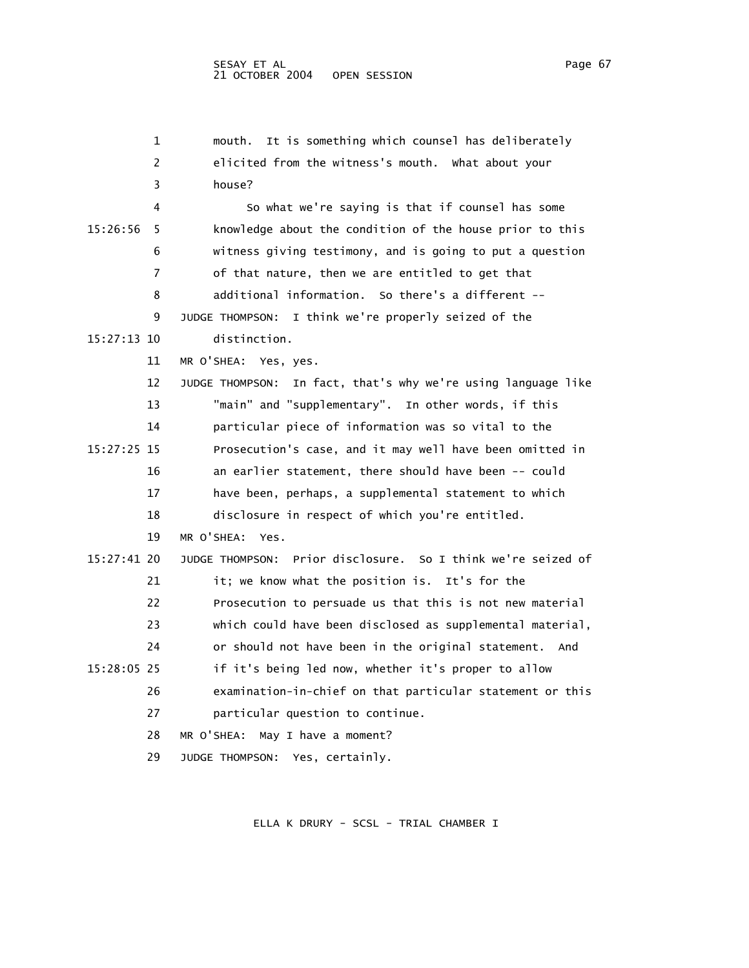|               | 1  | It is something which counsel has deliberately<br>mouth.         |
|---------------|----|------------------------------------------------------------------|
|               | 2  | elicited from the witness's mouth. What about your               |
|               | 3  | house?                                                           |
|               | 4  | So what we're saying is that if counsel has some                 |
| 15:26:56      | 5. | knowledge about the condition of the house prior to this         |
|               | 6  | witness giving testimony, and is going to put a question         |
|               | 7  | of that nature, then we are entitled to get that                 |
|               | 8  | additional information. So there's a different --                |
|               | 9  | I think we're properly seized of the<br>JUDGE THOMPSON:          |
| $15:27:13$ 10 |    | distinction.                                                     |
|               | 11 | MR O'SHEA: Yes, yes.                                             |
|               | 12 | In fact, that's why we're using language like<br>JUDGE THOMPSON: |
|               | 13 | "main" and "supplementary". In other words, if this              |
|               | 14 | particular piece of information was so vital to the              |
| 15:27:25 15   |    | Prosecution's case, and it may well have been omitted in         |
|               | 16 | an earlier statement, there should have been -- could            |
|               | 17 | have been, perhaps, a supplemental statement to which            |
|               | 18 | disclosure in respect of which you're entitled.                  |
|               | 19 | MR O'SHFA:<br>Yes.                                               |
| 15:27:41 20   |    | Prior disclosure. So I think we're seized of<br>JUDGE THOMPSON:  |
|               | 21 | it; we know what the position is. It's for the                   |
|               | 22 | Prosecution to persuade us that this is not new material         |
|               | 23 | which could have been disclosed as supplemental material,        |
|               | 24 | or should not have been in the original statement. And           |
| 15:28:05 25   |    | if it's being led now, whether it's proper to allow              |
|               | 26 | examination-in-chief on that particular statement or this        |
|               | 27 | particular question to continue.                                 |
|               | 28 | MR O'SHEA:<br>May I have a moment?                               |
|               | 29 | JUDGE THOMPSON: Yes, certainly.                                  |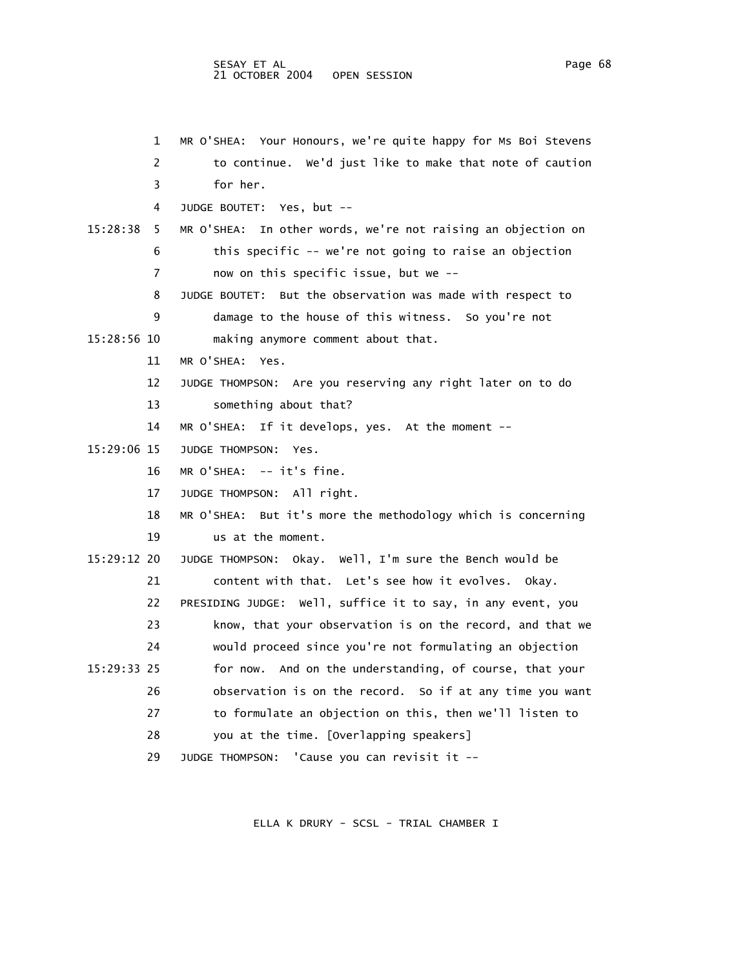## SESAY ET AL Page 68 and the set of the set of the set of the set of the set of the set of the set of the set of the set of the set of the set of the set of the set of the set of the set of the set of the set of the set of 21 OCTOBER 2004 OPEN SESSION

|             | 1  | MR O'SHEA: Your Honours, we're quite happy for Ms Boi Stevens   |
|-------------|----|-----------------------------------------------------------------|
|             | 2  | to continue. We'd just like to make that note of caution        |
|             | 3  | for her.                                                        |
|             | 4  | JUDGE BOUTET: Yes, but --                                       |
| 15:28:38    | 5  | In other words, we're not raising an objection on<br>MR O'SHEA: |
|             | 6  | this specific -- we're not going to raise an objection          |
|             | 7  | now on this specific issue, but we --                           |
|             | 8  | But the observation was made with respect to<br>JUDGE BOUTET:   |
|             | 9  | damage to the house of this witness. So you're not              |
| 15:28:56 10 |    | making anymore comment about that.                              |
|             | 11 | MR O'SHEA: Yes.                                                 |
|             | 12 | JUDGE THOMPSON: Are you reserving any right later on to do      |
|             | 13 | something about that?                                           |
|             | 14 | If it develops, yes. At the moment --<br>MR O'SHEA:             |
| 15:29:06 15 |    | JUDGE THOMPSON:<br>Yes.                                         |
|             | 16 | $MR$ O'SHEA: $--$ it's fine.                                    |
|             | 17 | JUDGE THOMPSON: All right.                                      |
|             | 18 | MR O'SHEA: But it's more the methodology which is concerning    |
|             | 19 | us at the moment.                                               |
| 15:29:12 20 |    | JUDGE THOMPSON: Okay. Well, I'm sure the Bench would be         |
|             | 21 | content with that. Let's see how it evolves. Okay.              |
|             | 22 | PRESIDING JUDGE: Well, suffice it to say, in any event, you     |
|             | 23 | know, that your observation is on the record, and that we       |
|             | 24 | would proceed since you're not formulating an objection         |
| 15:29:33 25 |    | for now. And on the understanding, of course, that your         |
|             | 26 | observation is on the record. So if at any time you want        |
|             | 27 | to formulate an objection on this, then we'll listen to         |
|             | 28 | you at the time. [Overlapping speakers]                         |
|             |    |                                                                 |

29 JUDGE THOMPSON: 'Cause you can revisit it --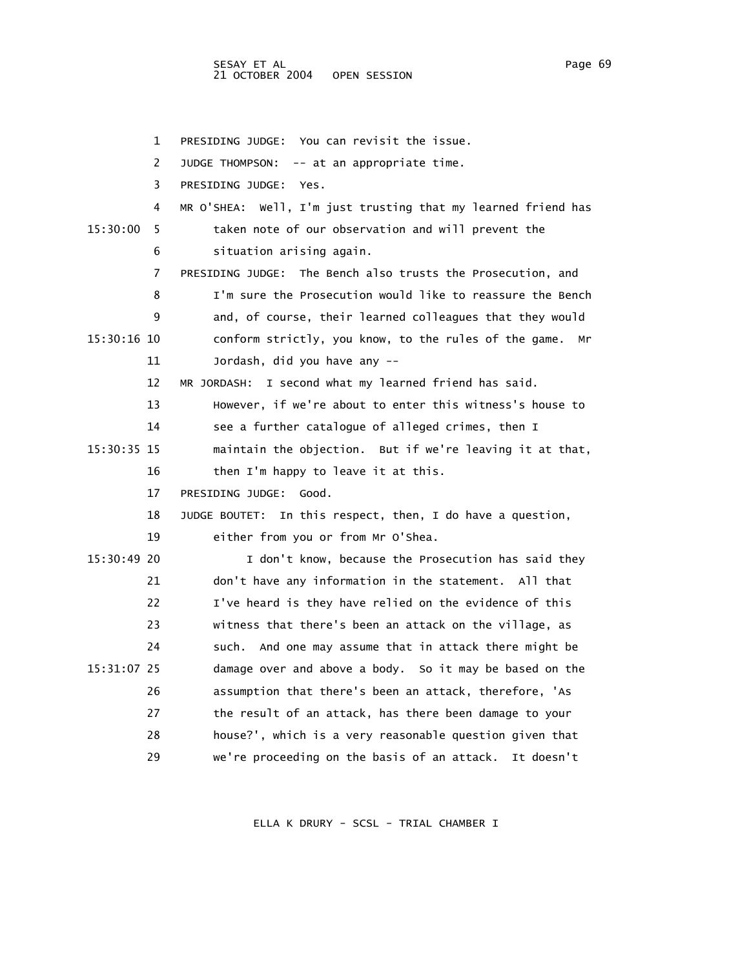1 PRESIDING JUDGE: You can revisit the issue. 2 JUDGE THOMPSON: -- at an appropriate time. 3 PRESIDING JUDGE: Yes. 4 MR O'SHEA: Well, I'm just trusting that my learned friend has 15:30:00 5 taken note of our observation and will prevent the 6 situation arising again. 7 PRESIDING JUDGE: The Bench also trusts the Prosecution, and 8 I'm sure the Prosecution would like to reassure the Bench 9 and, of course, their learned colleagues that they would 15:30:16 10 conform strictly, you know, to the rules of the game. Mr 11 Jordash, did you have any -- 12 MR JORDASH: I second what my learned friend has said. 13 However, if we're about to enter this witness's house to 14 see a further catalogue of alleged crimes, then I 15:30:35 15 maintain the objection. But if we're leaving it at that, 16 then I'm happy to leave it at this. 17 PRESIDING JUDGE: Good. 18 JUDGE BOUTET: In this respect, then, I do have a question, 19 either from you or from Mr O'Shea. 15:30:49 20 I don't know, because the Prosecution has said they 21 don't have any information in the statement. All that 22 I've heard is they have relied on the evidence of this 23 witness that there's been an attack on the village, as 24 such. And one may assume that in attack there might be 15:31:07 25 damage over and above a body. So it may be based on the 26 assumption that there's been an attack, therefore, 'As 27 the result of an attack, has there been damage to your 28 house?', which is a very reasonable question given that 29 we're proceeding on the basis of an attack. It doesn't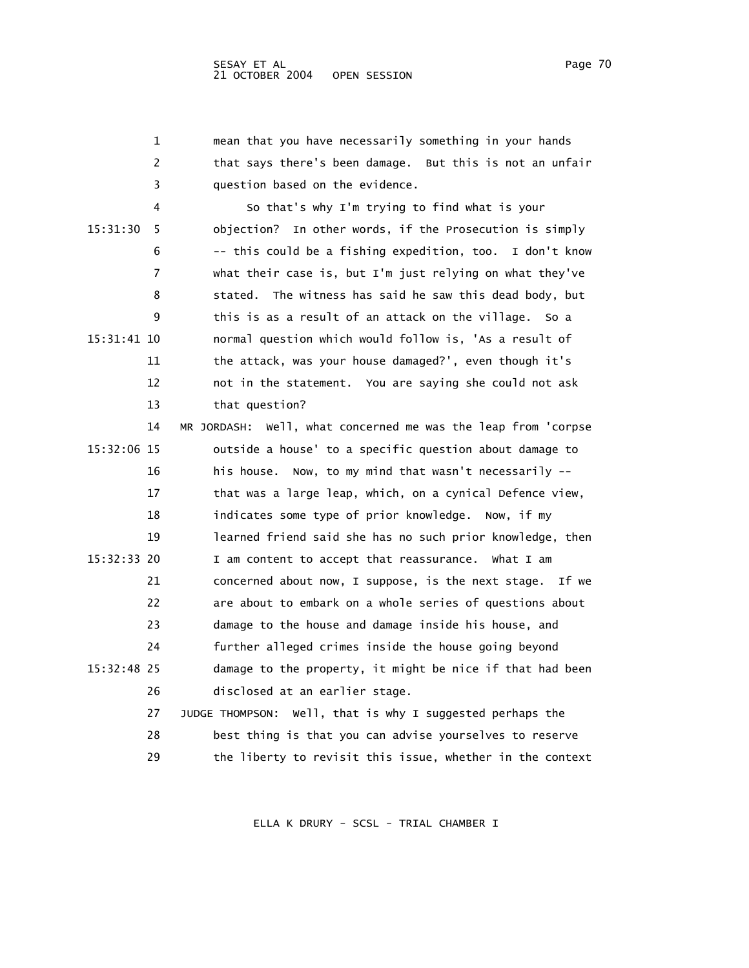|             | 1  | mean that you have necessarily something in your hands        |
|-------------|----|---------------------------------------------------------------|
|             | 2  | that says there's been damage. But this is not an unfair      |
|             | 3  | question based on the evidence.                               |
|             | 4  | So that's why I'm trying to find what is your                 |
| 15:31:30    | 5  | objection? In other words, if the Prosecution is simply       |
|             | 6  | -- this could be a fishing expedition, too. I don't know      |
|             | 7  | what their case is, but I'm just relying on what they've      |
|             | 8  | stated. The witness has said he saw this dead body, but       |
|             | 9  | this is as a result of an attack on the village.<br>so a      |
| 15:31:41 10 |    | normal question which would follow is, 'As a result of        |
|             | 11 | the attack, was your house damaged?', even though it's        |
|             | 12 | not in the statement. You are saying she could not ask        |
|             | 13 | that question?                                                |
|             | 14 | MR JORDASH: Well, what concerned me was the leap from 'corpse |
| 15:32:06 15 |    | outside a house' to a specific question about damage to       |
|             | 16 | his house. Now, to my mind that wasn't necessarily --         |
|             | 17 | that was a large leap, which, on a cynical Defence view,      |
|             | 18 | indicates some type of prior knowledge. Now, if my            |
|             | 19 | learned friend said she has no such prior knowledge, then     |
| 15:32:33 20 |    | I am content to accept that reassurance. What I am            |
|             | 21 | concerned about now, I suppose, is the next stage.<br>If we   |
|             | 22 | are about to embark on a whole series of questions about      |
|             | 23 | damage to the house and damage inside his house, and          |
|             | 24 | further alleged crimes inside the house going beyond          |
| 15:32:48 25 |    | damage to the property, it might be nice if that had been     |
|             | 26 | disclosed at an earlier stage.                                |
|             | 27 | JUDGE THOMPSON: Well, that is why I suggested perhaps the     |
|             | 28 | best thing is that you can advise yourselves to reserve       |
|             | 29 | the liberty to revisit this issue, whether in the context     |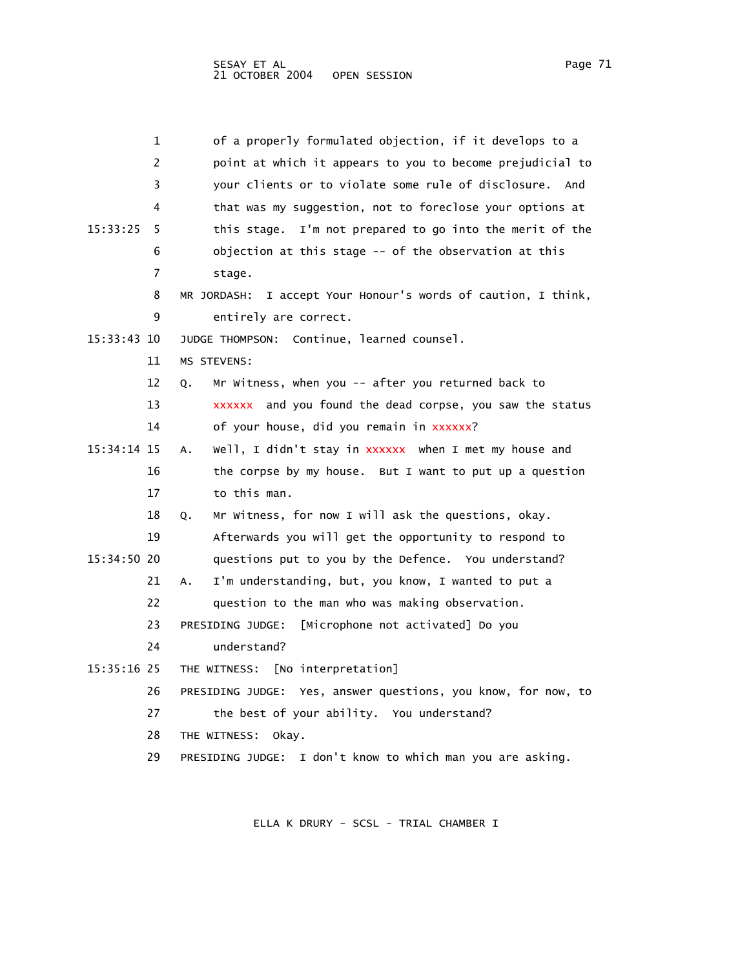| 1             | of a properly formulated objection, if it develops to a          |
|---------------|------------------------------------------------------------------|
| 2             | point at which it appears to you to become prejudicial to        |
| 3             | your clients or to violate some rule of disclosure.<br>And       |
| 4             | that was my suggestion, not to foreclose your options at         |
| 15:33:25<br>5 | this stage. I'm not prepared to go into the merit of the         |
| 6             | objection at this stage -- of the observation at this            |
| 7             | stage.                                                           |
| 8             | I accept Your Honour's words of caution, I think,<br>MR JORDASH: |
| 9             | entirely are correct.                                            |
| 15:33:43 10   | JUDGE THOMPSON: Continue, learned counsel.                       |
| 11            | <b>MS STEVENS:</b>                                               |
| 12            | Mr Witness, when you -- after you returned back to<br>Q.         |
| 13            | xxxxxx and you found the dead corpse, you saw the status         |
| 14            | of your house, did you remain in xxxxxx?                         |
| $15:34:14$ 15 | Well, I didn't stay in xxxxxx when I met my house and<br>А.      |
| 16            | the corpse by my house. But I want to put up a question          |
| 17            | to this man.                                                     |
| 18            | Mr Witness, for now I will ask the questions, okay.<br>Q.        |
| 19            | Afterwards you will get the opportunity to respond to            |
| 15:34:50 20   | questions put to you by the Defence. You understand?             |
| 21            | I'm understanding, but, you know, I wanted to put a<br>А.        |
| 22            | question to the man who was making observation.                  |
| 23            | PRESIDING JUDGE:<br>[Microphone not activated] Do you            |
| 24            | understand?                                                      |
| 15:35:16 25   | [No interpretation]<br>THE WITNESS:                              |
| 26            | PRESIDING JUDGE: Yes, answer questions, you know, for now, to    |
| 27            | the best of your ability. You understand?                        |
| 28            | THE WITNESS:<br>okay.                                            |
| 29            | PRESIDING JUDGE: I don't know to which man you are asking.       |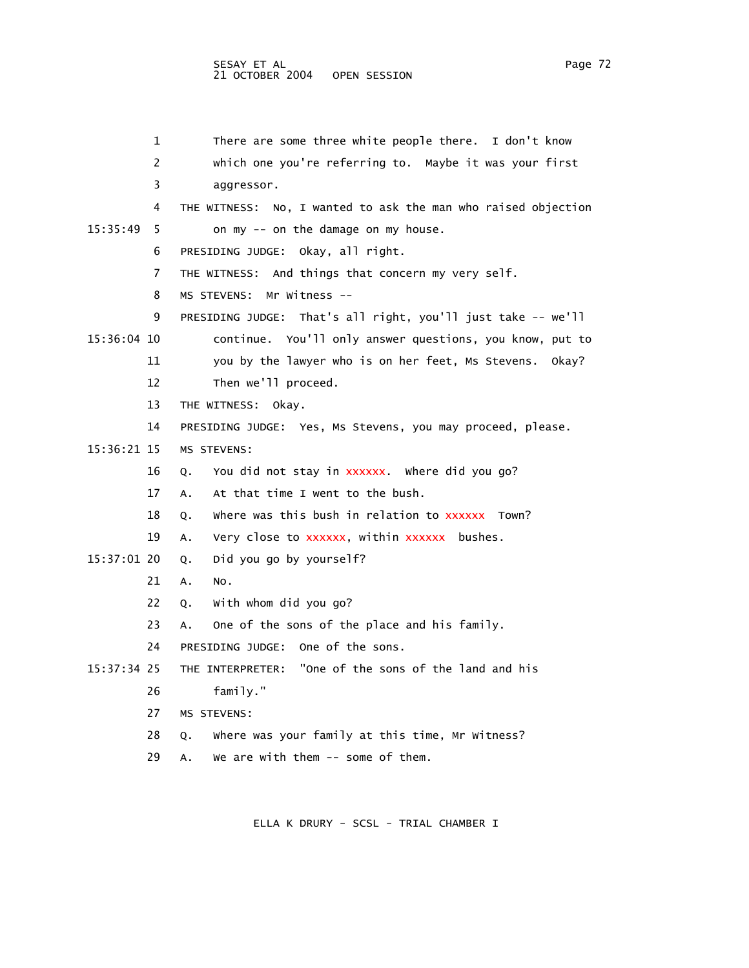1 There are some three white people there. I don't know 2 which one you're referring to. Maybe it was your first 3 aggressor. 4 THE WITNESS: No, I wanted to ask the man who raised objection 15:35:49 5 on my -- on the damage on my house. 6 PRESIDING JUDGE: Okay, all right. 7 THE WITNESS: And things that concern my very self. 8 MS STEVENS: Mr Witness -- 9 PRESIDING JUDGE: That's all right, you'll just take -- we'll 15:36:04 10 continue. You'll only answer questions, you know, put to 11 you by the lawyer who is on her feet, Ms Stevens. Okay? 12 Then we'll proceed. 13 THE WITNESS: Okay. 14 PRESIDING JUDGE: Yes, Ms Stevens, you may proceed, please. 15:36:21 15 MS STEVENS: 16 Q. You did not stay in xxxxxx. Where did you go? 17 A. At that time I went to the bush. 18 Q. Where was this bush in relation to xxxxxx Town? 19 A. Very close to xxxxxx, within xxxxxx bushes. 15:37:01 20 Q. Did you go by yourself? 21 A. No. 22 Q. With whom did you go? 23 A. One of the sons of the place and his family. 24 PRESIDING JUDGE: One of the sons.

15:37:34 25 THE INTERPRETER: "One of the sons of the land and his

- 26 family."
- 27 MS STEVENS:
- 28 Q. Where was your family at this time, Mr Witness?

29 A. We are with them -- some of them.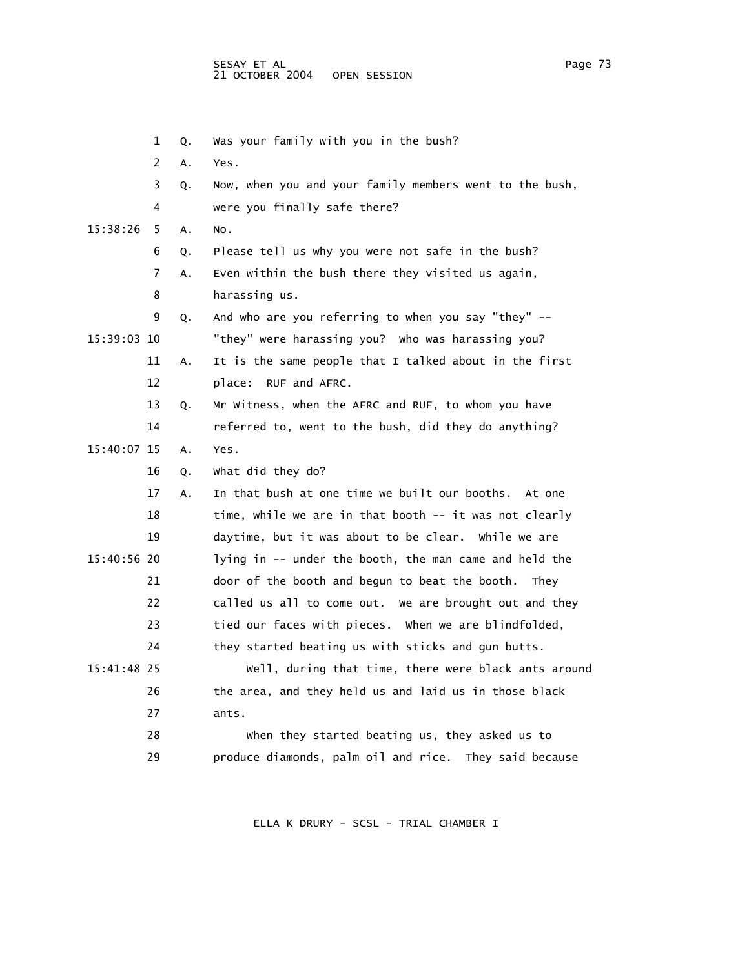1 Q. Was your family with you in the bush? 2 A. Yes. 3 Q. Now, when you and your family members went to the bush, 4 were you finally safe there? 15:38:26 5 A. No. 6 Q. Please tell us why you were not safe in the bush? 7 A. Even within the bush there they visited us again, 8 harassing us. 9 Q. And who are you referring to when you say "they" -- 15:39:03 10 "they" were harassing you? Who was harassing you? 11 A. It is the same people that I talked about in the first 12 place: RUF and AFRC. 13 Q. Mr Witness, when the AFRC and RUF, to whom you have 14 referred to, went to the bush, did they do anything? 15:40:07 15 A. Yes. 16 Q. What did they do? 17 A. In that bush at one time we built our booths. At one 18 time, while we are in that booth -- it was not clearly 19 daytime, but it was about to be clear. While we are 15:40:56 20 lying in -- under the booth, the man came and held the 21 door of the booth and begun to beat the booth. They 22 called us all to come out. We are brought out and they 23 tied our faces with pieces. When we are blindfolded, 24 they started beating us with sticks and gun butts. 15:41:48 25 Well, during that time, there were black ants around 26 the area, and they held us and laid us in those black 27 ants. 28 When they started beating us, they asked us to 29 produce diamonds, palm oil and rice. They said because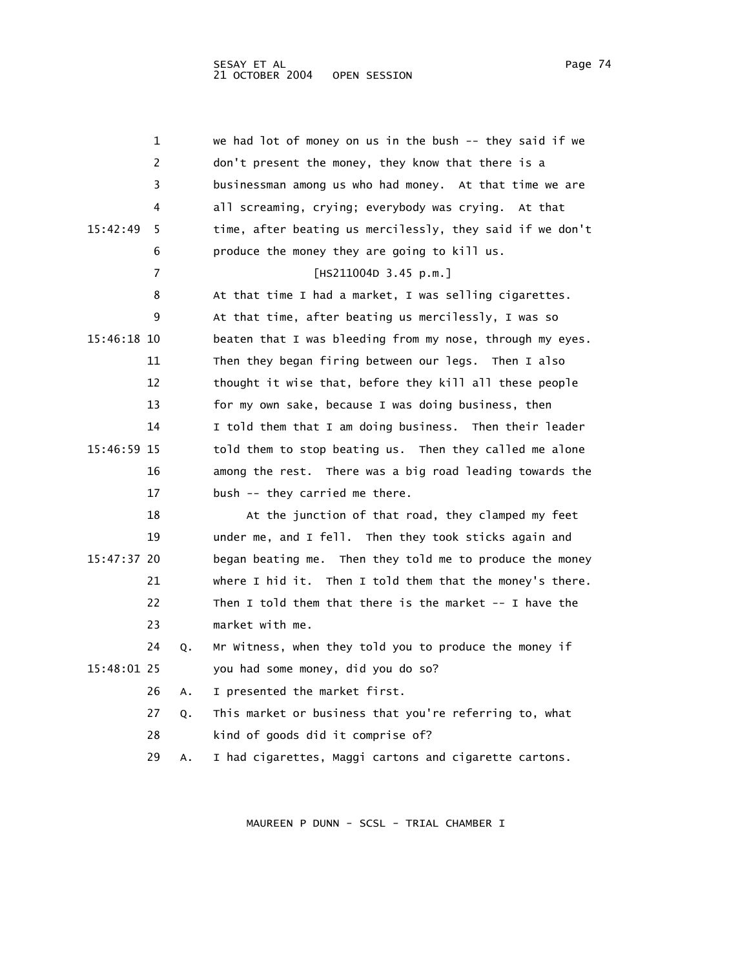|             | 1  |    | we had lot of money on us in the bush -- they said if we  |
|-------------|----|----|-----------------------------------------------------------|
|             | 2  |    | don't present the money, they know that there is a        |
|             | 3  |    | businessman among us who had money. At that time we are   |
|             | 4  |    | all screaming, crying; everybody was crying. At that      |
| 15:42:49    | 5  |    | time, after beating us mercilessly, they said if we don't |
|             | 6  |    | produce the money they are going to kill us.              |
|             | 7  |    | [HS211004D 3.45 p.m.]                                     |
|             | 8  |    | At that time I had a market, I was selling cigarettes.    |
|             | 9  |    | At that time, after beating us mercilessly, I was so      |
| 15:46:18 10 |    |    | beaten that I was bleeding from my nose, through my eyes. |
|             | 11 |    | Then they began firing between our legs. Then I also      |
|             | 12 |    | thought it wise that, before they kill all these people   |
|             | 13 |    | for my own sake, because I was doing business, then       |
|             | 14 |    | I told them that I am doing business. Then their leader   |
| 15:46:59 15 |    |    | told them to stop beating us. Then they called me alone   |
|             | 16 |    | among the rest. There was a big road leading towards the  |
|             | 17 |    | bush -- they carried me there.                            |
|             | 18 |    | At the junction of that road, they clamped my feet        |
|             | 19 |    | under me, and I fell. Then they took sticks again and     |
| 15:47:37 20 |    |    | began beating me. Then they told me to produce the money  |
|             | 21 |    | where I hid it. Then I told them that the money's there.  |
|             | 22 |    | Then I told them that there is the market $-$ I have the  |
|             | 23 |    | market with me.                                           |
|             | 24 | Q. | Mr Witness, when they told you to produce the money if    |
| 15:48:01 25 |    |    | you had some money, did you do so?                        |
|             | 26 | А. | I presented the market first.                             |
|             | 27 | Q. | This market or business that you're referring to, what    |
|             | 28 |    | kind of goods did it comprise of?                         |
|             | 29 | А. | I had cigarettes, Maggi cartons and cigarette cartons.    |
|             |    |    |                                                           |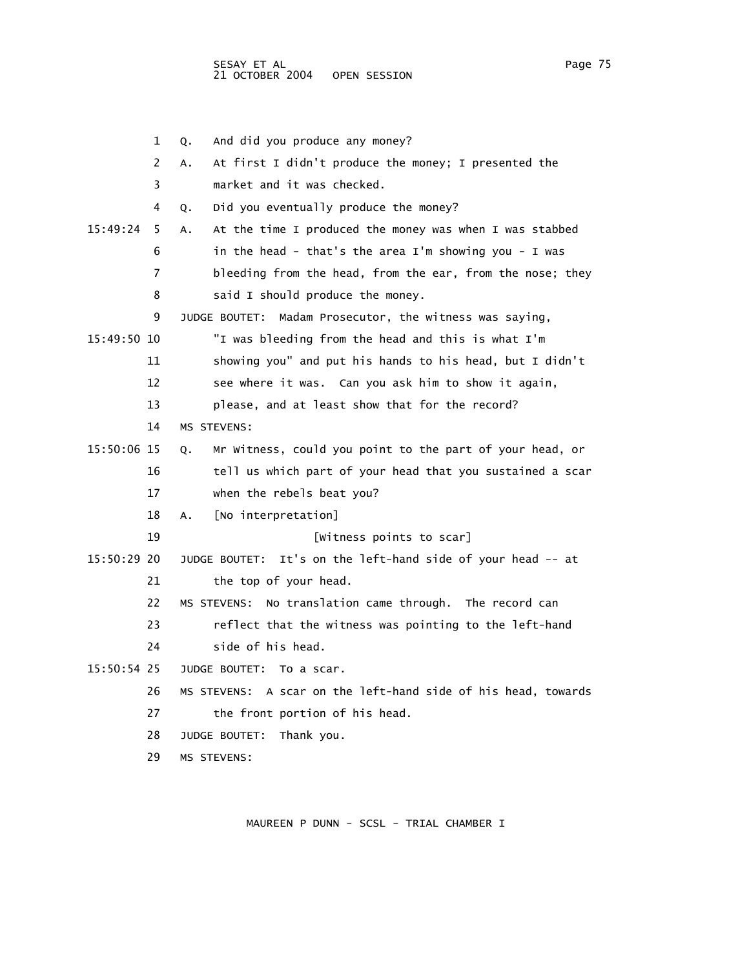1 Q. And did you produce any money? 2 A. At first I didn't produce the money; I presented the 3 market and it was checked. 4 Q. Did you eventually produce the money? 15:49:24 5 A. At the time I produced the money was when I was stabbed 6 in the head - that's the area I'm showing you - I was 7 bleeding from the head, from the ear, from the nose; they 8 said I should produce the money. 9 JUDGE BOUTET: Madam Prosecutor, the witness was saying, 15:49:50 10 "I was bleeding from the head and this is what I'm 11 showing you" and put his hands to his head, but I didn't 12 see where it was. Can you ask him to show it again, 13 please, and at least show that for the record? 14 MS STEVENS: 15:50:06 15 Q. Mr Witness, could you point to the part of your head, or 16 tell us which part of your head that you sustained a scar 17 when the rebels beat you? 18 A. [No interpretation] 19 [Witness points to scar] 15:50:29 20 JUDGE BOUTET: It's on the left-hand side of your head -- at 21 the top of your head. 22 MS STEVENS: No translation came through. The record can 23 reflect that the witness was pointing to the left-hand 24 side of his head. 15:50:54 25 JUDGE BOUTET: To a scar. 26 MS STEVENS: A scar on the left-hand side of his head, towards 27 the front portion of his head. 28 JUDGE BOUTET: Thank you. 29 MS STEVENS: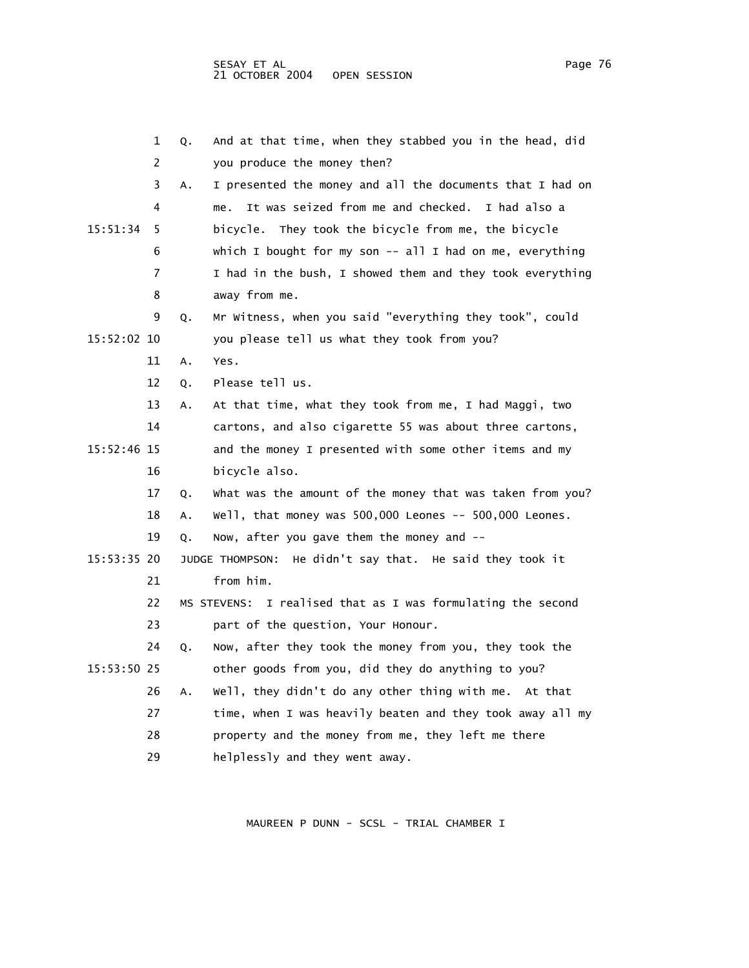|             | 1  | Q. | And at that time, when they stabbed you in the head, did    |
|-------------|----|----|-------------------------------------------------------------|
|             | 2  |    | you produce the money then?                                 |
|             | 3  | Α. | I presented the money and all the documents that I had on   |
|             | 4  |    | It was seized from me and checked. I had also a<br>me.      |
| 15:51:34    | 5  |    | bicycle.<br>They took the bicycle from me, the bicycle      |
|             | 6  |    | which I bought for my son $-$ all I had on me, everything   |
|             | 7  |    | I had in the bush, I showed them and they took everything   |
|             | 8  |    | away from me.                                               |
|             | 9  | Q. | Mr Witness, when you said "everything they took", could     |
| 15:52:02 10 |    |    | you please tell us what they took from you?                 |
|             | 11 | Α. | Yes.                                                        |
|             | 12 | Q. | Please tell us.                                             |
|             | 13 | Α. | At that time, what they took from me, I had Maggi, two      |
|             | 14 |    | cartons, and also cigarette 55 was about three cartons,     |
| 15:52:46 15 |    |    | and the money I presented with some other items and my      |
|             | 16 |    | bicycle also.                                               |
|             | 17 | Q. | What was the amount of the money that was taken from you?   |
|             | 18 | А. | Well, that money was 500,000 Leones -- 500,000 Leones.      |
|             | 19 | Q. | Now, after you gave them the money and --                   |
| 15:53:35 20 |    |    | He didn't say that. He said they took it<br>JUDGE THOMPSON: |
|             | 21 |    | from him.                                                   |
|             | 22 |    | MS STEVENS: I realised that as I was formulating the second |
|             | 23 |    | part of the question, Your Honour.                          |
|             | 24 | Q. | Now, after they took the money from you, they took the      |
| 15:53:50 25 |    |    | other goods from you, did they do anything to you?          |
|             | 26 | Α. | well, they didn't do any other thing with me. At that       |
|             | 27 |    | time, when I was heavily beaten and they took away all my   |
|             | 28 |    | property and the money from me, they left me there          |
|             | 29 |    | helplessly and they went away.                              |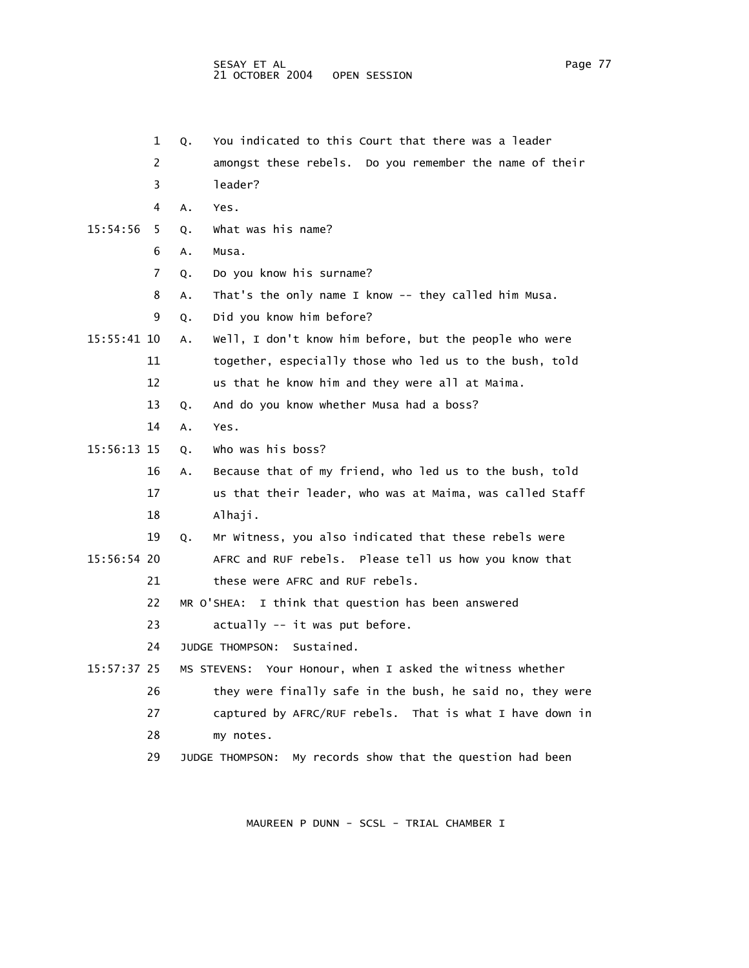1 Q. You indicated to this Court that there was a leader

 2 amongst these rebels. Do you remember the name of their 3 leader? 4 A. Yes. 15:54:56 5 Q. What was his name? 6 A. Musa. 7 Q. Do you know his surname? 8 A. That's the only name I know -- they called him Musa. 9 Q. Did you know him before? 15:55:41 10 A. Well, I don't know him before, but the people who were 11 together, especially those who led us to the bush, told 12 us that he know him and they were all at Maima. 13 Q. And do you know whether Musa had a boss? 14 A. Yes. 15:56:13 15 Q. Who was his boss? 16 A. Because that of my friend, who led us to the bush, told 17 us that their leader, who was at Maima, was called Staff 18 Alhaji. 19 Q. Mr Witness, you also indicated that these rebels were 15:56:54 20 AFRC and RUF rebels. Please tell us how you know that 21 these were AFRC and RUF rebels. 22 MR O'SHEA: I think that question has been answered 23 actually -- it was put before. 24 JUDGE THOMPSON: Sustained. 15:57:37 25 MS STEVENS: Your Honour, when I asked the witness whether 26 they were finally safe in the bush, he said no, they were 27 captured by AFRC/RUF rebels. That is what I have down in 28 my notes. 29 JUDGE THOMPSON: My records show that the question had been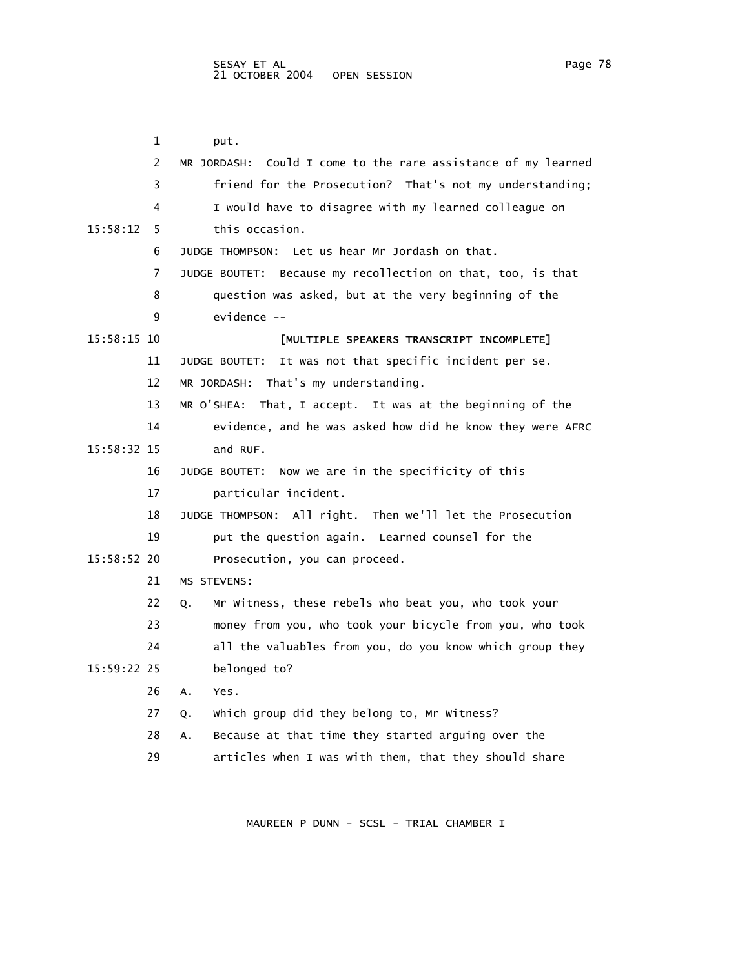1 put. 2 MR JORDASH: Could I come to the rare assistance of my learned 3 friend for the Prosecution? That's not my understanding; 4 I would have to disagree with my learned colleague on 15:58:12 5 this occasion. 6 JUDGE THOMPSON: Let us hear Mr Jordash on that. 7 JUDGE BOUTET: Because my recollection on that, too, is that 8 question was asked, but at the very beginning of the 9 evidence -- 15:58:15 10 [MULTIPLE SPEAKERS TRANSCRIPT INCOMPLETE] 11 JUDGE BOUTET: It was not that specific incident per se. 12 MR JORDASH: That's my understanding. 13 MR O'SHEA: That, I accept. It was at the beginning of the 14 evidence, and he was asked how did he know they were AFRC 15:58:32 15 and RUF. 16 JUDGE BOUTET: Now we are in the specificity of this 17 particular incident. 18 JUDGE THOMPSON: All right. Then we'll let the Prosecution 19 put the question again. Learned counsel for the 15:58:52 20 Prosecution, you can proceed. 21 MS STEVENS: 22 Q. Mr Witness, these rebels who beat you, who took your 23 money from you, who took your bicycle from you, who took 24 all the valuables from you, do you know which group they 15:59:22 25 belonged to? 26 A. Yes. 27 Q. Which group did they belong to, Mr Witness? 28 A. Because at that time they started arguing over the 29 articles when I was with them, that they should share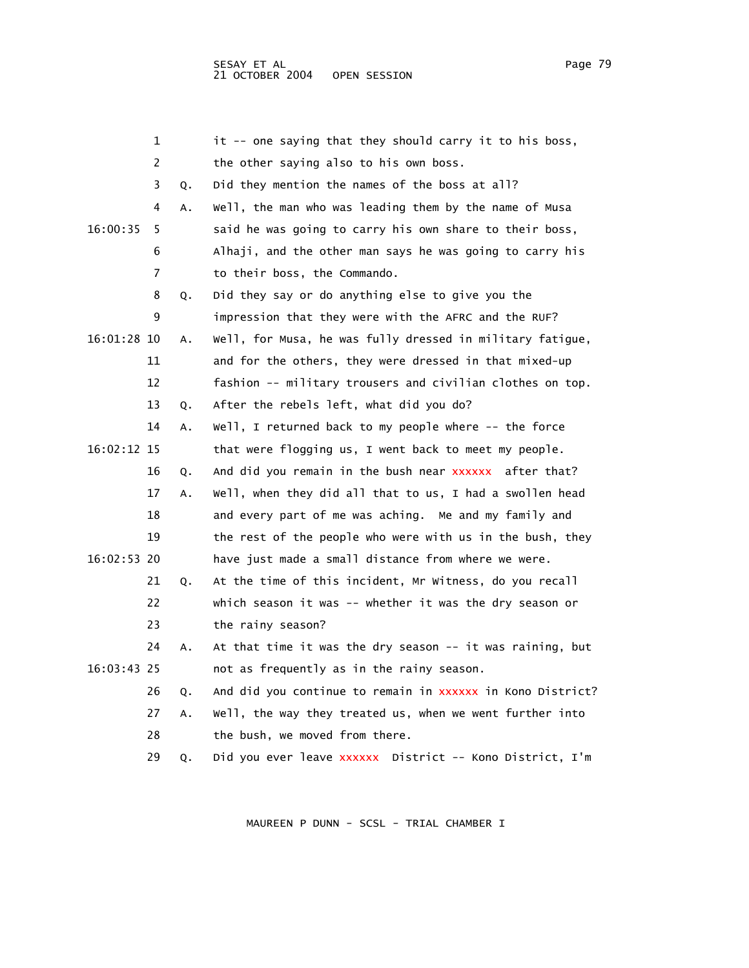1 it -- one saying that they should carry it to his boss, 2 the other saying also to his own boss. 3 Q. Did they mention the names of the boss at all? 4 A. Well, the man who was leading them by the name of Musa 16:00:35 5 said he was going to carry his own share to their boss, 6 Alhaji, and the other man says he was going to carry his 7 to their boss, the Commando. 8 Q. Did they say or do anything else to give you the 9 impression that they were with the AFRC and the RUF? 16:01:28 10 A. Well, for Musa, he was fully dressed in military fatigue, 11 and for the others, they were dressed in that mixed-up 12 fashion -- military trousers and civilian clothes on top. 13 Q. After the rebels left, what did you do? 14 A. Well, I returned back to my people where -- the force 16:02:12 15 that were flogging us, I went back to meet my people. 16 Q. And did you remain in the bush near xxxxxx after that? 17 A. Well, when they did all that to us, I had a swollen head 18 and every part of me was aching. Me and my family and 19 the rest of the people who were with us in the bush, they 16:02:53 20 have just made a small distance from where we were. 21 Q. At the time of this incident, Mr Witness, do you recall 22 which season it was -- whether it was the dry season or 23 the rainy season? 24 A. At that time it was the dry season -- it was raining, but 16:03:43 25 not as frequently as in the rainy season. 26 Q. And did you continue to remain in xxxxxx in Kono District? 27 A. Well, the way they treated us, when we went further into 28 the bush, we moved from there. 29 Q. Did you ever leave xxxxxx District -- Kono District, I'm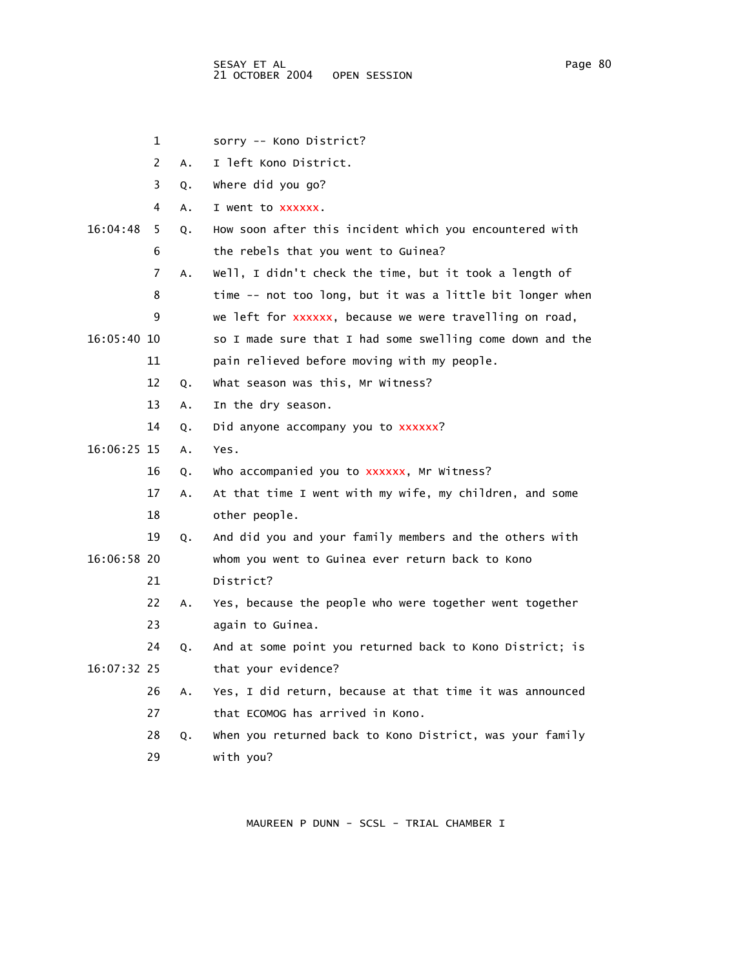1 sorry -- Kono District? 2 A. I left Kono District. 3 Q. Where did you go? 4 A. I went to xxxxxx. 16:04:48 5 Q. How soon after this incident which you encountered with 6 the rebels that you went to Guinea? 7 A. Well, I didn't check the time, but it took a length of 8 time -- not too long, but it was a little bit longer when 9 we left for xxxxxx, because we were travelling on road, 16:05:40 10 so I made sure that I had some swelling come down and the 11 pain relieved before moving with my people. 12 Q. What season was this, Mr Witness? 13 A. In the dry season. 14 Q. Did anyone accompany you to xxxxxx? 16:06:25 15 A. Yes. 16 Q. Who accompanied you to xxxxxx, Mr Witness? 17 A. At that time I went with my wife, my children, and some 18 other people. 19 Q. And did you and your family members and the others with 16:06:58 20 whom you went to Guinea ever return back to Kono 21 District? 22 A. Yes, because the people who were together went together 23 again to Guinea. 24 Q. And at some point you returned back to Kono District; is 16:07:32 25 that your evidence? 26 A. Yes, I did return, because at that time it was announced 27 that ECOMOG has arrived in Kono. 28 Q. When you returned back to Kono District, was your family 29 with you?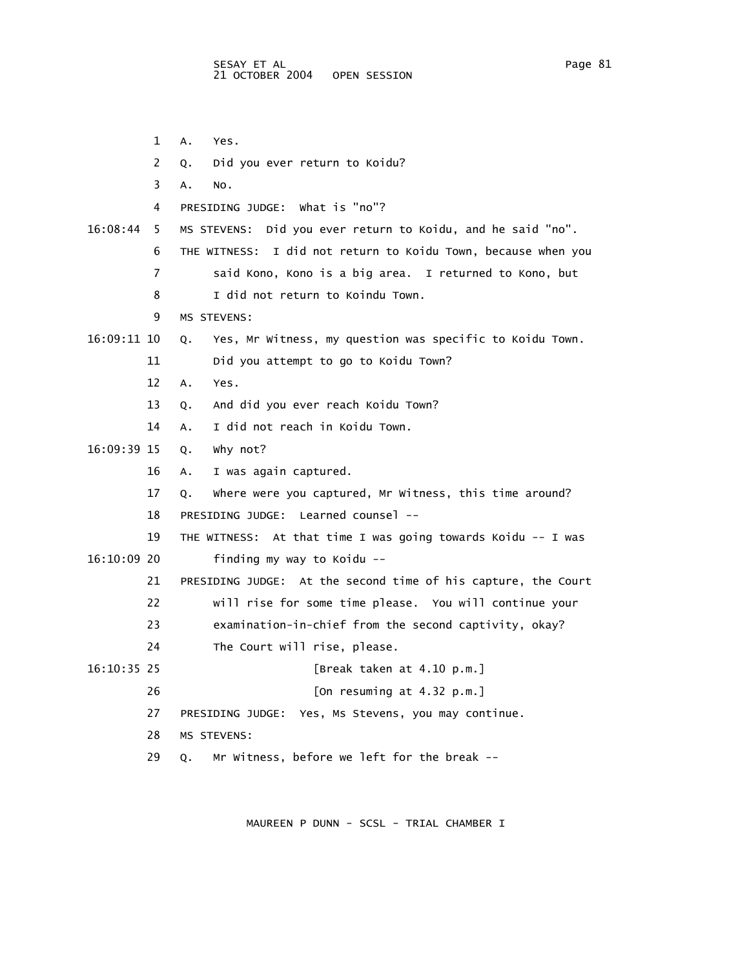- 1 A. Yes.
- 2 Q. Did you ever return to Koidu?
- 3 A. No.
	- 4 PRESIDING JUDGE: What is "no"?
- 16:08:44 5 MS STEVENS: Did you ever return to Koidu, and he said "no".
	- 6 THE WITNESS: I did not return to Koidu Town, because when you
		- 7 said Kono, Kono is a big area. I returned to Kono, but
		- 8 I did not return to Koindu Town.
		- 9 MS STEVENS:
- 16:09:11 10 Q. Yes, Mr Witness, my question was specific to Koidu Town.
	- 11 Did you attempt to go to Koidu Town?
	- 12 A. Yes.
	- 13 Q. And did you ever reach Koidu Town?
	- 14 A. I did not reach in Koidu Town.
- 16:09:39 15 Q. Why not?
	- 16 A. I was again captured.
	- 17 Q. Where were you captured, Mr Witness, this time around?
	- 18 PRESIDING JUDGE: Learned counsel --
- 19 THE WITNESS: At that time I was going towards Koidu -- I was 16:10:09 20 finding my way to Koidu --
	- - 21 PRESIDING JUDGE: At the second time of his capture, the Court
		- 22 will rise for some time please. You will continue your
		- 23 examination-in-chief from the second captivity, okay?
	- 24 The Court will rise, please.
- 16:10:35 25 [Break taken at 4.10 p.m.]
	- 26 [On resuming at 4.32 p.m.]
	- 27 PRESIDING JUDGE: Yes, Ms Stevens, you may continue.
	- 28 MS STEVENS:
	- 29 Q. Mr Witness, before we left for the break --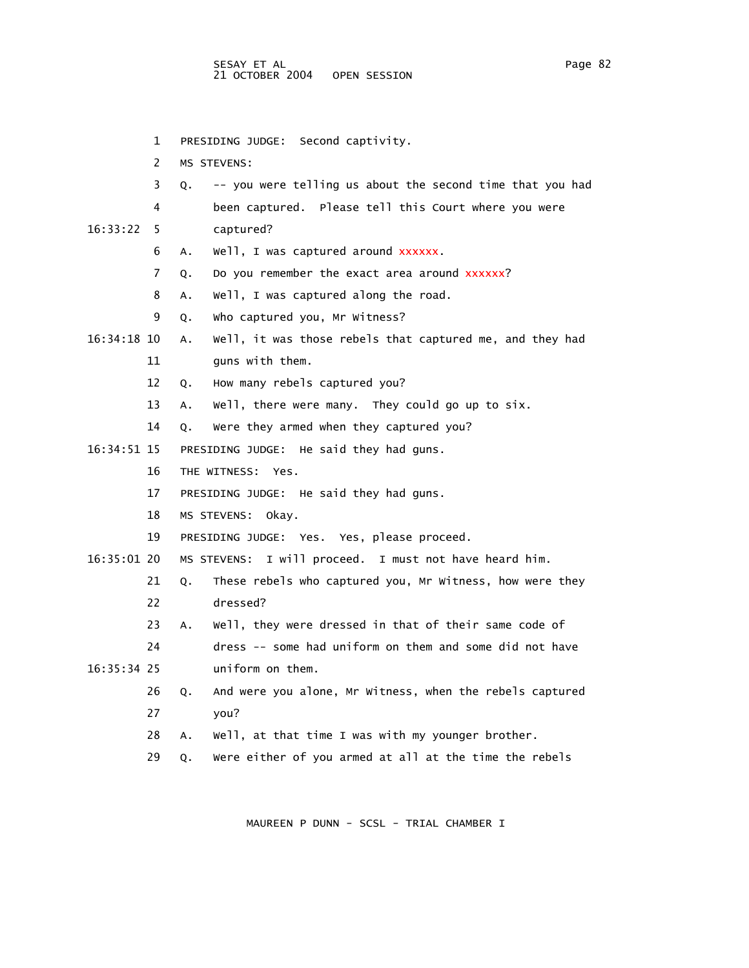1 PRESIDING JUDGE: Second captivity.

- 
- 2 MS STEVENS: 3 Q. -- you were telling us about the second time that you had 4 been captured. Please tell this Court where you were 16:33:22 5 captured? 6 A. Well, I was captured around xxxxxx. 7 Q. Do you remember the exact area around xxxxxx? 8 A. Well, I was captured along the road. 9 Q. Who captured you, Mr Witness? 16:34:18 10 A. Well, it was those rebels that captured me, and they had 11 guns with them. 12 Q. How many rebels captured you? 13 A. Well, there were many. They could go up to six. 14 Q. Were they armed when they captured you? 16:34:51 15 PRESIDING JUDGE: He said they had guns. 16 THE WITNESS: Yes. 17 PRESIDING JUDGE: He said they had guns. 18 MS STEVENS: Okay. 19 PRESIDING JUDGE: Yes. Yes, please proceed. 16:35:01 20 MS STEVENS: I will proceed. I must not have heard him. 21 Q. These rebels who captured you, Mr Witness, how were they 22 dressed? 23 A. Well, they were dressed in that of their same code of 24 dress -- some had uniform on them and some did not have 16:35:34 25 uniform on them. 26 Q. And were you alone, Mr Witness, when the rebels captured 27 you? 28 A. Well, at that time I was with my younger brother.
	- 29 Q. Were either of you armed at all at the time the rebels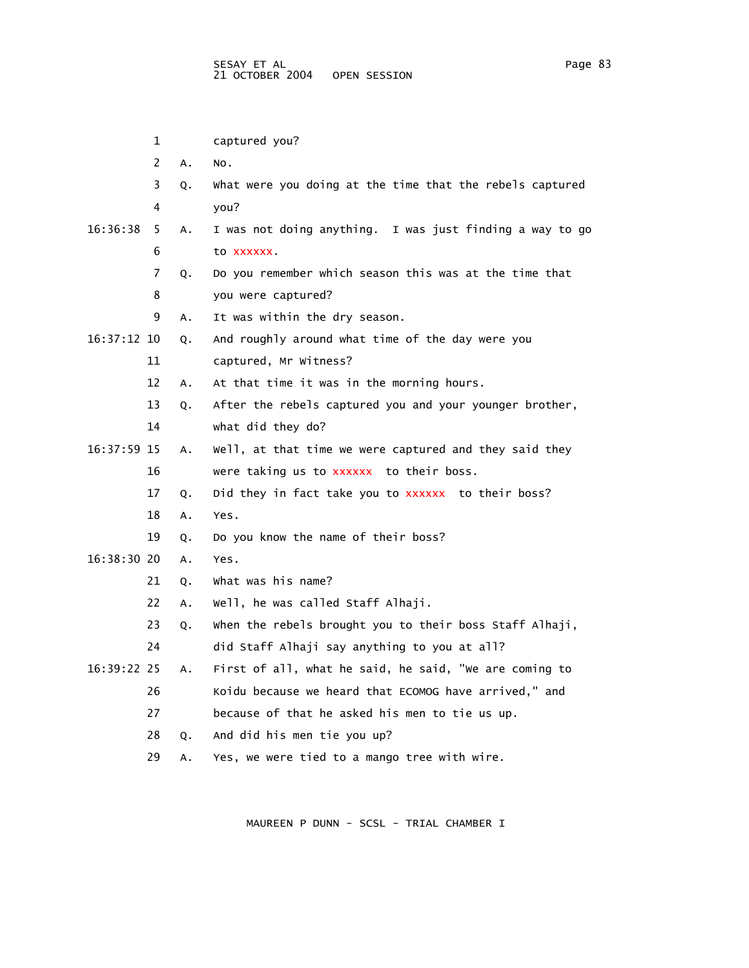|             | 1              |    | captured you?                                            |
|-------------|----------------|----|----------------------------------------------------------|
|             | $\overline{2}$ | Α. | NO.                                                      |
|             | 3              | Q. | What were you doing at the time that the rebels captured |
|             | 4              |    | you?                                                     |
| 16:36:38    | 5.             | А. | I was not doing anything. I was just finding a way to go |
|             | 6              |    | to xxxxxx.                                               |
|             | 7              | Q. | Do you remember which season this was at the time that   |
|             | 8              |    | you were captured?                                       |
|             | 9              | А. | It was within the dry season.                            |
| 16:37:12 10 |                | Q. | And roughly around what time of the day were you         |
|             | 11             |    | captured, Mr Witness?                                    |
|             | 12             | А. | At that time it was in the morning hours.                |
|             | 13             | Q. | After the rebels captured you and your younger brother,  |
|             | 14             |    | what did they do?                                        |
| 16:37:59 15 |                | А. | Well, at that time we were captured and they said they   |
|             | 16             |    | were taking us to xxxxxx to their boss.                  |
|             | 17             | Q. | Did they in fact take you to xxxxxx to their boss?       |
|             | 18             | Α. | Yes.                                                     |
|             | 19             | Q. | Do you know the name of their boss?                      |
| 16:38:30 20 |                | A. | Yes.                                                     |
|             | 21             | Q. | What was his name?                                       |
|             | 22             | А. | well, he was called Staff Alhaji.                        |
|             | 23             | Q. | when the rebels brought you to their boss Staff Alhaji,  |
|             | 24             |    | did Staff Alhaji say anything to you at all?             |
| 16:39:22 25 |                | Α. | First of all, what he said, he said, "we are coming to   |
|             | 26             |    | Koidu because we heard that ECOMOG have arrived," and    |
|             | 27             |    | because of that he asked his men to tie us up.           |
|             | 28             | Q. | And did his men tie you up?                              |
|             | 29             | Α. | Yes, we were tied to a mango tree with wire.             |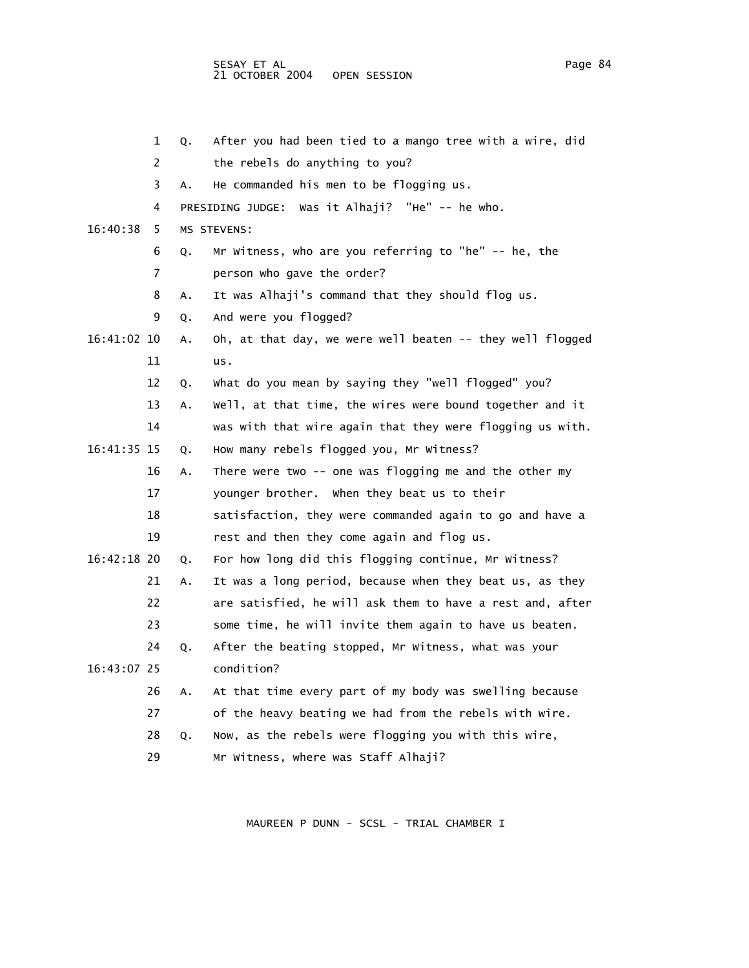SESAY ET AL Page 84 and the set of the set of the set of the set of the set of the set of the set of the set of the set of the set of the set of the set of the set of the set of the set of the set of the set of the set of 21 OCTOBER 2004 OPEN SESSION

|             | 1  | Q. | After you had been tied to a mango tree with a wire, did  |
|-------------|----|----|-----------------------------------------------------------|
|             | 2  |    | the rebels do anything to you?                            |
|             | 3  | Α. | He commanded his men to be flogging us.                   |
|             | 4  |    | PRESIDING JUDGE: Was it Alhaji? "He" -- he who.           |
| 16:40:38    | 5  |    | MS STEVENS:                                               |
|             | 6  | Q. | Mr Witness, who are you referring to "he" -- he, the      |
|             | 7  |    | person who gave the order?                                |
|             | 8  | Α. | It was Alhaji's command that they should flog us.         |
|             | 9  | Q. | And were you flogged?                                     |
| 16:41:02 10 |    | Α. | Oh, at that day, we were well beaten -- they well flogged |
|             | 11 |    | us.                                                       |
|             | 12 | Q. | what do you mean by saying they "well flogged" you?       |
|             | 13 | Α. | Well, at that time, the wires were bound together and it  |
|             | 14 |    | was with that wire again that they were flogging us with. |
| 16:41:35 15 |    | Q. | How many rebels flogged you, Mr Witness?                  |
|             | 16 | Α. | There were two $-$ - one was flogging me and the other my |
|             | 17 |    | younger brother. When they beat us to their               |
|             | 18 |    | satisfaction, they were commanded again to go and have a  |
|             | 19 |    | rest and then they come again and flog us.                |
| 16:42:18 20 |    | Q. | For how long did this flogging continue, Mr Witness?      |
|             | 21 | Α. | It was a long period, because when they beat us, as they  |
|             | 22 |    | are satisfied, he will ask them to have a rest and, after |
|             | 23 |    | some time, he will invite them again to have us beaten.   |
|             | 24 | Q. | After the beating stopped, Mr Witness, what was your      |
| 16:43:07 25 |    |    | condition?                                                |
|             | 26 | Α. | At that time every part of my body was swelling because   |
|             | 27 |    | of the heavy beating we had from the rebels with wire.    |
|             | 28 | Q. | Now, as the rebels were flogging you with this wire,      |
|             | 29 |    | Mr Witness, where was Staff Alhaji?                       |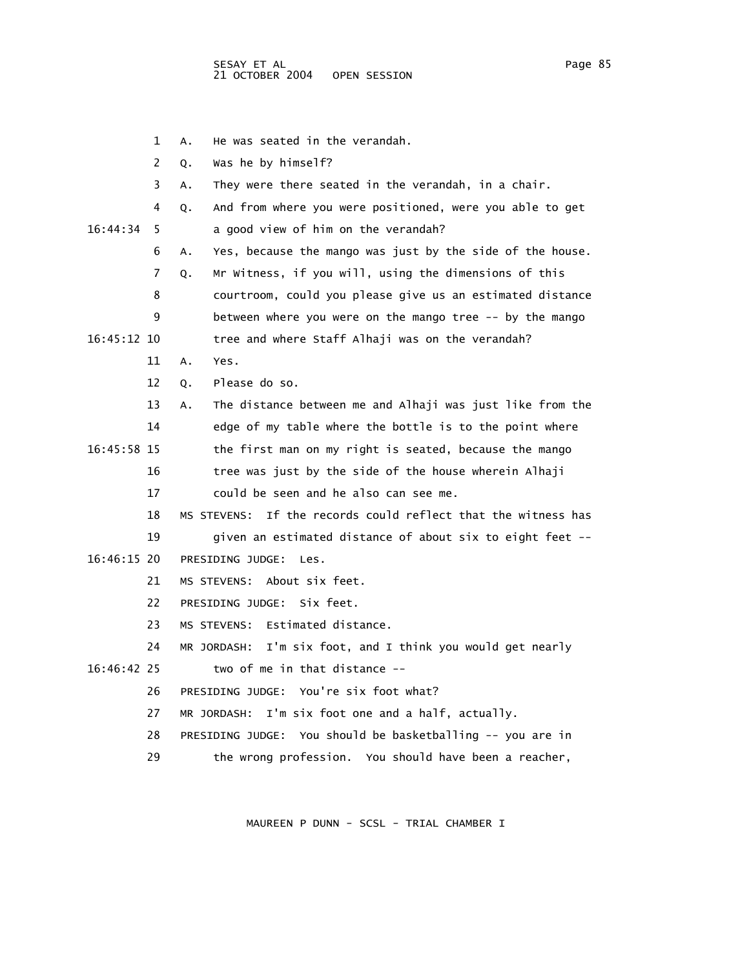|             | 1  | He was seated in the verandah.<br>Α.                             |
|-------------|----|------------------------------------------------------------------|
|             | 2  | Was he by himself?<br>Q.                                         |
|             | 3  | They were there seated in the verandah, in a chair.<br>Α.        |
|             | 4  | And from where you were positioned, were you able to get<br>Q.   |
| 16:44:34    | 5  | a good view of him on the verandah?                              |
|             | 6  | Yes, because the mango was just by the side of the house.<br>А.  |
|             | 7  | Mr Witness, if you will, using the dimensions of this<br>Q.      |
|             | 8  | courtroom, could you please give us an estimated distance        |
|             | 9  | between where you were on the mango tree -- by the mango         |
| 16:45:12 10 |    | tree and where Staff Alhaji was on the verandah?                 |
|             | 11 | Yes.<br>Α.                                                       |
|             | 12 | Please do so.<br>Q.                                              |
|             | 13 | The distance between me and Alhaji was just like from the<br>А.  |
|             | 14 | edge of my table where the bottle is to the point where          |
| 16:45:58 15 |    | the first man on my right is seated, because the mango           |
|             | 16 | tree was just by the side of the house wherein Alhaji            |
|             | 17 | could be seen and he also can see me.                            |
|             | 18 | If the records could reflect that the witness has<br>MS STEVENS: |
|             | 19 | given an estimated distance of about six to eight feet --        |
| 16:46:15 20 |    | PRESIDING JUDGE:<br>Les.                                         |
|             | 21 | MS STEVENS: About six feet.                                      |
|             | 22 | Six feet.<br>PRESIDING JUDGE:                                    |
|             | 23 | MS STEVENS: Estimated distance.                                  |
|             | 24 | I'm six foot, and I think you would get nearly<br>MR JORDASH:    |
| 16:46:42 25 |    | two of me in that distance --                                    |
|             | 26 | PRESIDING JUDGE: You're six foot what?                           |
|             | 27 | I'm six foot one and a half, actually.<br>MR JORDASH:            |
|             | 28 | PRESIDING JUDGE: You should be basketballing -- you are in       |
|             | 29 | the wrong profession. You should have been a reacher,            |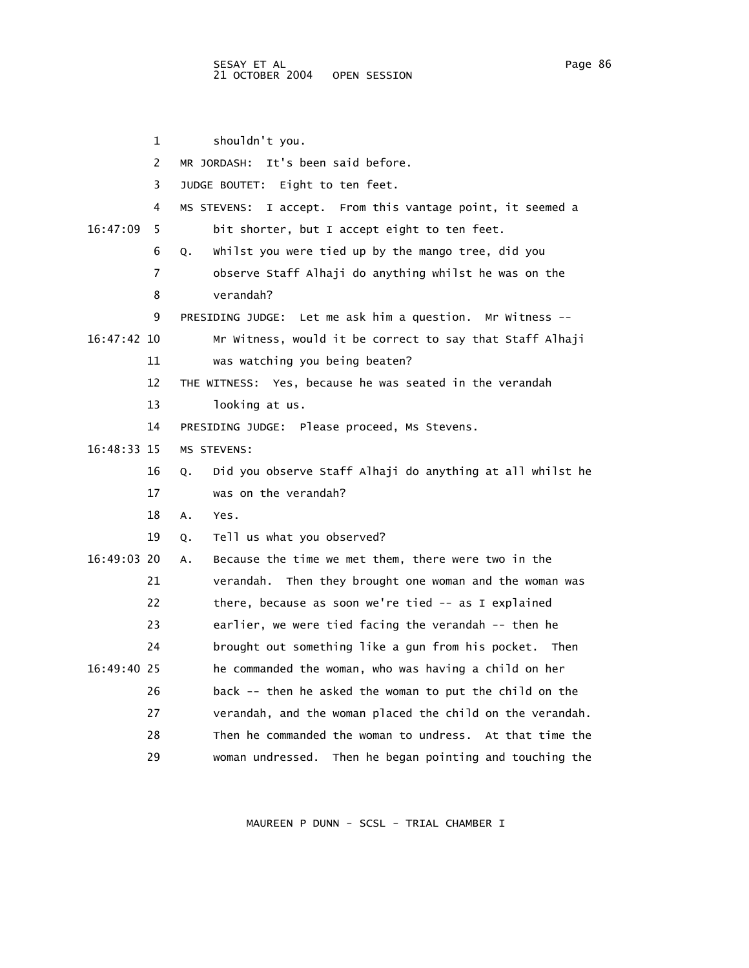1 shouldn't you. 2 MR JORDASH: It's been said before. 3 JUDGE BOUTET: Eight to ten feet. 4 MS STEVENS: I accept. From this vantage point, it seemed a 16:47:09 5 bit shorter, but I accept eight to ten feet. 6 Q. Whilst you were tied up by the mango tree, did you 7 observe Staff Alhaji do anything whilst he was on the 8 verandah? 9 PRESIDING JUDGE: Let me ask him a question. Mr Witness -- 16:47:42 10 Mr Witness, would it be correct to say that Staff Alhaji 11 was watching you being beaten? 12 THE WITNESS: Yes, because he was seated in the verandah 13 looking at us. 14 PRESIDING JUDGE: Please proceed, Ms Stevens. 16:48:33 15 MS STEVENS: 16 Q. Did you observe Staff Alhaji do anything at all whilst he 17 was on the verandah? 18 A. Yes. 19 Q. Tell us what you observed? 16:49:03 20 A. Because the time we met them, there were two in the 21 verandah. Then they brought one woman and the woman was 22 there, because as soon we're tied -- as I explained 23 earlier, we were tied facing the verandah -- then he 24 brought out something like a gun from his pocket. Then 16:49:40 25 he commanded the woman, who was having a child on her 26 back -- then he asked the woman to put the child on the 27 verandah, and the woman placed the child on the verandah. 28 Then he commanded the woman to undress. At that time the 29 woman undressed. Then he began pointing and touching the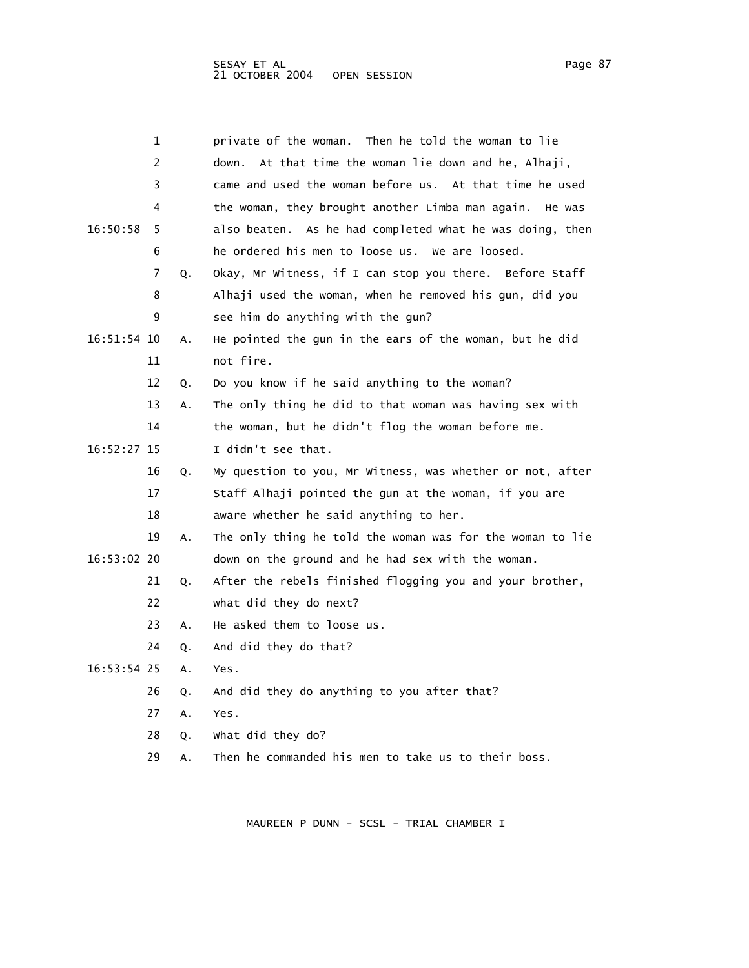|             | 1  |    | private of the woman.  Then he told the woman to lie       |
|-------------|----|----|------------------------------------------------------------|
|             | 2  |    | down. At that time the woman lie down and he, Alhaji,      |
|             | 3  |    | came and used the woman before us. At that time he used    |
|             | 4  |    | the woman, they brought another Limba man again.<br>He was |
| 16:50:58    | 5  |    | also beaten. As he had completed what he was doing, then   |
|             | 6  |    | he ordered his men to loose us. We are loosed.             |
|             | 7  | Q. | Okay, Mr Witness, if I can stop you there. Before Staff    |
|             | 8  |    | Alhaji used the woman, when he removed his gun, did you    |
|             | 9  |    | see him do anything with the gun?                          |
| 16:51:54 10 |    | А. | He pointed the gun in the ears of the woman, but he did    |
|             | 11 |    | not fire.                                                  |
|             | 12 | Q. | Do you know if he said anything to the woman?              |
|             | 13 | А. | The only thing he did to that woman was having sex with    |
|             | 14 |    | the woman, but he didn't flog the woman before me.         |
| 16:52:27 15 |    |    | I didn't see that.                                         |
|             | 16 | Q. | My question to you, Mr Witness, was whether or not, after  |
|             | 17 |    | Staff Alhaji pointed the gun at the woman, if you are      |
|             | 18 |    | aware whether he said anything to her.                     |
|             | 19 | А. | The only thing he told the woman was for the woman to lie  |
| 16:53:02 20 |    |    | down on the ground and he had sex with the woman.          |
|             | 21 | Q. | After the rebels finished flogging you and your brother,   |
|             | 22 |    | what did they do next?                                     |
|             | 23 | A. | He asked them to loose us.                                 |
|             | 24 | Q. | And did they do that?                                      |
| 16:53:54 25 |    | А. | Yes.                                                       |
|             | 26 | Q. | And did they do anything to you after that?                |
|             | 27 | A. | Yes.                                                       |
|             | 28 | Q. | what did they do?                                          |
|             |    |    |                                                            |

29 A. Then he commanded his men to take us to their boss.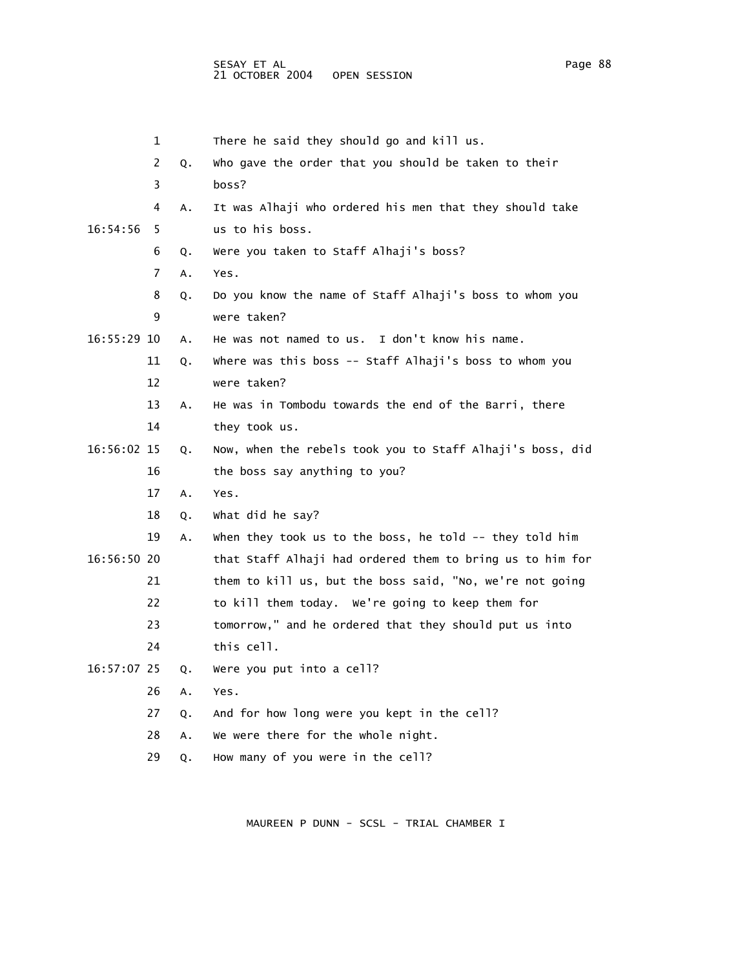|             | 1  |    | There he said they should go and kill us.                 |
|-------------|----|----|-----------------------------------------------------------|
|             | 2  | Q. | who gave the order that you should be taken to their      |
|             | 3  |    | boss?                                                     |
|             | 4  | Α. | It was Alhaji who ordered his men that they should take   |
| 16:54:56    | 5  |    | us to his boss.                                           |
|             | 6  | Q. | Were you taken to Staff Alhaji's boss?                    |
|             | 7  | A. | Yes.                                                      |
|             | 8  | Q. | Do you know the name of Staff Alhaji's boss to whom you   |
|             | 9  |    | were taken?                                               |
| 16:55:29 10 |    | Α. | He was not named to us. I don't know his name.            |
|             | 11 | Q. | where was this boss -- Staff Alhaji's boss to whom you    |
|             | 12 |    | were taken?                                               |
|             | 13 | Α. | He was in Tombodu towards the end of the Barri, there     |
|             | 14 |    | they took us.                                             |
| 16:56:02 15 |    | Q. | Now, when the rebels took you to Staff Alhaji's boss, did |
|             | 16 |    | the boss say anything to you?                             |
|             | 17 | Α. | Yes.                                                      |
|             | 18 | Q. | what did he say?                                          |
|             | 19 | Α. | when they took us to the boss, he told -- they told him   |
| 16:56:50 20 |    |    | that Staff Alhaji had ordered them to bring us to him for |
|             | 21 |    | them to kill us, but the boss said, "No, we're not going  |
|             | 22 |    | to kill them today. We're going to keep them for          |
|             | 23 |    | tomorrow," and he ordered that they should put us into    |
|             | 24 |    | this cell.                                                |
| 16:57:07 25 |    | Q. | Were you put into a cell?                                 |
|             | 26 | Α. | Yes.                                                      |
|             | 27 | Q. | And for how long were you kept in the cell?               |
|             | 28 | A. | We were there for the whole night.                        |
|             | 29 | Q. | How many of you were in the cell?                         |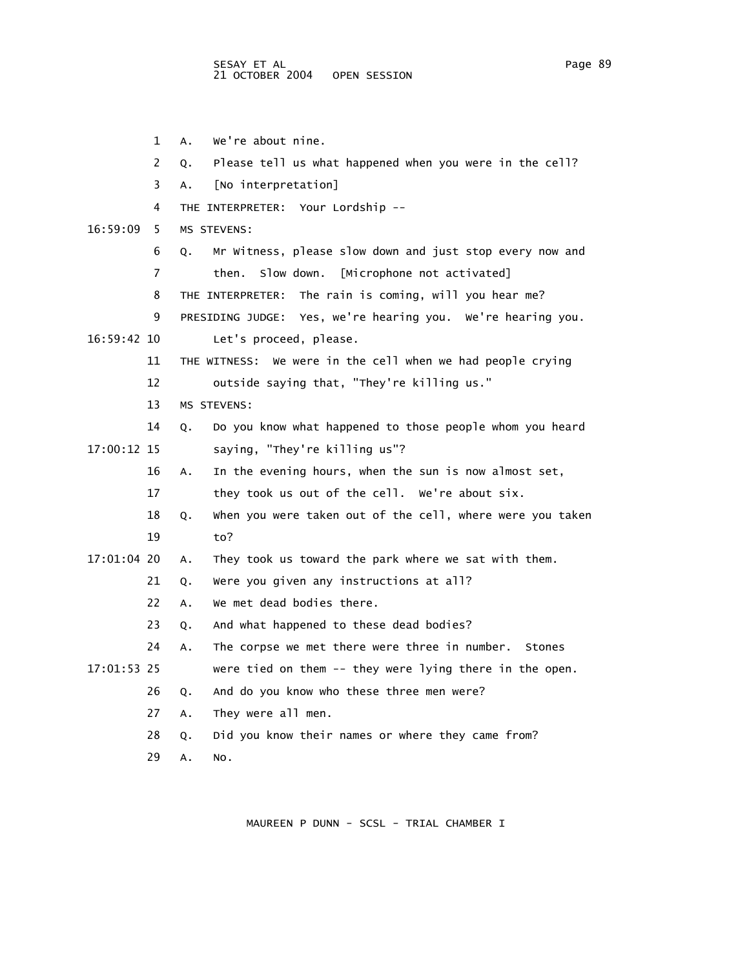1 A. We're about nine. 2 Q. Please tell us what happened when you were in the cell? 3 A. [No interpretation] 4 THE INTERPRETER: Your Lordship -- 16:59:09 5 MS STEVENS: 6 Q. Mr Witness, please slow down and just stop every now and 7 then. Slow down. [Microphone not activated] 8 THE INTERPRETER: The rain is coming, will you hear me? 9 PRESIDING JUDGE: Yes, we're hearing you. We're hearing you. 16:59:42 10 Let's proceed, please. 11 THE WITNESS: We were in the cell when we had people crying 12 outside saying that, "They're killing us." 13 MS STEVENS: 14 Q. Do you know what happened to those people whom you heard 17:00:12 15 saying, "They're killing us"? 16 A. In the evening hours, when the sun is now almost set, 17 they took us out of the cell. We're about six. 18 Q. When you were taken out of the cell, where were you taken 19 to? 17:01:04 20 A. They took us toward the park where we sat with them. 21 Q. Were you given any instructions at all? 22 A. We met dead bodies there. 23 Q. And what happened to these dead bodies? 24 A. The corpse we met there were three in number. Stones 17:01:53 25 were tied on them -- they were lying there in the open. 26 Q. And do you know who these three men were? 27 A. They were all men. 28 Q. Did you know their names or where they came from? 29 A. No.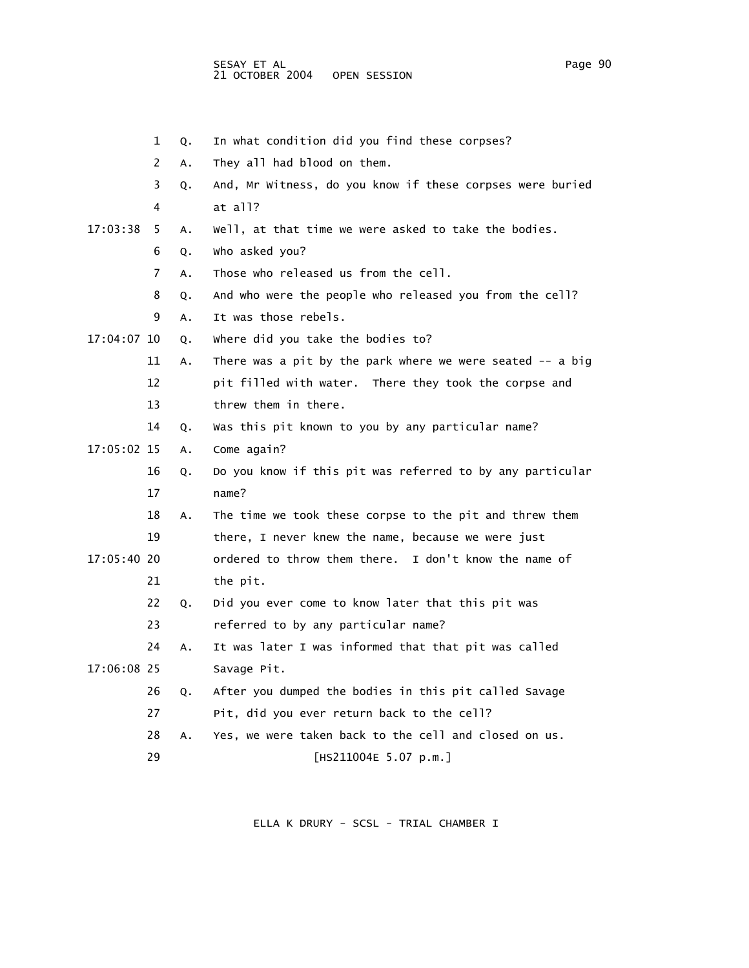1 Q. In what condition did you find these corpses?

 2 A. They all had blood on them. 3 Q. And, Mr Witness, do you know if these corpses were buried 4 at all? 17:03:38 5 A. Well, at that time we were asked to take the bodies. 6 Q. Who asked you? 7 A. Those who released us from the cell. 8 Q. And who were the people who released you from the cell? 9 A. It was those rebels. 17:04:07 10 Q. Where did you take the bodies to? 11 A. There was a pit by the park where we were seated -- a big 12 pit filled with water. There they took the corpse and 13 threw them in there. 14 Q. Was this pit known to you by any particular name? 17:05:02 15 A. Come again? 16 Q. Do you know if this pit was referred to by any particular 17 name? 18 A. The time we took these corpse to the pit and threw them 19 there, I never knew the name, because we were just 17:05:40 20 ordered to throw them there. I don't know the name of 21 the pit. 22 Q. Did you ever come to know later that this pit was 23 referred to by any particular name? 24 A. It was later I was informed that that pit was called 17:06:08 25 Savage Pit. 26 Q. After you dumped the bodies in this pit called Savage 27 Pit, did you ever return back to the cell? 28 A. Yes, we were taken back to the cell and closed on us. 29 [HS211004E 5.07 p.m.]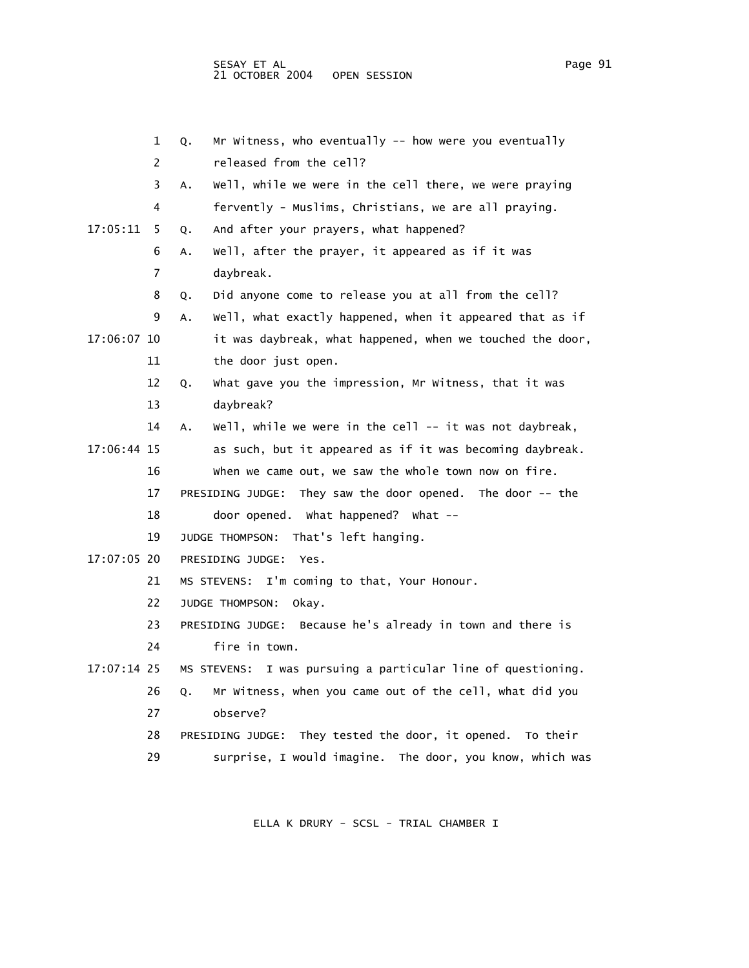1 Q. Mr Witness, who eventually -- how were you eventually 2 released from the cell? 3 A. Well, while we were in the cell there, we were praying 4 fervently - Muslims, Christians, we are all praying. 17:05:11 5 Q. And after your prayers, what happened? 6 A. Well, after the prayer, it appeared as if it was 7 daybreak. 8 Q. Did anyone come to release you at all from the cell? 9 A. Well, what exactly happened, when it appeared that as if 17:06:07 10 it was daybreak, what happened, when we touched the door, 11 the door just open. 12 Q. What gave you the impression, Mr Witness, that it was 13 daybreak? 14 A. Well, while we were in the cell -- it was not daybreak, 17:06:44 15 as such, but it appeared as if it was becoming daybreak. 16 When we came out, we saw the whole town now on fire. 17 PRESIDING JUDGE: They saw the door opened. The door -- the 18 door opened. What happened? What -- 19 JUDGE THOMPSON: That's left hanging. 17:07:05 20 PRESIDING JUDGE: Yes. 21 MS STEVENS: I'm coming to that, Your Honour. 22 JUDGE THOMPSON: Okay. 23 PRESIDING JUDGE: Because he's already in town and there is 24 fire in town. 17:07:14 25 MS STEVENS: I was pursuing a particular line of questioning. 26 Q. Mr Witness, when you came out of the cell, what did you 27 observe? 28 PRESIDING JUDGE: They tested the door, it opened. To their 29 surprise, I would imagine. The door, you know, which was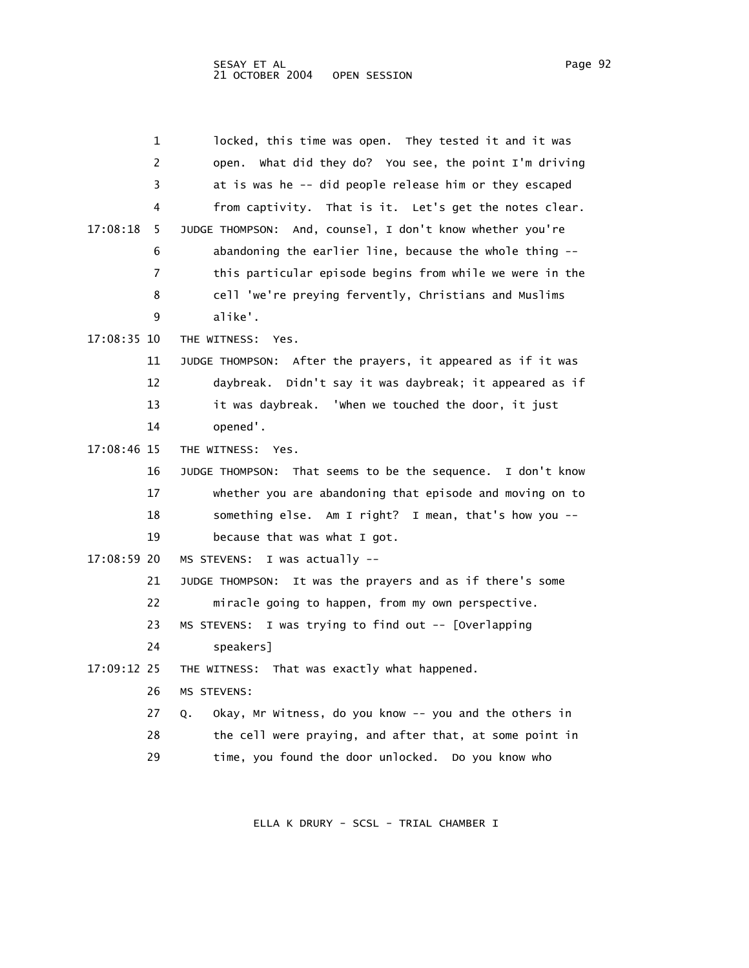|             | 1  | locked, this time was open. They tested it and it was                 |
|-------------|----|-----------------------------------------------------------------------|
|             | 2  | open. What did they do? You see, the point I'm driving                |
|             | 3  | at is was he -- did people release him or they escaped                |
|             | 4  | from captivity. That is it. Let's get the notes clear.                |
| 17:08:18    | 5. | JUDGE THOMPSON: And, counsel, I don't know whether you're             |
|             | 6  | abandoning the earlier line, because the whole thing --               |
|             | 7  | this particular episode begins from while we were in the              |
|             | 8  | cell 'we're preying fervently, Christians and Muslims                 |
|             | 9  | alike'.                                                               |
| 17:08:35 10 |    | THE WITNESS: Yes.                                                     |
|             | 11 | JUDGE THOMPSON: After the prayers, it appeared as if it was           |
|             | 12 | daybreak. Didn't say it was daybreak; it appeared as if               |
|             | 13 | it was daybreak. 'when we touched the door, it just                   |
|             | 14 | opened'.                                                              |
| 17:08:46 15 |    | THE WITNESS: Yes.                                                     |
|             | 16 | That seems to be the sequence. I don't know<br><b>JUDGE THOMPSON:</b> |
|             | 17 | whether you are abandoning that episode and moving on to              |
|             | 18 | something else. Am I right? I mean, that's how you --                 |
|             | 19 | because that was what I got.                                          |
| 17:08:59 20 |    | I was actually --<br>MS STEVENS:                                      |
|             | 21 | It was the prayers and as if there's some<br>JUDGE THOMPSON:          |
|             | 22 | miracle going to happen, from my own perspective.                     |
|             | 23 | MS STEVENS:<br>I was trying to find out -- [Overlapping               |
|             | 24 | speakers]                                                             |
| 17:09:12 25 |    | THE WITNESS: That was exactly what happened.                          |
|             | 26 | MS STEVENS:                                                           |
|             | 27 | Okay, Mr Witness, do you know -- you and the others in<br>Q.          |
|             | 28 | the cell were praying, and after that, at some point in               |
|             | 29 | time, you found the door unlocked. Do you know who                    |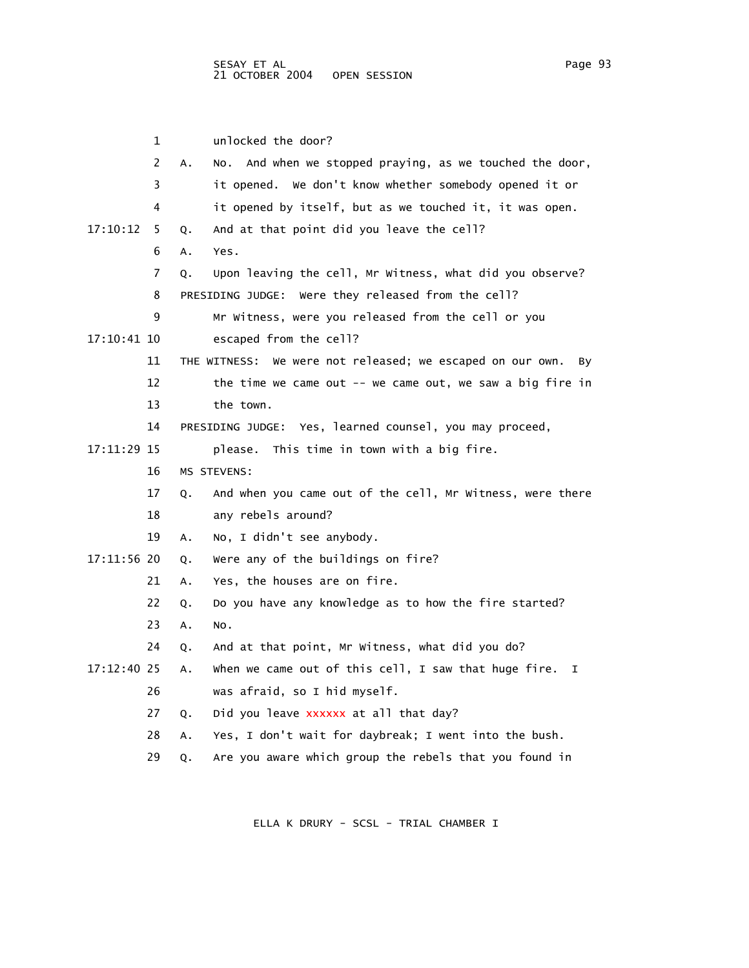1 unlocked the door? 2 A. No. And when we stopped praying, as we touched the door, 3 it opened. We don't know whether somebody opened it or 4 it opened by itself, but as we touched it, it was open. 17:10:12 5 Q. And at that point did you leave the cell? 6 A. Yes. 7 Q. Upon leaving the cell, Mr Witness, what did you observe? 8 PRESIDING JUDGE: Were they released from the cell? 9 Mr Witness, were you released from the cell or you 17:10:41 10 escaped from the cell? 11 THE WITNESS: We were not released; we escaped on our own. By 12 the time we came out -- we came out, we saw a big fire in 13 the town. 14 PRESIDING JUDGE: Yes, learned counsel, you may proceed, 17:11:29 15 please. This time in town with a big fire. 16 MS STEVENS: 17 Q. And when you came out of the cell, Mr Witness, were there 18 any rebels around? 19 A. No, I didn't see anybody. 17:11:56 20 Q. Were any of the buildings on fire? 21 A. Yes, the houses are on fire. 22 Q. Do you have any knowledge as to how the fire started? 23 A. No. 24 Q. And at that point, Mr Witness, what did you do? 17:12:40 25 A. When we came out of this cell, I saw that huge fire. I 26 was afraid, so I hid myself. 27 Q. Did you leave xxxxxx at all that day? 28 A. Yes, I don't wait for daybreak; I went into the bush. 29 Q. Are you aware which group the rebels that you found in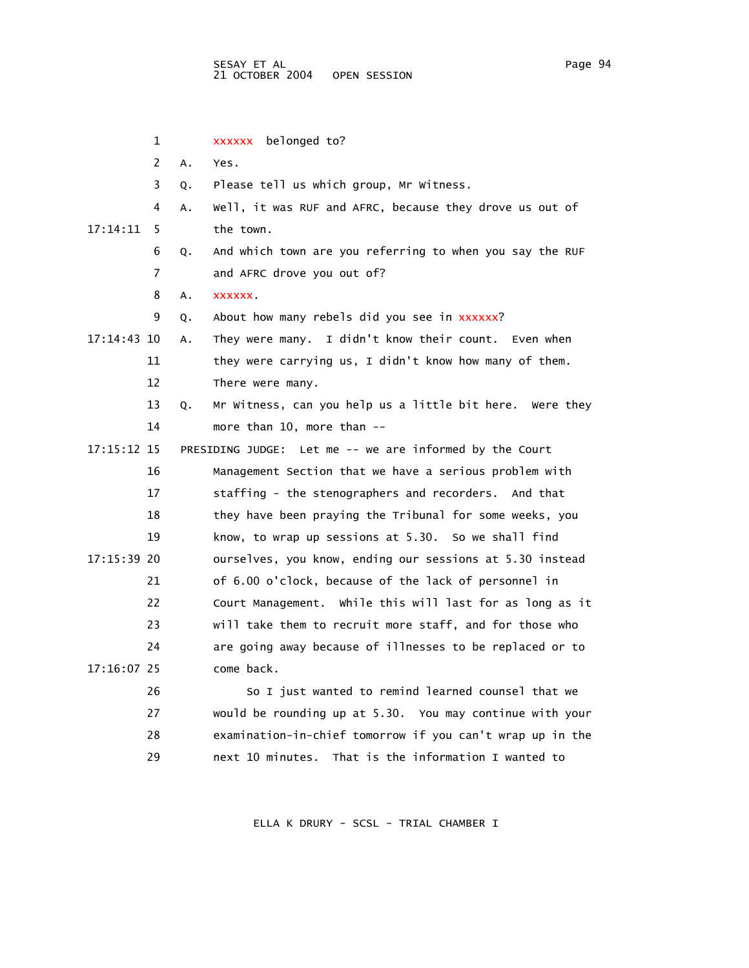|             | 1  |    | xxxxxx belonged to?                                       |
|-------------|----|----|-----------------------------------------------------------|
|             | 2  | A. | Yes.                                                      |
|             | 3  | Q. | Please tell us which group, Mr Witness.                   |
|             | 4  | Α. | Well, it was RUF and AFRC, because they drove us out of   |
| 17:14:11    | 5  |    | the town.                                                 |
|             | 6  | Q. | And which town are you referring to when you say the RUF  |
|             | 7  |    | and AFRC drove you out of?                                |
|             | 8  | Α. | <b>XXXXXX</b>                                             |
|             | 9  | Q. | About how many rebels did you see in xxxxxx?              |
| 17:14:43 10 |    | Α. | They were many. I didn't know their count. Even when      |
|             | 11 |    | they were carrying us, I didn't know how many of them.    |
|             | 12 |    | There were many.                                          |
|             | 13 | Q. | Mr Witness, can you help us a little bit here. Were they  |
|             | 14 |    | more than 10, more than --                                |
| 17:15:12 15 |    |    | PRESIDING JUDGE: Let me -- we are informed by the Court   |
|             | 16 |    | Management Section that we have a serious problem with    |
|             | 17 |    | staffing - the stenographers and recorders. And that      |
|             | 18 |    | they have been praying the Tribunal for some weeks, you   |
|             | 19 |    | know, to wrap up sessions at 5.30. So we shall find       |
| 17:15:39 20 |    |    | ourselves, you know, ending our sessions at 5.30 instead  |
|             | 21 |    | of 6.00 o'clock, because of the lack of personnel in      |
|             | 22 |    | Court Management. While this will last for as long as it  |
|             | 23 |    | will take them to recruit more staff, and for those who   |
|             | 24 |    | are going away because of illnesses to be replaced or to  |
| 17:16:07 25 |    |    | come back.                                                |
|             | 26 |    | So I just wanted to remind learned counsel that we        |
|             | 27 |    | would be rounding up at 5.30. You may continue with your  |
|             | 28 |    | examination-in-chief tomorrow if you can't wrap up in the |
|             | 29 |    | next 10 minutes.<br>That is the information I wanted to   |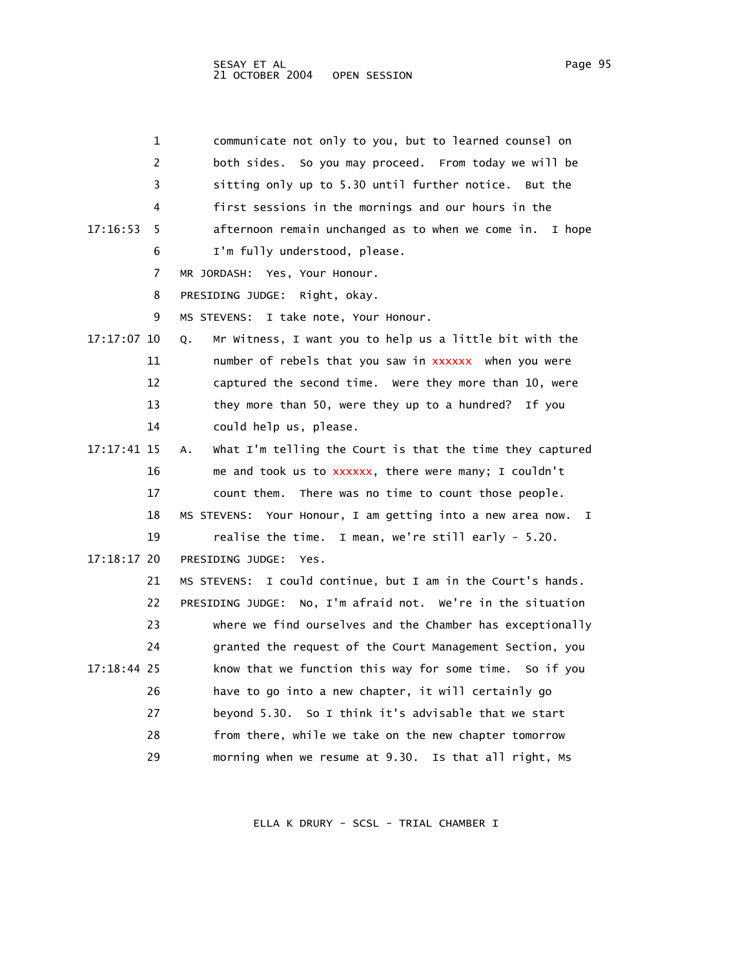| 1              | communicate not only to you, but to learned counsel on           |
|----------------|------------------------------------------------------------------|
| 2              | both sides. So you may proceed. From today we will be            |
| 3              | sitting only up to 5.30 until further notice. But the            |
| 4              | first sessions in the mornings and our hours in the              |
| 17:16:53<br>5. | afternoon remain unchanged as to when we come in.<br>I hope      |
| 6              | I'm fully understood, please.                                    |
| 7              | MR JORDASH: Yes, Your Honour.                                    |
| 8              | PRESIDING JUDGE: Right, okay.                                    |
| 9              | I take note, Your Honour.<br>MS STEVENS:                         |
| 17:17:07 10    | Mr Witness, I want you to help us a little bit with the<br>Q.    |
| 11             | number of rebels that you saw in xxxxxx when you were            |
| 12             | captured the second time. Were they more than 10, were           |
| 13             | they more than 50, were they up to a hundred? If you             |
| 14             | could help us, please.                                           |
| 17:17:41 15    | What I'm telling the Court is that the time they captured<br>А.  |
| 16             | me and took us to xxxxxx, there were many; I couldn't            |
| 17             | count them. There was no time to count those people.             |
| 18             | MS STEVENS: Your Honour, I am getting into a new area now.<br>I. |
| 19             | realise the time. I mean, we're still early - 5.20.              |
| $17:18:17$ 20  | PRESIDING JUDGE:<br>Yes.                                         |
| 21             | I could continue, but I am in the Court's hands.<br>MS STEVENS:  |
| 22             | PRESIDING JUDGE: No, I'm afraid not. We're in the situation      |
| 23             | where we find ourselves and the Chamber has exceptionally        |
| 24             | granted the request of the Court Management Section, you         |
| 17:18:44 25    | know that we function this way for some time. So if you          |
| 26             | have to go into a new chapter, it will certainly go              |
| 27             | beyond 5.30. So I think it's advisable that we start             |
| 28             | from there, while we take on the new chapter tomorrow            |
| 29             | morning when we resume at 9.30. Is that all right, Ms            |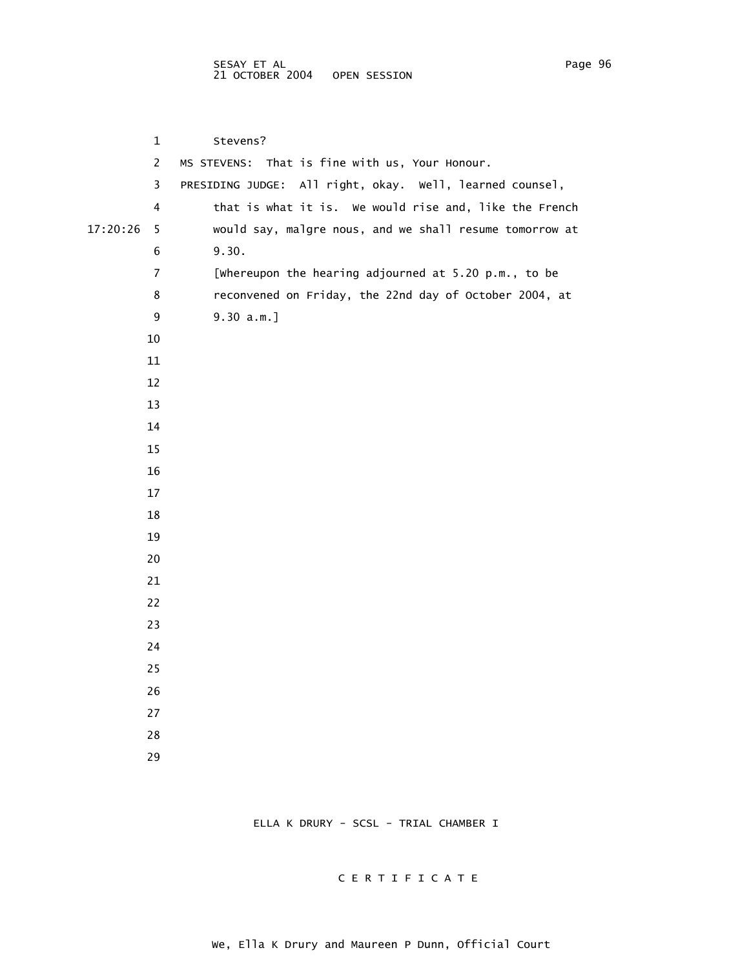1 Stevens? 2 MS STEVENS: That is fine with us, Your Honour. 3 PRESIDING JUDGE: All right, okay. Well, learned counsel, 4 that is what it is. We would rise and, like the French 17:20:26 5 would say, malgre nous, and we shall resume tomorrow at 6 9.30. 7 [Whereupon the hearing adjourned at 5.20 p.m., to be 8 reconvened on Friday, the 22nd day of October 2004, at 9 9.30 a.m.] 10 11 12 13 14 15 16 17 18 19 20 21 22 23 24 25 26 27 28 29

ELLA K DRURY - SCSL - TRIAL CHAMBER I

## C E R T I F I C A T E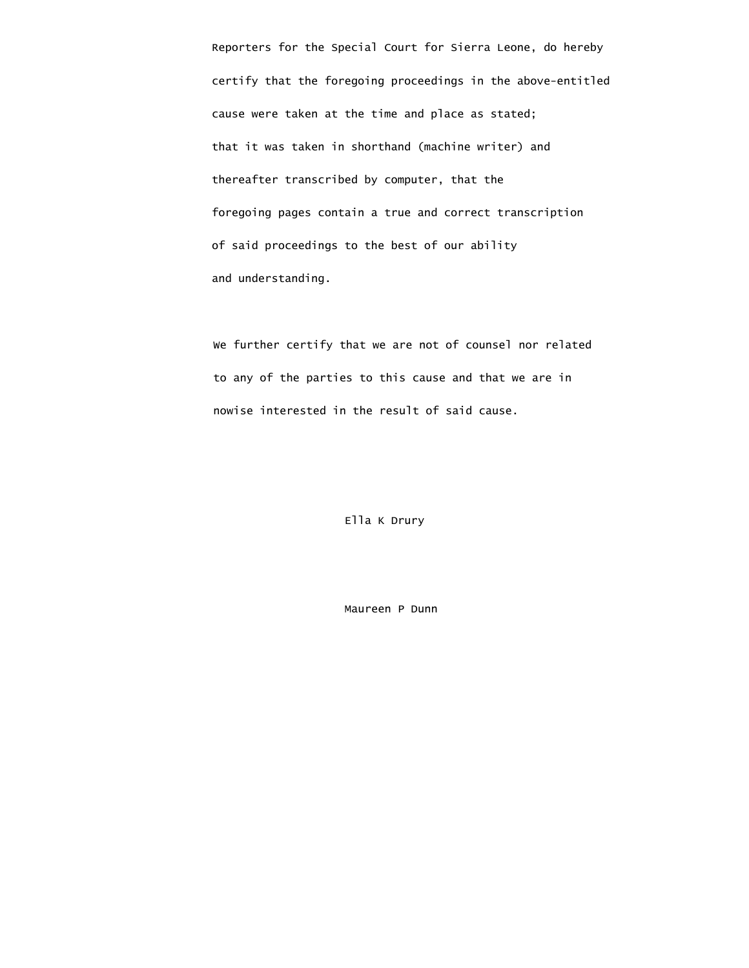Reporters for the Special Court for Sierra Leone, do hereby certify that the foregoing proceedings in the above-entitled cause were taken at the time and place as stated; that it was taken in shorthand (machine writer) and thereafter transcribed by computer, that the foregoing pages contain a true and correct transcription of said proceedings to the best of our ability and understanding.

 We further certify that we are not of counsel nor related to any of the parties to this cause and that we are in nowise interested in the result of said cause.

Ella K Drury

Maureen P Dunn